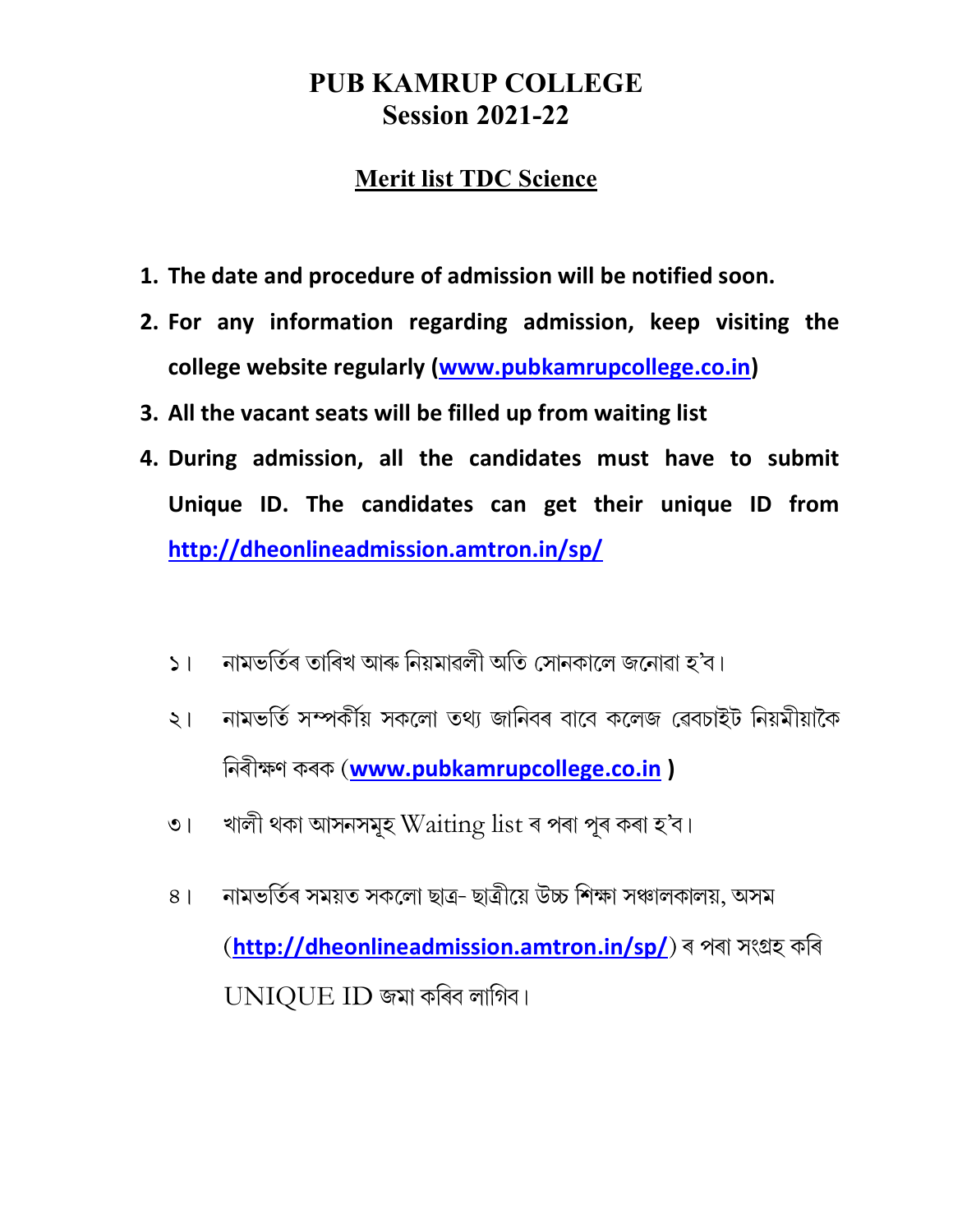#### PUB KAMRUP COLLEGE Session 2021-22

#### Merit list TDC Science

- 1. The date and procedure of admission will be notified soon.
- 2. For any information regarding admission, keep visiting the college website regularly (www.pubkamrupcollege.co.in)
- 3. All the vacant seats will be filled up from waiting list
- 4. During admission, all the candidates must have to submit Unique ID. The candidates can get their unique ID from http://dheonlineadmission.amtron.in/sp/
	- নামভৰ্তিৰ তাৰিখ আৰু নিয়মাৱলী অতি সোনকালে জনোৱা হ'ব।  $51$
	- নামভৰ্তি সম্পৰ্কীয় সকলো তথ্য জানিবৰ বাবে কলেজ ৱেবচাইট নিয়মীয়াকৈ  $\zeta$ নিৰীক্ষণ কৰক (www.pubkamrupcollege.co.in )
	- খালী থকা আসনসমূহ Waiting list ৰ পৰা পূৰ কৰা হ'ব।  $\overline{O}$
	- নামভৰ্তিৰ সময়ত সকলো ছাত্ৰ- ছাত্ৰীয়ে উচ্চ শিক্ষা সঞ্চালকালয়, অসম  $8<sup>1</sup>$ (http://dheonlineadmission.amtron.in/sp/) ৰ পৰা সংগ্ৰহ কৰি UNIQUE ID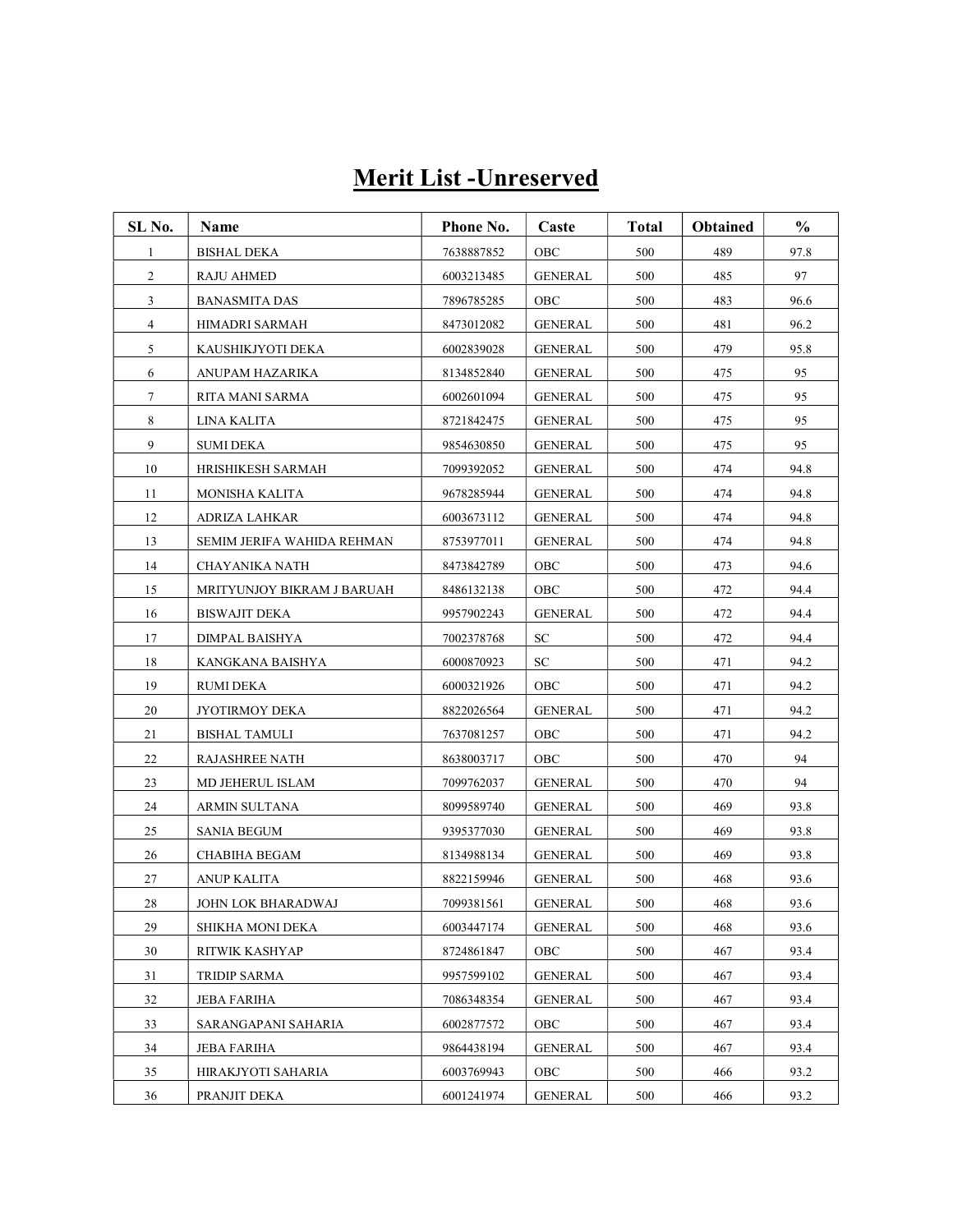## Merit List -Unreserved

| SL No.         | Name                       | Phone No.  | Caste          | <b>Total</b> | <b>Obtained</b> | $\frac{0}{0}$ |
|----------------|----------------------------|------------|----------------|--------------|-----------------|---------------|
| 1              | <b>BISHAL DEKA</b>         | 7638887852 | OBC            | 500          | 489             | 97.8          |
| $\overline{2}$ | RAJU AHMED                 | 6003213485 | <b>GENERAL</b> | 500          | 485             | 97            |
| $\mathbf{3}$   | <b>BANASMITA DAS</b>       | 7896785285 | OBC            | 500          | 483             | 96.6          |
| $\overline{4}$ | HIMADRI SARMAH             | 8473012082 | <b>GENERAL</b> | 500          | 481             | 96.2          |
| 5              | KAUSHIKJYOTI DEKA          | 6002839028 | <b>GENERAL</b> | 500          | 479             | 95.8          |
| 6              | ANUPAM HAZARIKA            | 8134852840 | <b>GENERAL</b> | 500          | 475             | 95            |
| 7              | RITA MANI SARMA            | 6002601094 | <b>GENERAL</b> | 500          | 475             | 95            |
| 8              | LINA KALITA                | 8721842475 | GENERAL        | 500          | 475             | 95            |
| 9              | <b>SUMI DEKA</b>           | 9854630850 | <b>GENERAL</b> | 500          | 475             | 95            |
| 10             | HRISHIKESH SARMAH          | 7099392052 | GENERAL        | 500          | 474             | 94.8          |
| 11             | MONISHA KALITA             | 9678285944 | GENERAL        | 500          | 474             | 94.8          |
| 12             | ADRIZA LAHKAR              | 6003673112 | <b>GENERAL</b> | 500          | 474             | 94.8          |
| 13             | SEMIM JERIFA WAHIDA REHMAN | 8753977011 | <b>GENERAL</b> | 500          | 474             | 94.8          |
| 14             | CHAYANIKA NATH             | 8473842789 | OBC            | 500          | 473             | 94.6          |
| 15             | MRITYUNJOY BIKRAM J BARUAH | 8486132138 | OBC            | 500          | 472             | 94.4          |
| 16             | <b>BISWAJIT DEKA</b>       | 9957902243 | <b>GENERAL</b> | 500          | 472             | 94.4          |
| 17             | DIMPAL BAISHYA             | 7002378768 | SC             | 500          | 472             | 94.4          |
| 18             | KANGKANA BAISHYA           | 6000870923 | SC             | 500          | 471             | 94.2          |
| 19             | RUMI DEKA                  | 6000321926 | OBC            | 500          | 471             | 94.2          |
| 20             | JYOTIRMOY DEKA             | 8822026564 | <b>GENERAL</b> | 500          | 471             | 94.2          |
| 21             | <b>BISHAL TAMULI</b>       | 7637081257 | OBC            | 500          | 471             | 94.2          |
| 22             | RAJASHREE NATH             | 8638003717 | OBC            | 500          | 470             | 94            |
| 23             | MD JEHERUL ISLAM           | 7099762037 | <b>GENERAL</b> | 500          | 470             | 94            |
| 24             | ARMIN SULTANA              | 8099589740 | <b>GENERAL</b> | 500          | 469             | 93.8          |
| 25             | SANIA BEGUM                | 9395377030 | <b>GENERAL</b> | 500          | 469             | 93.8          |
| 26             | CHABIHA BEGAM              | 8134988134 | <b>GENERAL</b> | 500          | 469             | 93.8          |
| 27             | ANUP KALITA                | 8822159946 | GENERAL        | 500          | 468             | 93.6          |
| 28             | <b>JOHN LOK BHARADWAJ</b>  | 7099381561 | <b>GENERAL</b> | 500          | 468             | 93.6          |
| 29             | SHIKHA MONI DEKA           | 6003447174 | <b>GENERAL</b> | 500          | 468             | 93.6          |
| 30             | RITWIK KASHYAP             | 8724861847 | OBC            | 500          | 467             | 93.4          |
| 31             | TRIDIP SARMA               | 9957599102 | <b>GENERAL</b> | 500          | 467             | 93.4          |
| 32             | JEBA FARIHA                | 7086348354 | <b>GENERAL</b> | 500          | 467             | 93.4          |
| 33             | SARANGAPANI SAHARIA        | 6002877572 | OBC            | 500          | 467             | 93.4          |
| 34             | <b>JEBA FARIHA</b>         | 9864438194 | <b>GENERAL</b> | 500          | 467             | 93.4          |
| 35             | HIRAKJYOTI SAHARIA         | 6003769943 | OBC            | 500          | 466             | 93.2          |
| 36             | PRANJIT DEKA               | 6001241974 | <b>GENERAL</b> | 500          | 466             | 93.2          |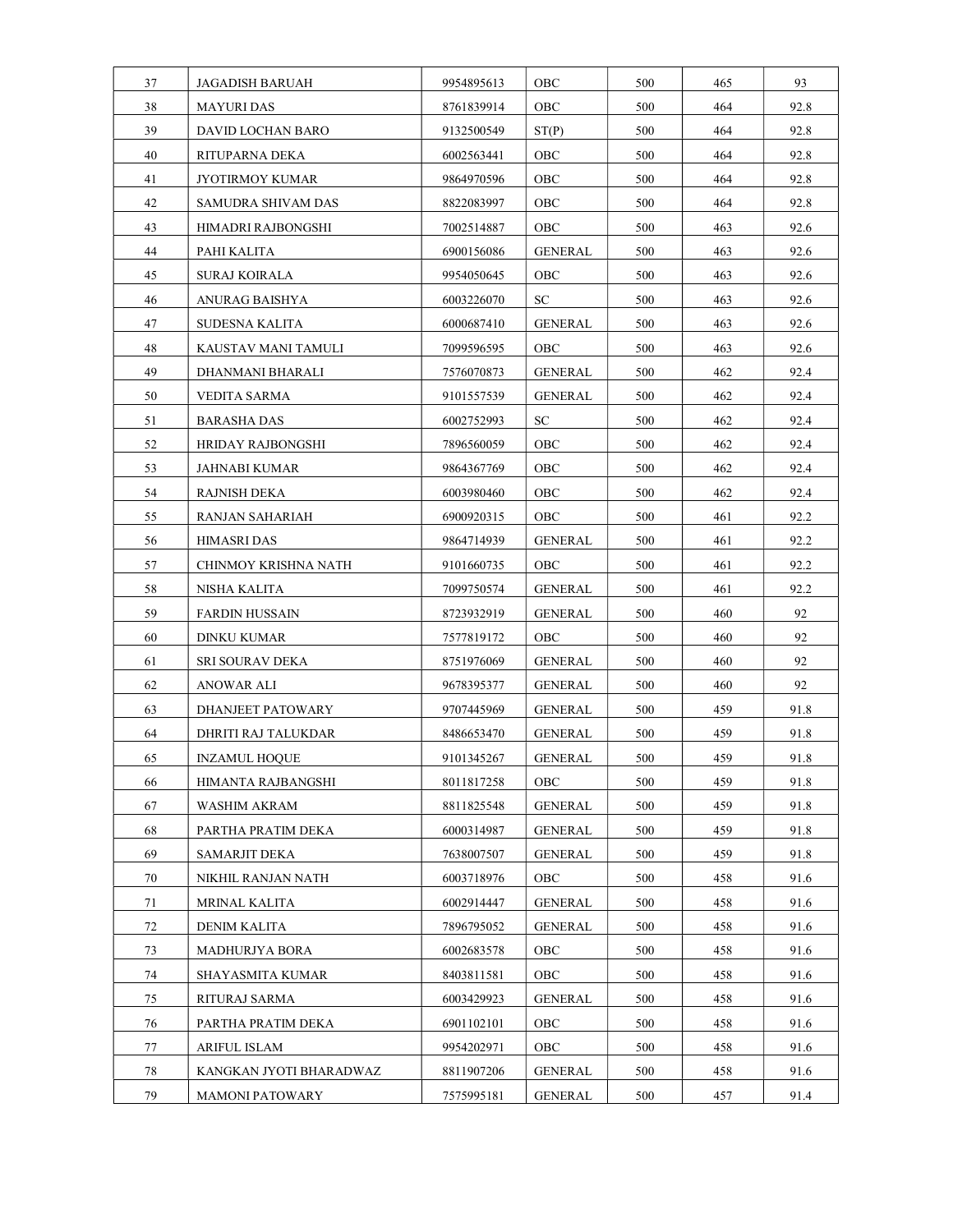| 37 | <b>JAGADISH BARUAH</b>   | 9954895613 | OBC            | 500 | 465 | 93   |
|----|--------------------------|------------|----------------|-----|-----|------|
| 38 | <b>MAYURI DAS</b>        | 8761839914 | OBC            | 500 | 464 | 92.8 |
| 39 | DAVID LOCHAN BARO        | 9132500549 | ST(P)          | 500 | 464 | 92.8 |
| 40 | RITUPARNA DEKA           | 6002563441 | OBC            | 500 | 464 | 92.8 |
| 41 | JYOTIRMOY KUMAR          | 9864970596 | OBC            | 500 | 464 | 92.8 |
| 42 | SAMUDRA SHIVAM DAS       | 8822083997 | OBC            | 500 | 464 | 92.8 |
| 43 | HIMADRI RAJBONGSHI       | 7002514887 | OBC            | 500 | 463 | 92.6 |
| 44 | PAHI KALITA              | 6900156086 | <b>GENERAL</b> | 500 | 463 | 92.6 |
| 45 | SURAJ KOIRALA            | 9954050645 | OBC            | 500 | 463 | 92.6 |
| 46 | ANURAG BAISHYA           | 6003226070 | SC             | 500 | 463 | 92.6 |
| 47 | SUDESNA KALITA           | 6000687410 | <b>GENERAL</b> | 500 | 463 | 92.6 |
| 48 | KAUSTAV MANI TAMULI      | 7099596595 | OBC            | 500 | 463 | 92.6 |
| 49 | DHANMANI BHARALI         | 7576070873 | GENERAL        | 500 | 462 | 92.4 |
| 50 | VEDITA SARMA             | 9101557539 | GENERAL        | 500 | 462 | 92.4 |
| 51 | <b>BARASHA DAS</b>       | 6002752993 | ${\rm SC}$     | 500 | 462 | 92.4 |
| 52 | <b>HRIDAY RAJBONGSHI</b> | 7896560059 | OBC            | 500 | 462 | 92.4 |
| 53 | JAHNABI KUMAR            | 9864367769 | OBC            | 500 | 462 | 92.4 |
| 54 | RAJNISH DEKA             | 6003980460 | OBC            | 500 | 462 | 92.4 |
| 55 | RANJAN SAHARIAH          | 6900920315 | OBC            | 500 | 461 | 92.2 |
| 56 | <b>HIMASRI DAS</b>       | 9864714939 | <b>GENERAL</b> | 500 | 461 | 92.2 |
| 57 | CHINMOY KRISHNA NATH     | 9101660735 | OBC            | 500 | 461 | 92.2 |
| 58 | NISHA KALITA             | 7099750574 | <b>GENERAL</b> | 500 | 461 | 92.2 |
| 59 | <b>FARDIN HUSSAIN</b>    | 8723932919 | <b>GENERAL</b> | 500 | 460 | 92   |
| 60 | DINKU KUMAR              | 7577819172 | OBC            | 500 | 460 | 92   |
| 61 | SRI SOURAV DEKA          | 8751976069 | GENERAL        | 500 | 460 | 92   |
| 62 | ANOWAR ALI               | 9678395377 | GENERAL        | 500 | 460 | 92   |
| 63 | DHANJEET PATOWARY        | 9707445969 | <b>GENERAL</b> | 500 | 459 | 91.8 |
| 64 | DHRITI RAJ TALUKDAR      | 8486653470 | GENERAL        | 500 | 459 | 91.8 |
| 65 | <b>INZAMUL HOQUE</b>     | 9101345267 | <b>GENERAL</b> | 500 | 459 | 91.8 |
| 66 | HIMANTA RAJBANGSHI       | 8011817258 | OBC            | 500 | 459 | 91.8 |
| 67 | WASHIM AKRAM             | 8811825548 | <b>GENERAL</b> | 500 | 459 | 91.8 |
| 68 | PARTHA PRATIM DEKA       | 6000314987 | GENERAL        | 500 | 459 | 91.8 |
| 69 | SAMARJIT DEKA            | 7638007507 | GENERAL        | 500 | 459 | 91.8 |
| 70 | NIKHIL RANJAN NATH       | 6003718976 | OBC            | 500 | 458 | 91.6 |
| 71 | MRINAL KALITA            | 6002914447 | <b>GENERAL</b> | 500 | 458 | 91.6 |
| 72 | DENIM KALITA             | 7896795052 | <b>GENERAL</b> | 500 | 458 | 91.6 |
| 73 | MADHURJYA BORA           | 6002683578 | OBC            | 500 | 458 | 91.6 |
| 74 | SHAYASMITA KUMAR         | 8403811581 | OBC            | 500 | 458 | 91.6 |
| 75 | RITURAJ SARMA            | 6003429923 | <b>GENERAL</b> | 500 | 458 | 91.6 |
| 76 | PARTHA PRATIM DEKA       | 6901102101 | OBC            | 500 | 458 | 91.6 |
| 77 | <b>ARIFUL ISLAM</b>      | 9954202971 | OBC            | 500 | 458 | 91.6 |
| 78 | KANGKAN JYOTI BHARADWAZ  | 8811907206 | <b>GENERAL</b> | 500 | 458 | 91.6 |
| 79 | <b>MAMONI PATOWARY</b>   | 7575995181 | GENERAL        | 500 | 457 | 91.4 |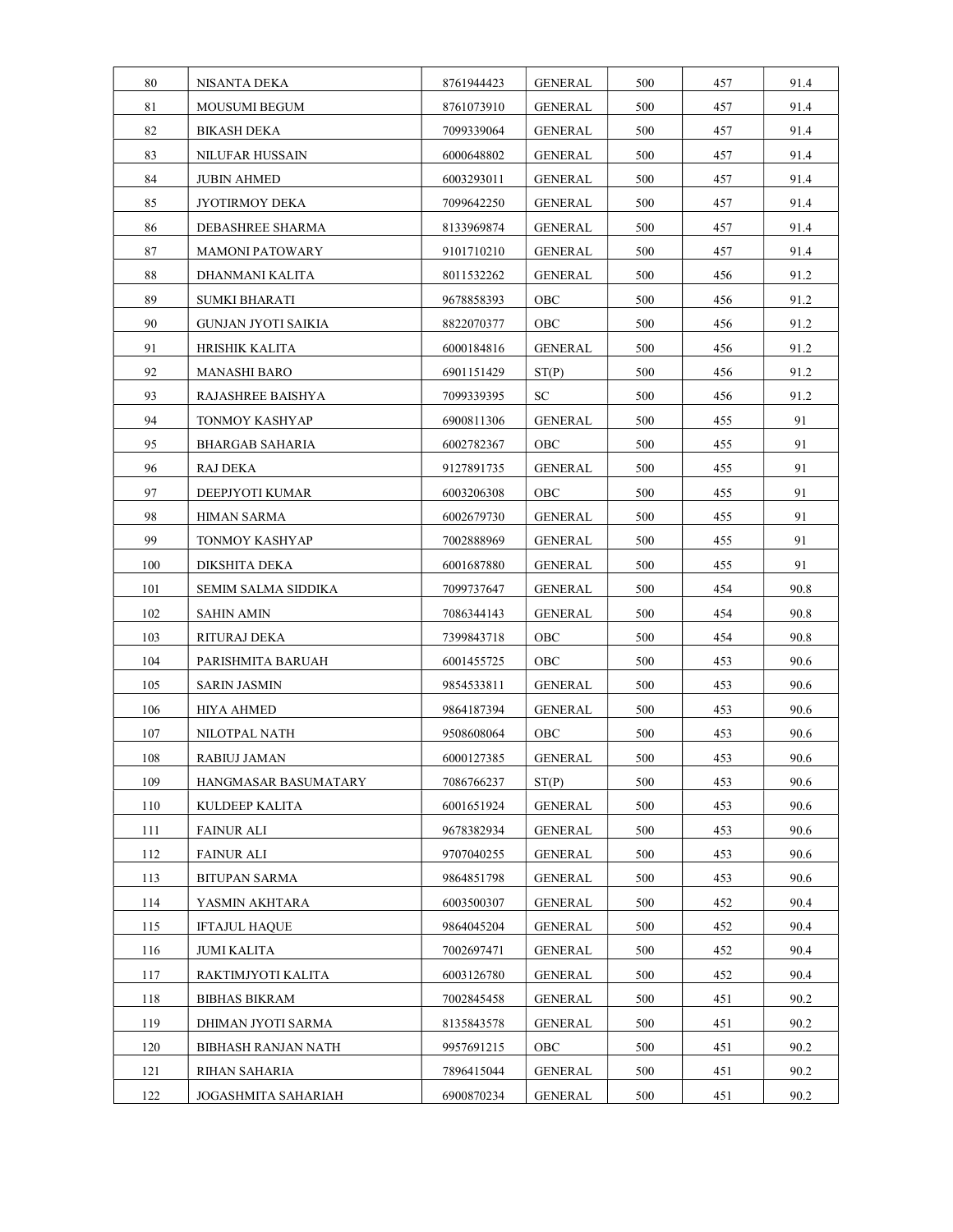| 80  | NISANTA DEKA           | 8761944423 | GENERAL        | 500 | 457 | 91.4 |
|-----|------------------------|------------|----------------|-----|-----|------|
| 81  | <b>MOUSUMI BEGUM</b>   | 8761073910 | <b>GENERAL</b> | 500 | 457 | 91.4 |
| 82  | <b>BIKASH DEKA</b>     | 7099339064 | GENERAL        | 500 | 457 | 91.4 |
| 83  | <b>NILUFAR HUSSAIN</b> | 6000648802 | GENERAL        | 500 | 457 | 91.4 |
| 84  | <b>JUBIN AHMED</b>     | 6003293011 | <b>GENERAL</b> | 500 | 457 | 91.4 |
| 85  | JYOTIRMOY DEKA         | 7099642250 | GENERAL        | 500 | 457 | 91.4 |
| 86  | DEBASHREE SHARMA       | 8133969874 | GENERAL        | 500 | 457 | 91.4 |
| 87  | <b>MAMONI PATOWARY</b> | 9101710210 | GENERAL        | 500 | 457 | 91.4 |
| 88  | DHANMANI KALITA        | 8011532262 | <b>GENERAL</b> | 500 | 456 | 91.2 |
| 89  | SUMKI BHARATI          | 9678858393 | OBC            | 500 | 456 | 91.2 |
| 90  | GUNJAN JYOTI SAIKIA    | 8822070377 | OBC            | 500 | 456 | 91.2 |
| 91  | HRISHIK KALITA         | 6000184816 | <b>GENERAL</b> | 500 | 456 | 91.2 |
| 92  | MANASHI BARO           | 6901151429 | ST(P)          | 500 | 456 | 91.2 |
| 93  | RAJASHREE BAISHYA      | 7099339395 | SС             | 500 | 456 | 91.2 |
| 94  | TONMOY KASHYAP         | 6900811306 | GENERAL        | 500 | 455 | 91   |
| 95  | BHARGAB SAHARIA        | 6002782367 | OBC            | 500 | 455 | 91   |
| 96  | RAJ DEKA               | 9127891735 | GENERAL        | 500 | 455 | 91   |
| 97  | DEEPJYOTI KUMAR        | 6003206308 | OBC            | 500 | 455 | 91   |
| 98  | <b>HIMAN SARMA</b>     | 6002679730 | GENERAL        | 500 | 455 | 91   |
| 99  | TONMOY KASHYAP         | 7002888969 | GENERAL        | 500 | 455 | 91   |
| 100 | DIKSHITA DEKA          | 6001687880 | GENERAL        | 500 | 455 | 91   |
| 101 | SEMIM SALMA SIDDIKA    | 7099737647 | GENERAL        | 500 | 454 | 90.8 |
| 102 | <b>SAHIN AMIN</b>      | 7086344143 | GENERAL        | 500 | 454 | 90.8 |
| 103 | RITURAJ DEKA           | 7399843718 | OBC            | 500 | 454 | 90.8 |
| 104 | PARISHMITA BARUAH      | 6001455725 | OBC            | 500 | 453 | 90.6 |
| 105 | <b>SARIN JASMIN</b>    | 9854533811 | GENERAL        | 500 | 453 | 90.6 |
| 106 | HIYA AHMED             | 9864187394 | <b>GENERAL</b> | 500 | 453 | 90.6 |
| 107 | NILOTPAL NATH          | 9508608064 | OBC            | 500 | 453 | 90.6 |
| 108 | RABIUJ JAMAN           | 6000127385 | <b>GENERAL</b> | 500 | 453 | 90.6 |
| 109 | HANGMASAR BASUMATARY   | 7086766237 | ST(P)          | 500 | 453 | 90.6 |
| 110 | KULDEEP KALITA         | 6001651924 | <b>GENERAL</b> | 500 | 453 | 90.6 |
| 111 | <b>FAINUR ALI</b>      | 9678382934 | GENERAL        | 500 | 453 | 90.6 |
| 112 | <b>FAINUR ALI</b>      | 9707040255 | <b>GENERAL</b> | 500 | 453 | 90.6 |
| 113 | <b>BITUPAN SARMA</b>   | 9864851798 | <b>GENERAL</b> | 500 | 453 | 90.6 |
| 114 | YASMIN AKHTARA         | 6003500307 | <b>GENERAL</b> | 500 | 452 | 90.4 |
| 115 | <b>IFTAJUL HAQUE</b>   | 9864045204 | <b>GENERAL</b> | 500 | 452 | 90.4 |
| 116 | JUMI KALITA            | 7002697471 | GENERAL        | 500 | 452 | 90.4 |
| 117 | RAKTIMJYOTI KALITA     | 6003126780 | <b>GENERAL</b> | 500 | 452 | 90.4 |
| 118 | <b>BIBHAS BIKRAM</b>   | 7002845458 | <b>GENERAL</b> | 500 | 451 | 90.2 |
| 119 | DHIMAN JYOTI SARMA     | 8135843578 | GENERAL        | 500 | 451 | 90.2 |
| 120 | BIBHASH RANJAN NATH    | 9957691215 | OBC            | 500 | 451 | 90.2 |
| 121 | RIHAN SAHARIA          | 7896415044 | GENERAL        | 500 | 451 | 90.2 |
| 122 | JOGASHMITA SAHARIAH    | 6900870234 | <b>GENERAL</b> | 500 | 451 | 90.2 |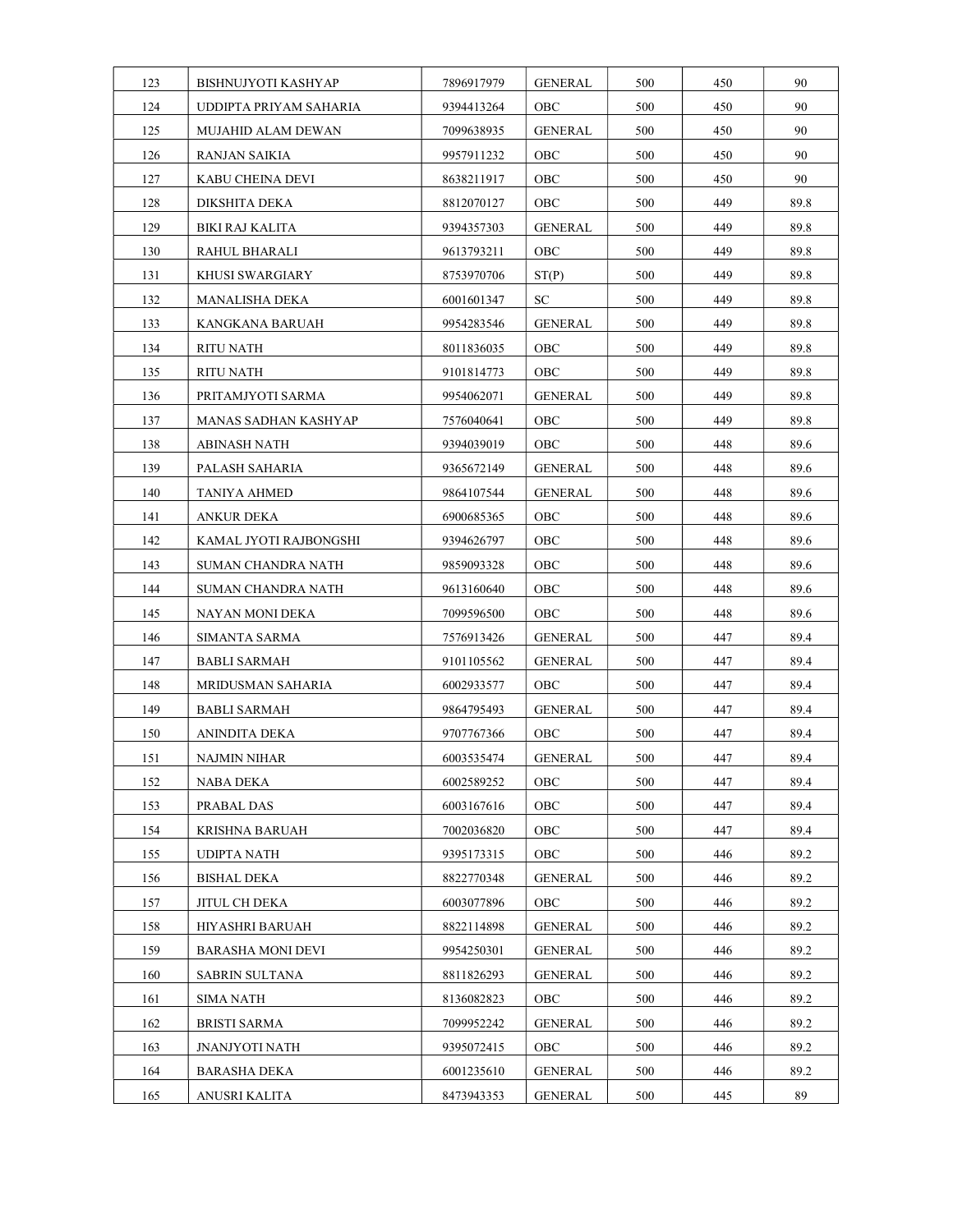| 123 | <b>BISHNUJYOTI KASHYAP</b> | 7896917979 | <b>GENERAL</b> | 500 | 450 | 90   |
|-----|----------------------------|------------|----------------|-----|-----|------|
| 124 | UDDIPTA PRIYAM SAHARIA     | 9394413264 | OBC            | 500 | 450 | 90   |
| 125 | MUJAHID ALAM DEWAN         | 7099638935 | <b>GENERAL</b> | 500 | 450 | 90   |
| 126 | RANJAN SAIKIA              | 9957911232 | OBC            | 500 | 450 | 90   |
| 127 | KABU CHEINA DEVI           | 8638211917 | OBC            | 500 | 450 | 90   |
| 128 | DIKSHITA DEKA              | 8812070127 | OBC            | 500 | 449 | 89.8 |
| 129 | BIKI RAJ KALITA            | 9394357303 | <b>GENERAL</b> | 500 | 449 | 89.8 |
| 130 | RAHUL BHARALI              | 9613793211 | OBC            | 500 | 449 | 89.8 |
| 131 | <b>KHUSI SWARGIARY</b>     | 8753970706 | ST(P)          | 500 | 449 | 89.8 |
| 132 | MANALISHA DEKA             | 6001601347 | ${\rm SC}$     | 500 | 449 | 89.8 |
| 133 | KANGKANA BARUAH            | 9954283546 | <b>GENERAL</b> | 500 | 449 | 89.8 |
| 134 | RITU NATH                  | 8011836035 | OBC            | 500 | 449 | 89.8 |
| 135 | RITU NATH                  | 9101814773 | OBC            | 500 | 449 | 89.8 |
| 136 | PRITAMJYOTI SARMA          | 9954062071 | <b>GENERAL</b> | 500 | 449 | 89.8 |
| 137 | MANAS SADHAN KASHYAP       | 7576040641 | OBC            | 500 | 449 | 89.8 |
| 138 | ABINASH NATH               | 9394039019 | OBC            | 500 | 448 | 89.6 |
| 139 | PALASH SAHARIA             | 9365672149 | <b>GENERAL</b> | 500 | 448 | 89.6 |
| 140 | TANIYA AHMED               | 9864107544 | <b>GENERAL</b> | 500 | 448 | 89.6 |
| 141 | ANKUR DEKA                 | 6900685365 | OBC            | 500 | 448 | 89.6 |
| 142 | KAMAL JYOTI RAJBONGSHI     | 9394626797 | OBC            | 500 | 448 | 89.6 |
| 143 | SUMAN CHANDRA NATH         | 9859093328 | OBC            | 500 | 448 | 89.6 |
| 144 | SUMAN CHANDRA NATH         | 9613160640 | OBC            | 500 | 448 | 89.6 |
| 145 | NAYAN MONI DEKA            | 7099596500 | OBC            | 500 | 448 | 89.6 |
| 146 | SIMANTA SARMA              | 7576913426 | <b>GENERAL</b> | 500 | 447 | 89.4 |
| 147 | BABLI SARMAH               | 9101105562 | GENERAL        | 500 | 447 | 89.4 |
| 148 | MRIDUSMAN SAHARIA          | 6002933577 | OBC            | 500 | 447 | 89.4 |
| 149 | BABLI SARMAH               | 9864795493 | <b>GENERAL</b> | 500 | 447 | 89.4 |
| 150 | ANINDITA DEKA              | 9707767366 | OBC            | 500 | 447 | 89.4 |
| 151 | NAJMIN NIHAR               | 6003535474 | <b>GENERAL</b> | 500 | 447 | 89.4 |
| 152 | NABA DEKA                  | 6002589252 | OBC            | 500 | 447 | 89.4 |
| 153 | PRABAL DAS                 | 6003167616 | OBC            | 500 | 447 | 89.4 |
| 154 | KRISHNA BARUAH             | 7002036820 | OBC            | 500 | 447 | 89.4 |
| 155 | UDIPTA NATH                | 9395173315 | OBC            | 500 | 446 | 89.2 |
| 156 | BISHAL DEKA                | 8822770348 | <b>GENERAL</b> | 500 | 446 | 89.2 |
| 157 | JITUL CH DEKA              | 6003077896 | OBC            | 500 | 446 | 89.2 |
| 158 | <b>HIYASHRI BARUAH</b>     | 8822114898 | GENERAL        | 500 | 446 | 89.2 |
| 159 | <b>BARASHA MONI DEVI</b>   | 9954250301 | <b>GENERAL</b> | 500 | 446 | 89.2 |
| 160 | SABRIN SULTANA             | 8811826293 | <b>GENERAL</b> | 500 | 446 | 89.2 |
| 161 | SIMA NATH                  | 8136082823 | OBC            | 500 | 446 | 89.2 |
| 162 | <b>BRISTI SARMA</b>        | 7099952242 | <b>GENERAL</b> | 500 | 446 | 89.2 |
| 163 | JNANJYOTI NATH             | 9395072415 | OBC            | 500 | 446 | 89.2 |
| 164 | <b>BARASHA DEKA</b>        | 6001235610 | GENERAL        | 500 | 446 | 89.2 |
| 165 | ANUSRI KALITA              | 8473943353 | <b>GENERAL</b> | 500 | 445 | 89   |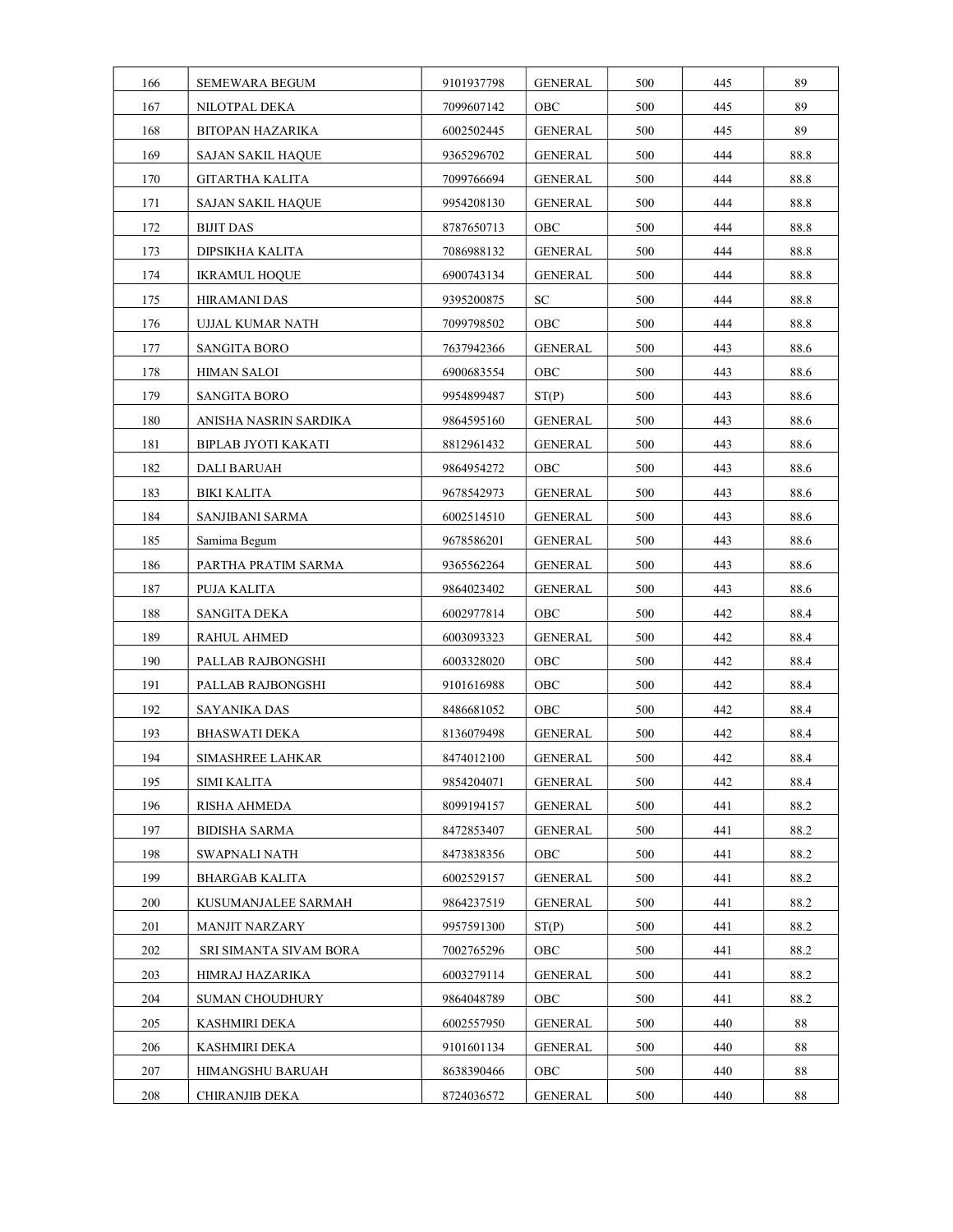| 166 | <b>SEMEWARA BEGUM</b>    | 9101937798 | <b>GENERAL</b> | 500 | 445 | 89   |
|-----|--------------------------|------------|----------------|-----|-----|------|
| 167 | NILOTPAL DEKA            | 7099607142 | OBC            | 500 | 445 | 89   |
| 168 | BITOPAN HAZARIKA         | 6002502445 | <b>GENERAL</b> | 500 | 445 | 89   |
| 169 | SAJAN SAKIL HAQUE        | 9365296702 | GENERAL        | 500 | 444 | 88.8 |
| 170 | GITARTHA KALITA          | 7099766694 | <b>GENERAL</b> | 500 | 444 | 88.8 |
| 171 | <b>SAJAN SAKIL HAQUE</b> | 9954208130 | GENERAL        | 500 | 444 | 88.8 |
| 172 | <b>BIJIT DAS</b>         | 8787650713 | OBC            | 500 | 444 | 88.8 |
| 173 | DIPSIKHA KALITA          | 7086988132 | <b>GENERAL</b> | 500 | 444 | 88.8 |
| 174 | <b>IKRAMUL HOQUE</b>     | 6900743134 | GENERAL        | 500 | 444 | 88.8 |
| 175 | <b>HIRAMANI DAS</b>      | 9395200875 | ${\rm SC}$     | 500 | 444 | 88.8 |
| 176 | UJJAL KUMAR NATH         | 7099798502 | OBC            | 500 | 444 | 88.8 |
| 177 | SANGITA BORO             | 7637942366 | <b>GENERAL</b> | 500 | 443 | 88.6 |
| 178 | HIMAN SALOI              | 6900683554 | OBC            | 500 | 443 | 88.6 |
| 179 | SANGITA BORO             | 9954899487 | ST(P)          | 500 | 443 | 88.6 |
| 180 | ANISHA NASRIN SARDIKA    | 9864595160 | GENERAL        | 500 | 443 | 88.6 |
| 181 | BIPLAB JYOTI KAKATI      | 8812961432 | GENERAL        | 500 | 443 | 88.6 |
| 182 | DALI BARUAH              | 9864954272 | OBC            | 500 | 443 | 88.6 |
| 183 | BIKI KALITA              | 9678542973 | GENERAL        | 500 | 443 | 88.6 |
| 184 | SANJIBANI SARMA          | 6002514510 | GENERAL        | 500 | 443 | 88.6 |
| 185 | Samima Begum             | 9678586201 | GENERAL        | 500 | 443 | 88.6 |
| 186 | PARTHA PRATIM SARMA      | 9365562264 | GENERAL        | 500 | 443 | 88.6 |
| 187 | PUJA KALITA              | 9864023402 | <b>GENERAL</b> | 500 | 443 | 88.6 |
| 188 | SANGITA DEKA             | 6002977814 | OBC            | 500 | 442 | 88.4 |
| 189 | RAHUL AHMED              | 6003093323 | <b>GENERAL</b> | 500 | 442 | 88.4 |
| 190 | PALLAB RAJBONGSHI        | 6003328020 | OBC            | 500 | 442 | 88.4 |
| 191 | PALLAB RAJBONGSHI        | 9101616988 | OBC            | 500 | 442 | 88.4 |
| 192 | <b>SAYANIKA DAS</b>      | 8486681052 | OBC            | 500 | 442 | 88.4 |
| 193 | <b>BHASWATI DEKA</b>     | 8136079498 | <b>GENERAL</b> | 500 | 442 | 88.4 |
| 194 | SIMASHREE LAHKAR         | 8474012100 | <b>GENERAL</b> | 500 | 442 | 88.4 |
| 195 | SIMI KALITA              | 9854204071 | <b>GENERAL</b> | 500 | 442 | 88.4 |
| 196 | RISHA AHMEDA             | 8099194157 | <b>GENERAL</b> | 500 | 441 | 88.2 |
| 197 | <b>BIDISHA SARMA</b>     | 8472853407 | <b>GENERAL</b> | 500 | 441 | 88.2 |
| 198 | SWAPNALI NATH            | 8473838356 | OBC            | 500 | 441 | 88.2 |
| 199 | <b>BHARGAB KALITA</b>    | 6002529157 | <b>GENERAL</b> | 500 | 441 | 88.2 |
| 200 | KUSUMANJALEE SARMAH      | 9864237519 | <b>GENERAL</b> | 500 | 441 | 88.2 |
| 201 | <b>MANJIT NARZARY</b>    | 9957591300 | ST(P)          | 500 | 441 | 88.2 |
| 202 | SRI SIMANTA SIVAM BORA   | 7002765296 | OBC            | 500 | 441 | 88.2 |
| 203 | HIMRAJ HAZARIKA          | 6003279114 | <b>GENERAL</b> | 500 | 441 | 88.2 |
| 204 | <b>SUMAN CHOUDHURY</b>   | 9864048789 | OBC            | 500 | 441 | 88.2 |
| 205 | KASHMIRI DEKA            | 6002557950 | <b>GENERAL</b> | 500 | 440 | 88   |
| 206 | KASHMIRI DEKA            | 9101601134 | <b>GENERAL</b> | 500 | 440 | 88   |
| 207 | HIMANGSHU BARUAH         | 8638390466 | OBC            | 500 | 440 | 88   |
| 208 | <b>CHIRANJIB DEKA</b>    | 8724036572 | <b>GENERAL</b> | 500 | 440 | 88   |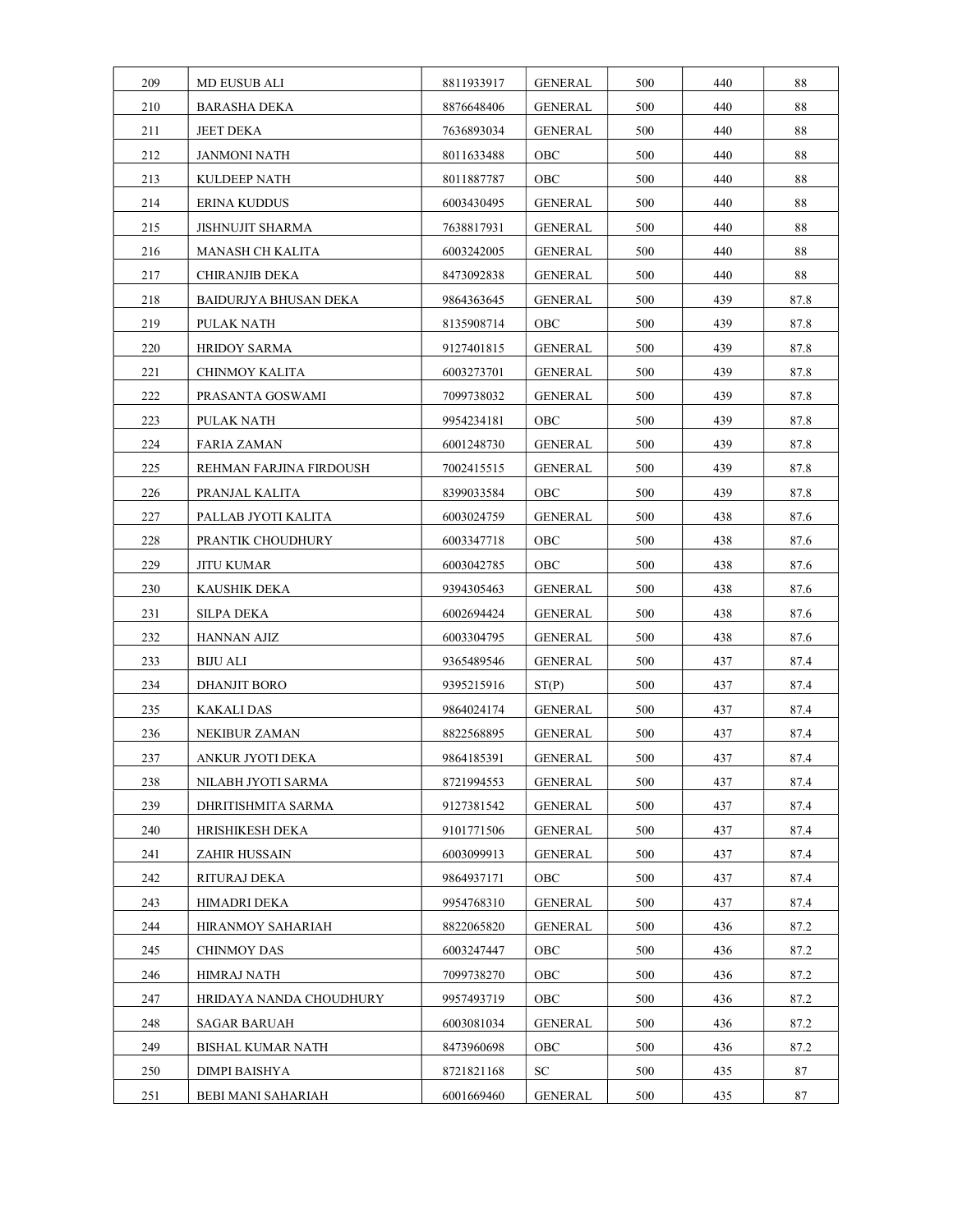| 209 | MD EUSUB ALI             | 8811933917 | GENERAL        | 500 | 440 | 88   |
|-----|--------------------------|------------|----------------|-----|-----|------|
| 210 | <b>BARASHA DEKA</b>      | 8876648406 | <b>GENERAL</b> | 500 | 440 | 88   |
| 211 | JEET DEKA                | 7636893034 | GENERAL        | 500 | 440 | 88   |
| 212 | JANMONI NATH             | 8011633488 | OBC            | 500 | 440 | 88   |
| 213 | <b>KULDEEP NATH</b>      | 8011887787 | OBC            | 500 | 440 | 88   |
| 214 | ERINA KUDDUS             | 6003430495 | GENERAL        | 500 | 440 | 88   |
| 215 | JISHNUJIT SHARMA         | 7638817931 | GENERAL        | 500 | 440 | 88   |
| 216 | <b>MANASH CH KALITA</b>  | 6003242005 | <b>GENERAL</b> | 500 | 440 | 88   |
| 217 | CHIRANJIB DEKA           | 8473092838 | GENERAL        | 500 | 440 | 88   |
| 218 | BAIDURJYA BHUSAN DEKA    | 9864363645 | GENERAL        | 500 | 439 | 87.8 |
| 219 | PULAK NATH               | 8135908714 | OBC            | 500 | 439 | 87.8 |
| 220 | HRIDOY SARMA             | 9127401815 | <b>GENERAL</b> | 500 | 439 | 87.8 |
| 221 | CHINMOY KALITA           | 6003273701 | <b>GENERAL</b> | 500 | 439 | 87.8 |
| 222 | PRASANTA GOSWAMI         | 7099738032 | GENERAL        | 500 | 439 | 87.8 |
| 223 | PULAK NATH               | 9954234181 | OBC            | 500 | 439 | 87.8 |
| 224 | FARIA ZAMAN              | 6001248730 | GENERAL        | 500 | 439 | 87.8 |
| 225 | REHMAN FARJINA FIRDOUSH  | 7002415515 | <b>GENERAL</b> | 500 | 439 | 87.8 |
| 226 | PRANJAL KALITA           | 8399033584 | OBC            | 500 | 439 | 87.8 |
| 227 | PALLAB JYOTI KALITA      | 6003024759 | GENERAL        | 500 | 438 | 87.6 |
| 228 | PRANTIK CHOUDHURY        | 6003347718 | OBC            | 500 | 438 | 87.6 |
| 229 | JITU KUMAR               | 6003042785 | OBC            | 500 | 438 | 87.6 |
| 230 | KAUSHIK DEKA             | 9394305463 | GENERAL        | 500 | 438 | 87.6 |
| 231 | SILPA DEKA               | 6002694424 | GENERAL        | 500 | 438 | 87.6 |
| 232 | HANNAN AJIZ              | 6003304795 | GENERAL        | 500 | 438 | 87.6 |
| 233 | BIJU ALI                 | 9365489546 | GENERAL        | 500 | 437 | 87.4 |
| 234 | <b>DHANJIT BORO</b>      | 9395215916 | ST(P)          | 500 | 437 | 87.4 |
| 235 | <b>KAKALI DAS</b>        | 9864024174 | <b>GENERAL</b> | 500 | 437 | 87.4 |
| 236 | NEKIBUR ZAMAN            | 8822568895 | <b>GENERAL</b> | 500 | 437 | 87.4 |
| 237 | ANKUR JYOTI DEKA         | 9864185391 | <b>GENERAL</b> | 500 | 437 | 87.4 |
| 238 | NILABH JYOTI SARMA       | 8721994553 | <b>GENERAL</b> | 500 | 437 | 87.4 |
| 239 | DHRITISHMITA SARMA       | 9127381542 | GENERAL        | 500 | 437 | 87.4 |
| 240 | HRISHIKESH DEKA          | 9101771506 | GENERAL        | 500 | 437 | 87.4 |
| 241 | ZAHIR HUSSAIN            | 6003099913 | <b>GENERAL</b> | 500 | 437 | 87.4 |
| 242 | RITURAJ DEKA             | 9864937171 | OBC            | 500 | 437 | 87.4 |
| 243 | <b>HIMADRI DEKA</b>      | 9954768310 | <b>GENERAL</b> | 500 | 437 | 87.4 |
| 244 | <b>HIRANMOY SAHARIAH</b> | 8822065820 | GENERAL        | 500 | 436 | 87.2 |
| 245 | CHINMOY DAS              | 6003247447 | OBC            | 500 | 436 | 87.2 |
| 246 | HIMRAJ NATH              | 7099738270 | OBC            | 500 | 436 | 87.2 |
| 247 | HRIDAYA NANDA CHOUDHURY  | 9957493719 | OBC            | 500 | 436 | 87.2 |
| 248 | <b>SAGAR BARUAH</b>      | 6003081034 | <b>GENERAL</b> | 500 | 436 | 87.2 |
| 249 | BISHAL KUMAR NATH        | 8473960698 | OBC            | 500 | 436 | 87.2 |
| 250 | DIMPI BAISHYA            | 8721821168 | SC             | 500 | 435 | 87   |
| 251 | BEBI MANI SAHARIAH       | 6001669460 | <b>GENERAL</b> | 500 | 435 | 87   |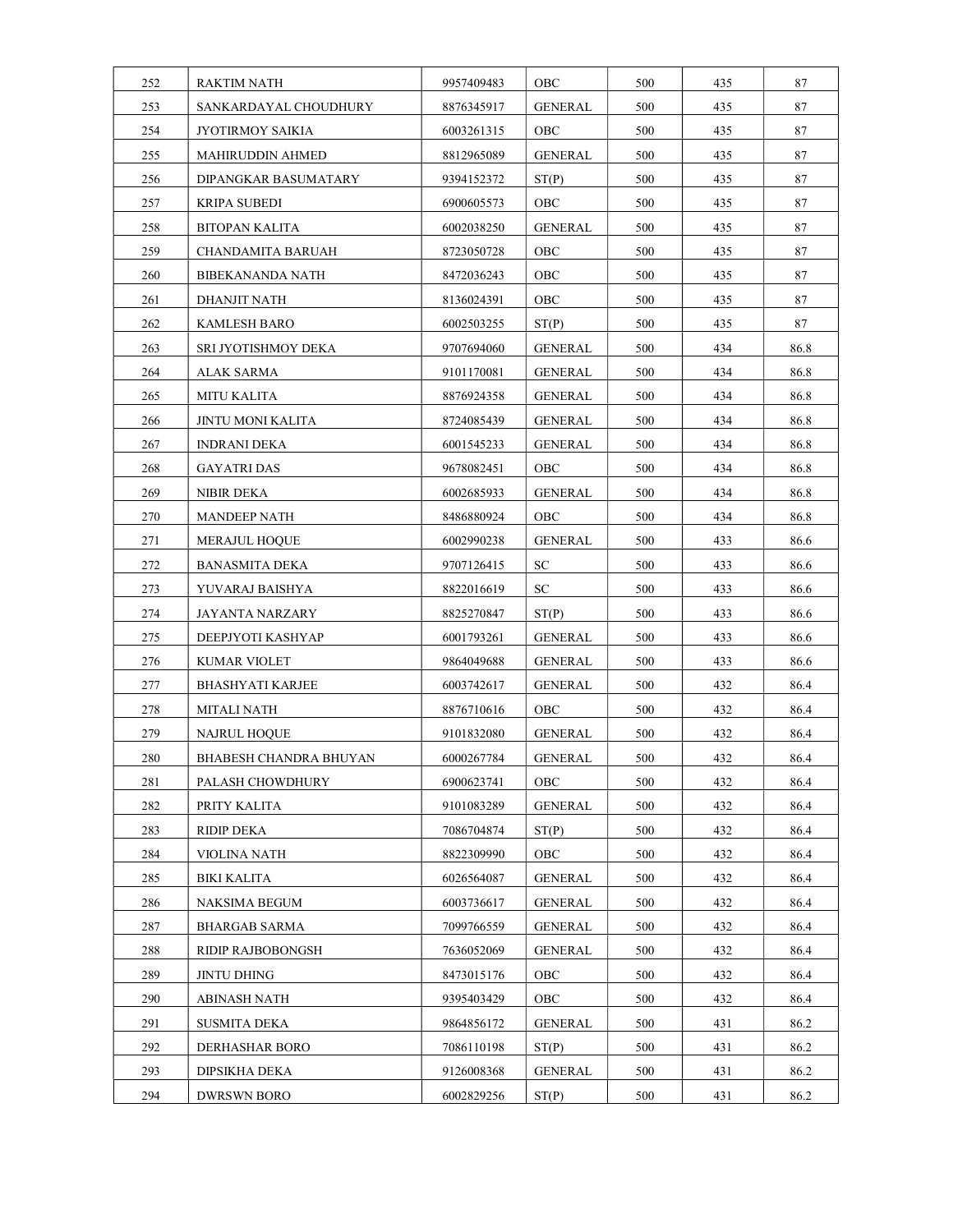| 252 | <b>RAKTIM NATH</b>       | 9957409483 | OBC            | 500 | 435 | 87   |
|-----|--------------------------|------------|----------------|-----|-----|------|
| 253 | SANKARDAYAL CHOUDHURY    | 8876345917 | <b>GENERAL</b> | 500 | 435 | 87   |
| 254 | JYOTIRMOY SAIKIA         | 6003261315 | <b>OBC</b>     | 500 | 435 | 87   |
| 255 | MAHIRUDDIN AHMED         | 8812965089 | GENERAL        | 500 | 435 | 87   |
| 256 | DIPANGKAR BASUMATARY     | 9394152372 | ST(P)          | 500 | 435 | 87   |
| 257 | KRIPA SUBEDI             | 6900605573 | OBC            | 500 | 435 | 87   |
| 258 | <b>BITOPAN KALITA</b>    | 6002038250 | <b>GENERAL</b> | 500 | 435 | 87   |
| 259 | CHANDAMITA BARUAH        | 8723050728 | OBC            | 500 | 435 | 87   |
| 260 | <b>BIBEKANANDA NATH</b>  | 8472036243 | OBC            | 500 | 435 | 87   |
| 261 | DHANJIT NATH             | 8136024391 | OBC            | 500 | 435 | 87   |
| 262 | KAMLESH BARO             | 6002503255 | ST(P)          | 500 | 435 | 87   |
| 263 | SRI JYOTISHMOY DEKA      | 9707694060 | <b>GENERAL</b> | 500 | 434 | 86.8 |
| 264 | <b>ALAK SARMA</b>        | 9101170081 | <b>GENERAL</b> | 500 | 434 | 86.8 |
| 265 | <b>MITU KALITA</b>       | 8876924358 | GENERAL        | 500 | 434 | 86.8 |
| 266 | JINTU MONI KALITA        | 8724085439 | <b>GENERAL</b> | 500 | 434 | 86.8 |
| 267 | <b>INDRANI DEKA</b>      | 6001545233 | GENERAL        | 500 | 434 | 86.8 |
| 268 | <b>GAYATRI DAS</b>       | 9678082451 | OBC            | 500 | 434 | 86.8 |
| 269 | NIBIR DEKA               | 6002685933 | GENERAL        | 500 | 434 | 86.8 |
| 270 | <b>MANDEEP NATH</b>      | 8486880924 | <b>OBC</b>     | 500 | 434 | 86.8 |
| 271 | <b>MERAJUL HOQUE</b>     | 6002990238 | <b>GENERAL</b> | 500 | 433 | 86.6 |
| 272 | BANASMITA DEKA           | 9707126415 | <b>SC</b>      | 500 | 433 | 86.6 |
| 273 | YUVARAJ BAISHYA          | 8822016619 | ${\rm SC}$     | 500 | 433 | 86.6 |
| 274 | JAYANTA NARZARY          | 8825270847 | ST(P)          | 500 | 433 | 86.6 |
| 275 | DEEPJYOTI KASHYAP        | 6001793261 | <b>GENERAL</b> | 500 | 433 | 86.6 |
| 276 | KUMAR VIOLET             | 9864049688 | GENERAL        | 500 | 433 | 86.6 |
| 277 | <b>BHASHYATI KARJEE</b>  | 6003742617 | <b>GENERAL</b> | 500 | 432 | 86.4 |
| 278 | MITALI NATH              | 8876710616 | OBC.           | 500 | 432 | 86.4 |
| 279 | NAJRUL HOQUE             | 9101832080 | GENERAL        | 500 | 432 | 86.4 |
| 280 | BHABESH CHANDRA BHUYAN   | 6000267784 | <b>GENERAL</b> | 500 | 432 | 86.4 |
| 281 | PALASH CHOWDHURY         | 6900623741 | OBC            | 500 | 432 | 86.4 |
| 282 | PRITY KALITA             | 9101083289 | GENERAL        | 500 | 432 | 86.4 |
| 283 | <b>RIDIP DEKA</b>        | 7086704874 | ST(P)          | 500 | 432 | 86.4 |
| 284 | VIOLINA NATH             | 8822309990 | OBC.           | 500 | 432 | 86.4 |
| 285 | BIKI KALITA              | 6026564087 | <b>GENERAL</b> | 500 | 432 | 86.4 |
| 286 | NAKSIMA BEGUM            | 6003736617 | <b>GENERAL</b> | 500 | 432 | 86.4 |
| 287 | <b>BHARGAB SARMA</b>     | 7099766559 | <b>GENERAL</b> | 500 | 432 | 86.4 |
| 288 | <b>RIDIP RAJBOBONGSH</b> | 7636052069 | <b>GENERAL</b> | 500 | 432 | 86.4 |
| 289 | JINTU DHING              | 8473015176 | OBC            | 500 | 432 | 86.4 |
| 290 | ABINASH NATH             | 9395403429 | OBC            | 500 | 432 | 86.4 |
| 291 | <b>SUSMITA DEKA</b>      | 9864856172 | GENERAL        | 500 | 431 | 86.2 |
| 292 | DERHASHAR BORO           | 7086110198 | ST(P)          | 500 | 431 | 86.2 |
| 293 | DIPSIKHA DEKA            | 9126008368 | GENERAL        | 500 | 431 | 86.2 |
| 294 | <b>DWRSWN BORO</b>       | 6002829256 | ST(P)          | 500 | 431 | 86.2 |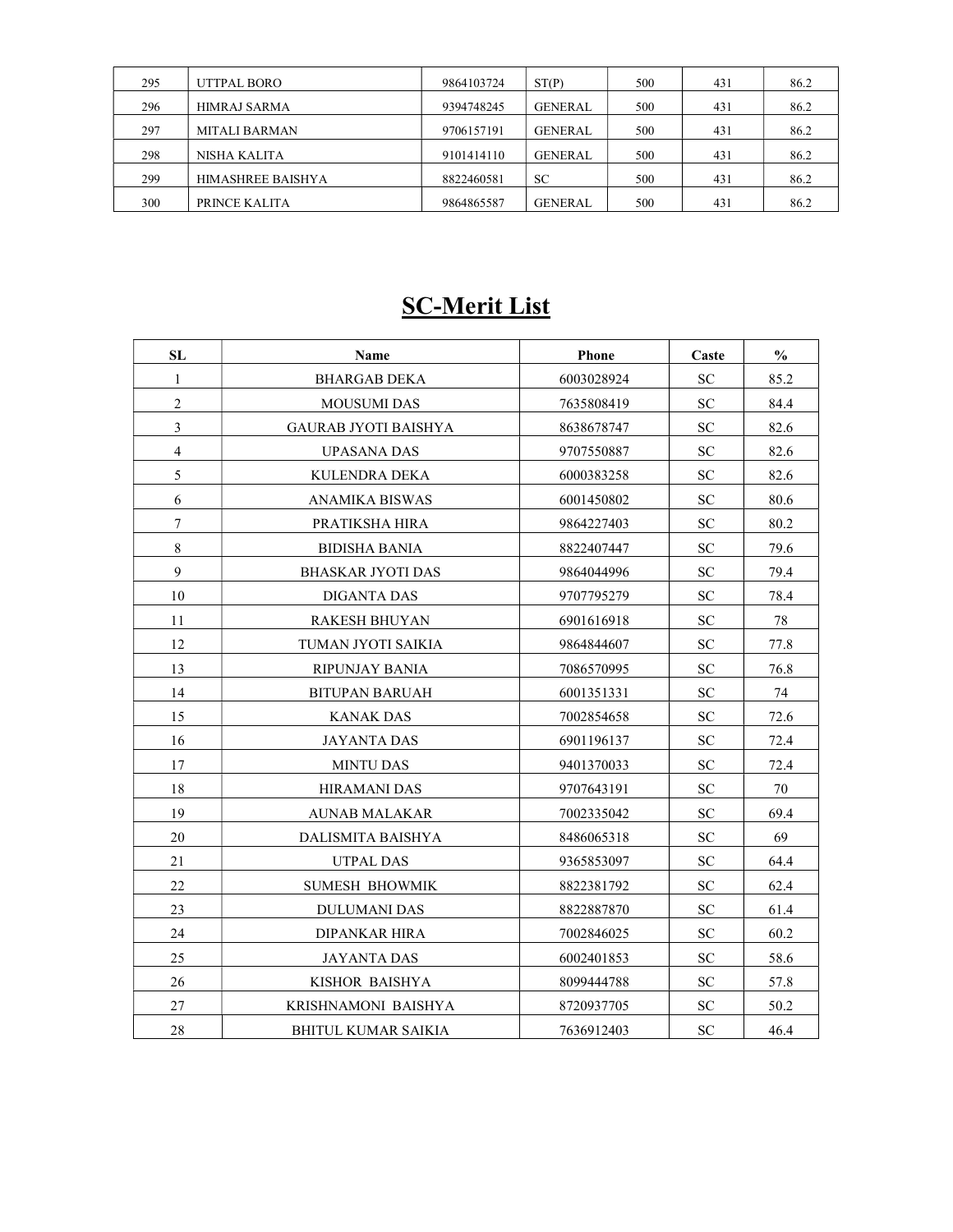| 295 | UTTPAL BORO              | 9864103724 | ST(P)          | 500 | 431 | 86.2 |
|-----|--------------------------|------------|----------------|-----|-----|------|
| 296 | <b>HIMRAJ SARMA</b>      | 9394748245 | <b>GENERAL</b> | 500 | 431 | 86.2 |
| 297 | <b>MITALI BARMAN</b>     | 9706157191 | <b>GENERAL</b> | 500 | 431 | 86.2 |
| 298 | NISHA KALITA             | 9101414110 | <b>GENERAL</b> | 500 | 431 | 86.2 |
| 299 | <b>HIMASHREE BAISHYA</b> | 8822460581 | <b>SC</b>      | 500 | 431 | 86.2 |
| 300 | PRINCE KALITA            | 9864865587 | <b>GENERAL</b> | 500 | 431 | 86.2 |

# SC-Merit List

| <b>SL</b>      | Name                        | Phone      | Caste     | $\frac{0}{0}$ |
|----------------|-----------------------------|------------|-----------|---------------|
| 1              | <b>BHARGAB DEKA</b>         | 6003028924 | <b>SC</b> | 85.2          |
| $\overline{2}$ | <b>MOUSUMI DAS</b>          | 7635808419 | SС        | 84.4          |
| 3              | <b>GAURAB JYOTI BAISHYA</b> | 8638678747 | SС        | 82.6          |
| $\overline{4}$ | <b>UPASANA DAS</b>          | 9707550887 | SC.       | 82.6          |
| 5              | KULENDRA DEKA               | 6000383258 | SC        | 82.6          |
| 6              | ANAMIKA BISWAS              | 6001450802 | SС        | 80.6          |
| $\tau$         | PRATIKSHA HIRA              | 9864227403 | <b>SC</b> | 80.2          |
| 8              | <b>BIDISHA BANIA</b>        | 8822407447 | SС        | 79.6          |
| 9              | BHASKAR JYOTI DAS           | 9864044996 | <b>SC</b> | 79.4          |
| 10             | DIGANTA DAS                 | 9707795279 | <b>SC</b> | 78.4          |
| 11             | RAKESH BHUYAN               | 6901616918 | SС        | 78            |
| 12             | TUMAN JYOTI SAIKIA          | 9864844607 | SС        | 77.8          |
| 13             | RIPUNJAY BANIA              | 7086570995 | SС        | 76.8          |
| 14             | <b>BITUPAN BARUAH</b>       | 6001351331 | SС        | 74            |
| 15             | <b>KANAK DAS</b>            | 7002854658 | SC.       | 72.6          |
| 16             | <b>JAYANTA DAS</b>          | 6901196137 | SC.       | 72.4          |
| 17             | <b>MINTU DAS</b>            | 9401370033 | SС        | 72.4          |
| 18             | <b>HIRAMANI DAS</b>         | 9707643191 | SС        | 70            |
| 19             | <b>AUNAB MALAKAR</b>        | 7002335042 | <b>SC</b> | 69.4          |
| 20             | DALISMITA BAISHYA           | 8486065318 | SС        | 69            |
| 21             | UTPAL DAS                   | 9365853097 | <b>SC</b> | 64.4          |
| 22             | <b>SUMESH BHOWMIK</b>       | 8822381792 | <b>SC</b> | 62.4          |
| 23             | <b>DULUMANI DAS</b>         | 8822887870 | SС        | 61.4          |
| 24             | DIPANKAR HIRA               | 7002846025 | SС        | 60.2          |
| 25             | <b>JAYANTA DAS</b>          | 6002401853 | SС        | 58.6          |
| 26             | KISHOR BAISHYA              | 8099444788 | SС        | 57.8          |
| 27             | KRISHNAMONI BAISHYA         | 8720937705 | SC        | 50.2          |
| 28             | <b>BHITUL KUMAR SAIKIA</b>  | 7636912403 | <b>SC</b> | 46.4          |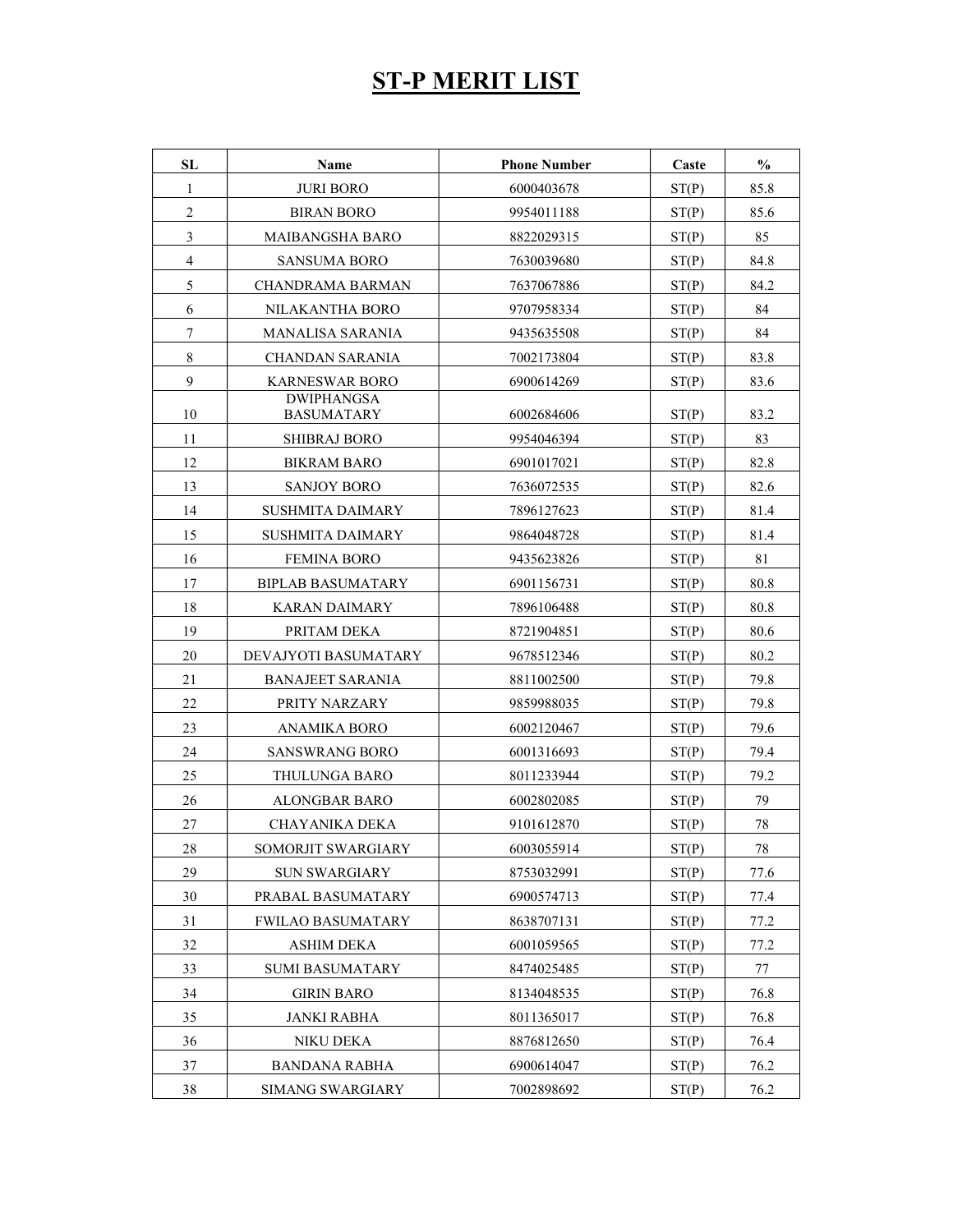### ST-P MERIT LIST

| SL                      | Name                                   | <b>Phone Number</b> | Caste | $\frac{0}{0}$ |
|-------------------------|----------------------------------------|---------------------|-------|---------------|
| 1                       | <b>JURI BORO</b>                       | 6000403678          | ST(P) | 85.8          |
| $\overline{c}$          | <b>BIRAN BORO</b>                      | 9954011188          | ST(P) | 85.6          |
| 3                       | <b>MAIBANGSHA BARO</b>                 | 8822029315          | ST(P) | 85            |
| $\overline{\mathbf{4}}$ | <b>SANSUMA BORO</b>                    | 7630039680          | ST(P) | 84.8          |
| 5                       | <b>CHANDRAMA BARMAN</b>                | 7637067886          | ST(P) | 84.2          |
| 6                       | NILAKANTHA BORO                        | 9707958334          | ST(P) | 84            |
| $\tau$                  | MANALISA SARANIA                       | 9435635508          | ST(P) | 84            |
| $\,8\,$                 | CHANDAN SARANIA                        | 7002173804          | ST(P) | 83.8          |
| 9                       | <b>KARNESWAR BORO</b>                  | 6900614269          | ST(P) | 83.6          |
| 10                      | <b>DWIPHANGSA</b><br><b>BASUMATARY</b> | 6002684606          | ST(P) | 83.2          |
| 11                      | <b>SHIBRAJ BORO</b>                    | 9954046394          | ST(P) | 83            |
| 12                      | <b>BIKRAM BARO</b>                     | 6901017021          | ST(P) | 82.8          |
| 13                      | <b>SANJOY BORO</b>                     | 7636072535          | ST(P) | 82.6          |
| 14                      | <b>SUSHMITA DAIMARY</b>                | 7896127623          | ST(P) | 81.4          |
| 15                      | <b>SUSHMITA DAIMARY</b>                | 9864048728          | ST(P) | 81.4          |
| 16                      | <b>FEMINA BORO</b>                     | 9435623826          | ST(P) | 81            |
| 17                      | <b>BIPLAB BASUMATARY</b>               | 6901156731          | ST(P) | 80.8          |
| 18                      | KARAN DAIMARY                          | 7896106488          | ST(P) | 80.8          |
| 19                      | PRITAM DEKA                            | 8721904851          | ST(P) | 80.6          |
| 20                      | DEVAJYOTI BASUMATARY                   | 9678512346          | ST(P) | 80.2          |
| 21                      | <b>BANAJEET SARANIA</b>                | 8811002500          | ST(P) | 79.8          |
| 22                      | PRITY NARZARY                          | 9859988035          | ST(P) | 79.8          |
| 23                      | <b>ANAMIKA BORO</b>                    | 6002120467          | ST(P) | 79.6          |
| 24                      | <b>SANSWRANG BORO</b>                  | 6001316693          | ST(P) | 79.4          |
| 25                      | THULUNGA BARO                          | 8011233944          | ST(P) | 79.2          |
| 26                      | <b>ALONGBAR BARO</b>                   | 6002802085          | ST(P) | 79            |
| 27                      | CHAYANIKA DEKA                         | 9101612870          | ST(P) | 78            |
| 28                      | SOMORJIT SWARGIARY                     | 6003055914          | ST(P) | 78            |
| 29                      | <b>SUN SWARGIARY</b>                   | 8753032991          | ST(P) | 77.6          |
| 30                      | PRABAL BASUMATARY                      | 6900574713          | ST(P) | 77.4          |
| 31                      | <b>FWILAO BASUMATARY</b>               | 8638707131          | ST(P) | 77.2          |
| 32                      | <b>ASHIM DEKA</b>                      | 6001059565          | ST(P) | 77.2          |
| 33                      | <b>SUMI BASUMATARY</b>                 | 8474025485          | ST(P) | 77            |
| 34                      | <b>GIRIN BARO</b>                      | 8134048535          | ST(P) | 76.8          |
| 35                      | <b>JANKI RABHA</b>                     | 8011365017          | ST(P) | 76.8          |
| 36                      | NIKU DEKA                              | 8876812650          | ST(P) | 76.4          |
| 37                      | <b>BANDANA RABHA</b>                   | 6900614047          | ST(P) | 76.2          |
| 38                      | SIMANG SWARGIARY                       | 7002898692          | ST(P) | 76.2          |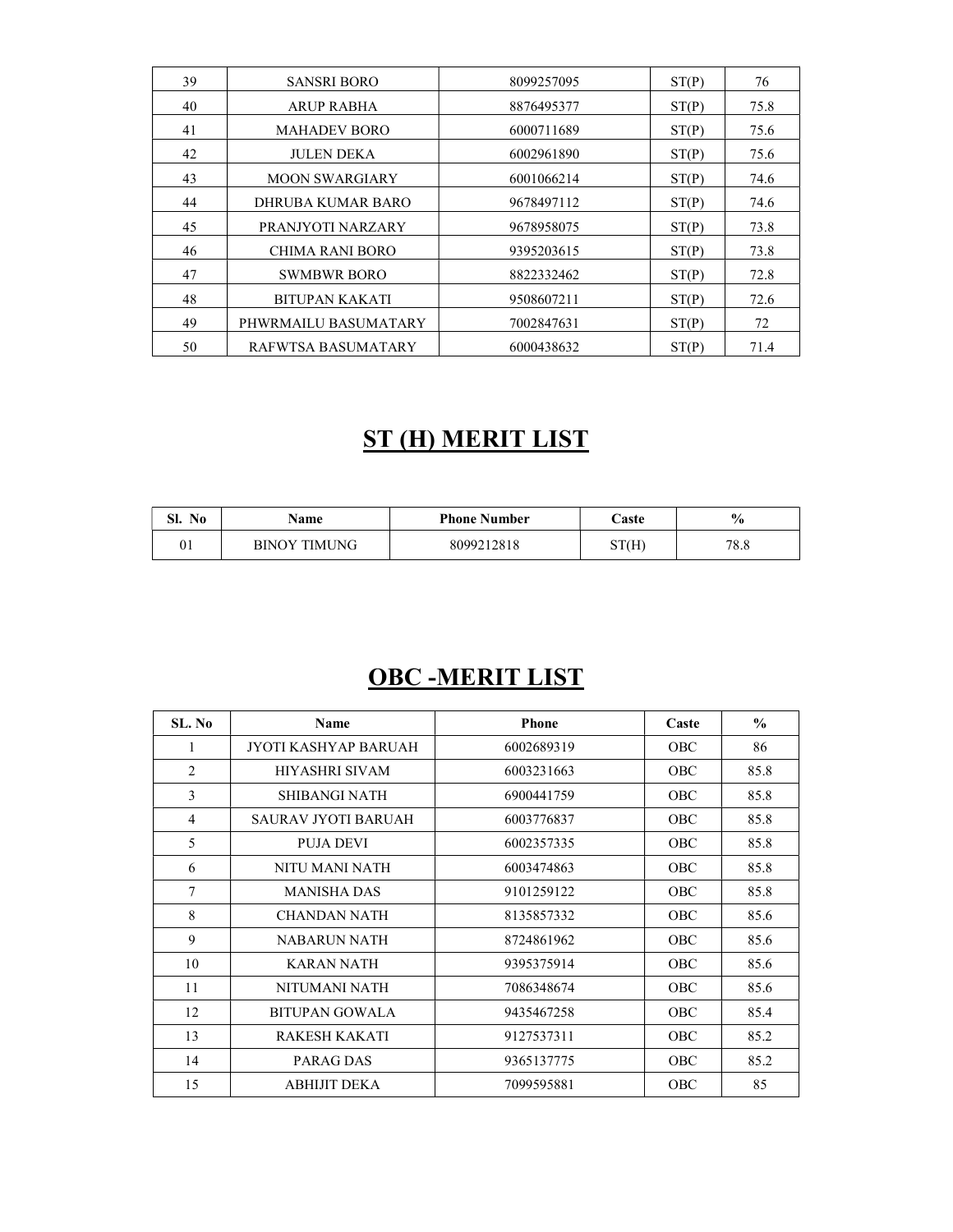| 39 | <b>SANSRI BORO</b>    | 8099257095 | ST(P) | 76   |
|----|-----------------------|------------|-------|------|
| 40 | ARUP RABHA            | 8876495377 | ST(P) | 75.8 |
| 41 | <b>MAHADEV BORO</b>   | 6000711689 | ST(P) | 75.6 |
| 42 | <b>JULEN DEKA</b>     | 6002961890 | ST(P) | 75.6 |
| 43 | <b>MOON SWARGIARY</b> | 6001066214 | ST(P) | 74.6 |
| 44 | DHRUBA KUMAR BARO     | 9678497112 | ST(P) | 74.6 |
| 45 | PRANJYOTI NARZARY     | 9678958075 | ST(P) | 73.8 |
| 46 | CHIMA RANI BORO       | 9395203615 | ST(P) | 73.8 |
| 47 | <b>SWMBWR BORO</b>    | 8822332462 | ST(P) | 72.8 |
| 48 | <b>BITUPAN KAKATI</b> | 9508607211 | ST(P) | 72.6 |
| 49 | PHWRMAILU BASUMATARY  | 7002847631 | ST(P) | 72   |
| 50 | RAFWTSA BASUMATARY    | 6000438632 | ST(P) | 71.4 |

### ST (H) MERIT LIST

| OТ<br>N <sub>0</sub><br>м. | <b>Name</b>         | <b>Phone Number</b> | $\sqrt{a}$ ste | $\%$ |
|----------------------------|---------------------|---------------------|----------------|------|
| 01                         | <b>BINOY TIMUNG</b> | 8099212818          | ST(H)          | 78.8 |

## OBC -MERIT LIST

| SL. No         | <b>Name</b>           | <b>Phone</b> | Caste      | $\frac{0}{0}$ |
|----------------|-----------------------|--------------|------------|---------------|
| 1              | JYOTI KASHYAP BARUAH  | 6002689319   | <b>OBC</b> | 86            |
| $\overline{2}$ | <b>HIYASHRI SIVAM</b> | 6003231663   | <b>OBC</b> | 85.8          |
| 3              | SHIBANGI NATH         | 6900441759   | <b>OBC</b> | 85.8          |
| 4              | SAURAV JYOTI BARUAH   | 6003776837   | OBC        | 85.8          |
| 5              | PUJA DEVI             | 6002357335   | <b>OBC</b> | 85.8          |
| 6              | NITU MANI NATH        | 6003474863   | <b>OBC</b> | 85.8          |
| 7              | <b>MANISHA DAS</b>    | 9101259122   | OBC        | 85.8          |
| 8              | CHANDAN NATH          | 8135857332   | <b>OBC</b> | 85.6          |
| 9              | NABARUN NATH          | 8724861962   | <b>OBC</b> | 85.6          |
| 10             | KARAN NATH            | 9395375914   | OBC        | 85.6          |
| 11             | NITUMANI NATH         | 7086348674   | <b>OBC</b> | 85.6          |
| 12             | BITUPAN GOWALA        | 9435467258   | <b>OBC</b> | 85.4          |
| 13             | RAKESH KAKATI         | 9127537311   | OBC        | 85.2          |
| 14             | PARAG DAS             | 9365137775   | <b>OBC</b> | 85.2          |
| 15             | ABHIJIT DEKA          | 7099595881   | <b>OBC</b> | 85            |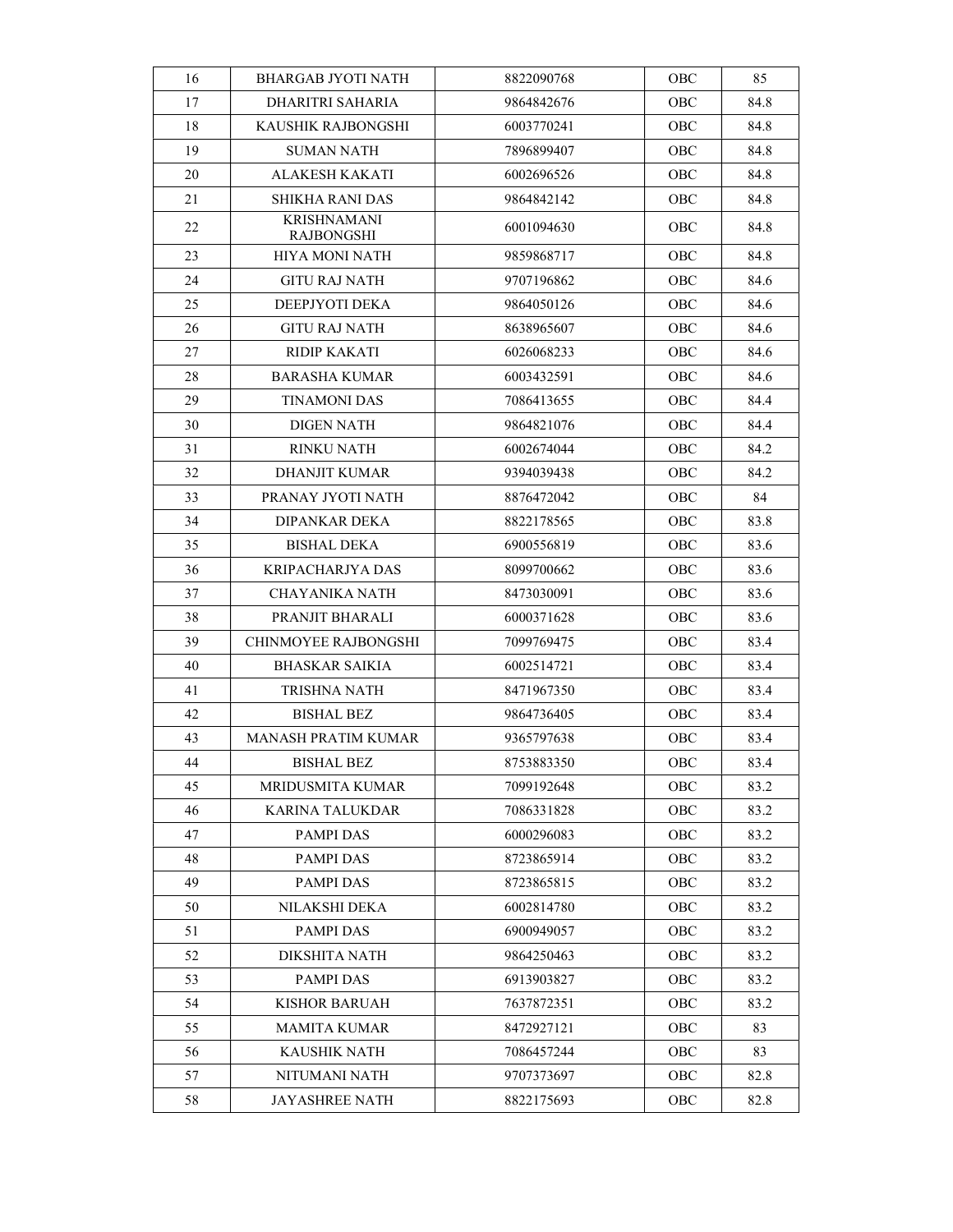| 16 | <b>BHARGAB JYOTI NATH</b>        | 8822090768 | OBC        | 85   |
|----|----------------------------------|------------|------------|------|
| 17 | DHARITRI SAHARIA                 | 9864842676 | OBC        | 84.8 |
| 18 | KAUSHIK RAJBONGSHI               | 6003770241 | OBC        | 84.8 |
| 19 | SUMAN NATH                       | 7896899407 | OBC        | 84.8 |
| 20 | ALAKESH KAKATI                   | 6002696526 | OBC        | 84.8 |
| 21 | SHIKHA RANI DAS                  | 9864842142 | OBC        | 84.8 |
| 22 | <b>KRISHNAMANI</b><br>RAJBONGSHI | 6001094630 | OBC        | 84.8 |
| 23 | <b>HIYA MONI NATH</b>            | 9859868717 | OBC        | 84.8 |
| 24 | GITU RAJ NATH                    | 9707196862 | OBC        | 84.6 |
| 25 | DEEPJYOTI DEKA                   | 9864050126 | OBC        | 84.6 |
| 26 | GITU RAJ NATH                    | 8638965607 | OBC        | 84.6 |
| 27 | RIDIP KAKATI                     | 6026068233 | OBC        | 84.6 |
| 28 | BARASHA KUMAR                    | 6003432591 | OBC        | 84.6 |
| 29 | <b>TINAMONI DAS</b>              | 7086413655 | OBC        | 84.4 |
| 30 | <b>DIGEN NATH</b>                | 9864821076 | OBC        | 84.4 |
| 31 | <b>RINKU NATH</b>                | 6002674044 | OBC        | 84.2 |
| 32 | <b>DHANJIT KUMAR</b>             | 9394039438 | OBC        | 84.2 |
| 33 | PRANAY JYOTI NATH                | 8876472042 | OBC        | 84   |
| 34 | <b>DIPANKAR DEKA</b>             | 8822178565 | OBC        | 83.8 |
| 35 | BISHAL DEKA                      | 6900556819 | OBC        | 83.6 |
| 36 | KRIPACHARJYA DAS                 | 8099700662 | <b>OBC</b> | 83.6 |
| 37 | CHAYANIKA NATH                   | 8473030091 | OBC        | 83.6 |
| 38 | PRANJIT BHARALI                  | 6000371628 | OBC        | 83.6 |
| 39 | CHINMOYEE RAJBONGSHI             | 7099769475 | OBC        | 83.4 |
| 40 | <b>BHASKAR SAIKIA</b>            | 6002514721 | OBC        | 83.4 |
| 41 | TRISHNA NATH                     | 8471967350 | OBC        | 83.4 |
| 42 | <b>BISHAL BEZ</b>                | 9864736405 | OBC        | 83.4 |
| 43 | <b>MANASH PRATIM KUMAR</b>       | 9365797638 | OBC        | 83.4 |
| 44 | BISHAL BEZ                       | 8753883350 | OBC        | 83.4 |
| 45 | MRIDUSMITA KUMAR                 | 7099192648 | <b>OBC</b> | 83.2 |
| 46 | <b>KARINA TALUKDAR</b>           | 7086331828 | OBC        | 83.2 |
| 47 | PAMPI DAS                        | 6000296083 | OBC        | 83.2 |
| 48 | PAMPI DAS                        | 8723865914 | <b>OBC</b> | 83.2 |
| 49 | <b>PAMPI DAS</b>                 | 8723865815 | OBC        | 83.2 |
| 50 | NILAKSHI DEKA                    | 6002814780 | OBC        | 83.2 |
| 51 | PAMPI DAS                        | 6900949057 | OBC        | 83.2 |
| 52 | DIKSHITA NATH                    | 9864250463 | OBC        | 83.2 |
| 53 | PAMPI DAS                        | 6913903827 | <b>OBC</b> | 83.2 |
| 54 | <b>KISHOR BARUAH</b>             | 7637872351 | <b>OBC</b> | 83.2 |
| 55 | MAMITA KUMAR                     | 8472927121 | OBC        | 83   |
| 56 | <b>KAUSHIK NATH</b>              | 7086457244 | OBC        | 83   |
| 57 | NITUMANI NATH                    | 9707373697 | OBC        | 82.8 |
| 58 | <b>JAYASHREE NATH</b>            | 8822175693 | <b>OBC</b> | 82.8 |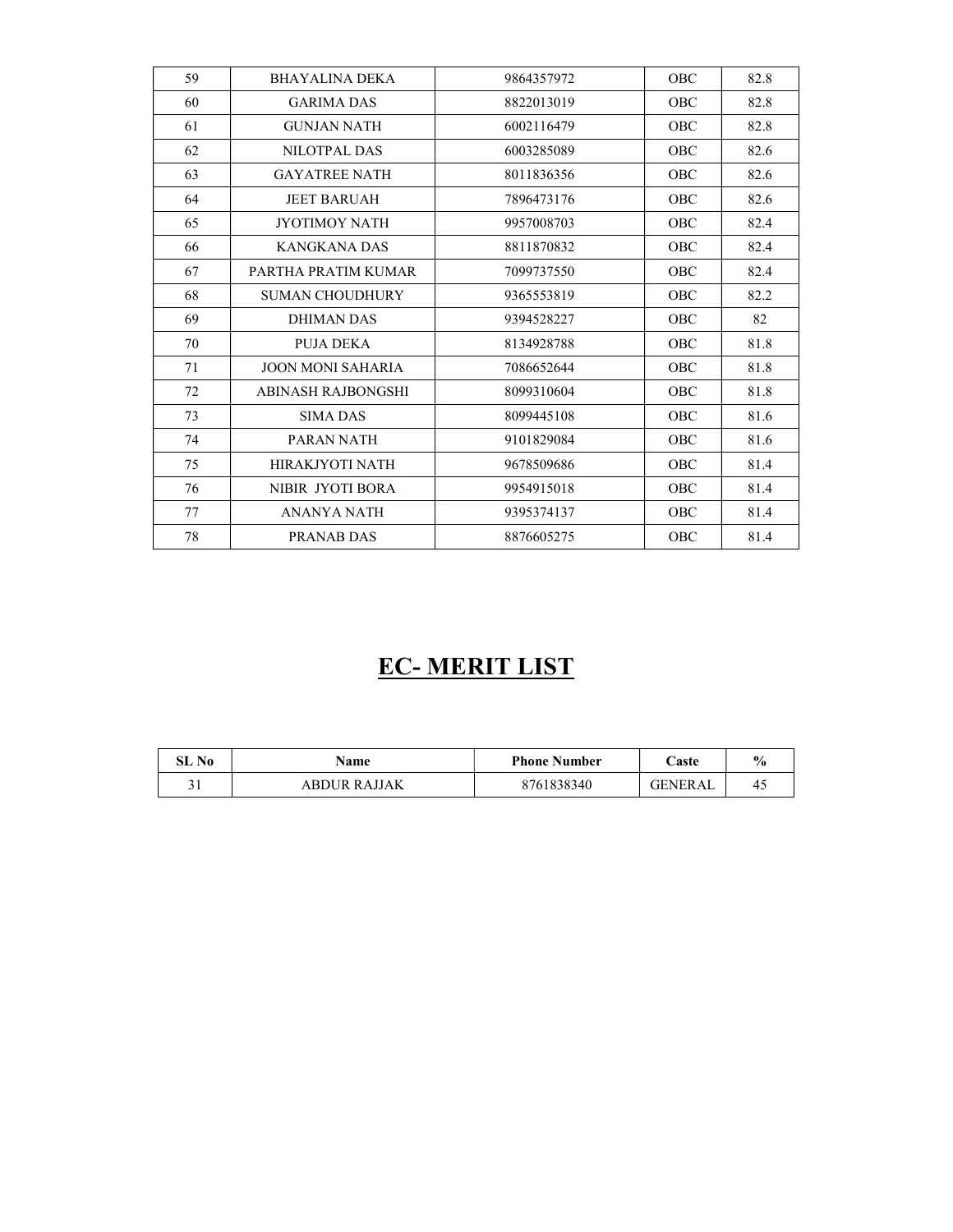| 59 | <b>BHAYALINA DEKA</b>    | 9864357972 | <b>OBC</b> | 82.8 |
|----|--------------------------|------------|------------|------|
| 60 | <b>GARIMA DAS</b>        | 8822013019 | <b>OBC</b> | 82.8 |
| 61 | <b>GUNJAN NATH</b>       | 6002116479 | OBC        | 82.8 |
| 62 | NILOTPAL DAS             | 6003285089 | <b>OBC</b> | 82.6 |
| 63 | <b>GAYATREE NATH</b>     | 8011836356 | <b>OBC</b> | 82.6 |
| 64 | <b>JEET BARUAH</b>       | 7896473176 | OBC        | 82.6 |
| 65 | <b>JYOTIMOY NATH</b>     | 9957008703 | <b>OBC</b> | 82.4 |
| 66 | KANGKANA DAS             | 8811870832 | <b>OBC</b> | 82.4 |
| 67 | PARTHA PRATIM KUMAR      | 7099737550 | <b>OBC</b> | 82.4 |
| 68 | <b>SUMAN CHOUDHURY</b>   | 9365553819 | <b>OBC</b> | 82.2 |
| 69 | DHIMAN DAS               | 9394528227 | <b>OBC</b> | 82   |
| 70 | PUJA DEKA                | 8134928788 | <b>OBC</b> | 81.8 |
| 71 | <b>JOON MONI SAHARIA</b> | 7086652644 | OBC        | 81.8 |
| 72 | ABINASH RAJBONGSHI       | 8099310604 | <b>OBC</b> | 81.8 |
| 73 | <b>SIMA DAS</b>          | 8099445108 | <b>OBC</b> | 81.6 |
| 74 | PARAN NATH               | 9101829084 | <b>OBC</b> | 81.6 |
| 75 | HIRAKJYOTI NATH          | 9678509686 | OBC        | 81.4 |
| 76 | NIBIR JYOTI BORA         | 9954915018 | <b>OBC</b> | 81.4 |
| 77 | ANANYA NATH              | 9395374137 | <b>OBC</b> | 81.4 |
| 78 | PRANAB DAS               | 8876605275 | <b>OBC</b> | 81.4 |

# EC- MERIT LIST

| SL No        | Name         | <b>Phone Number</b> | . aste         | $\frac{1}{2}$ |
|--------------|--------------|---------------------|----------------|---------------|
| $^{\circ}$ 1 | ABDUR RAJJAK | 8761838340          | <b>GENERAL</b> | 4.            |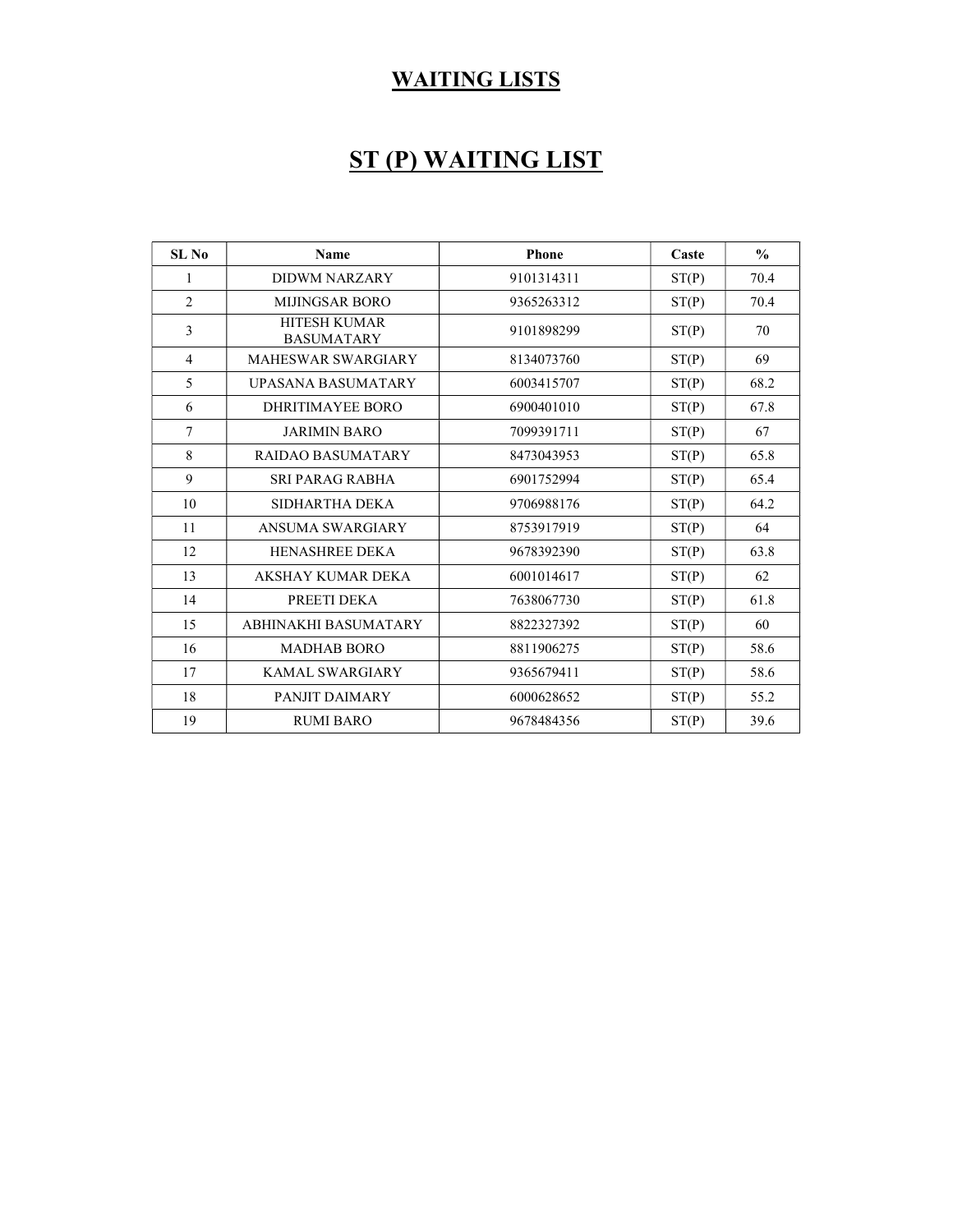#### WAITING LISTS

## ST (P) WAITING LIST

| SL No          | <b>Name</b>                       | <b>Phone</b> | Caste | $\frac{0}{0}$ |
|----------------|-----------------------------------|--------------|-------|---------------|
| 1              | <b>DIDWM NARZARY</b>              | 9101314311   | ST(P) | 70.4          |
| $\overline{2}$ | <b>MIJINGSAR BORO</b>             | 9365263312   | ST(P) | 70.4          |
| 3              | HITESH KUMAR<br><b>BASUMATARY</b> | 9101898299   | ST(P) | 70            |
| 4              | <b>MAHESWAR SWARGIARY</b>         | 8134073760   | ST(P) | 69            |
| 5              | <b>UPASANA BASUMATARY</b>         | 6003415707   | ST(P) | 68.2          |
| 6              | <b>DHRITIMAYEE BORO</b>           | 6900401010   | ST(P) | 67.8          |
| $\overline{7}$ | <b>JARIMIN BARO</b>               | 7099391711   | ST(P) | 67            |
| 8              | <b>RAIDAO BASUMATARY</b>          | 8473043953   | ST(P) | 65.8          |
| 9              | SRI PARAG RABHA                   | 6901752994   | ST(P) | 65.4          |
| 10             | SIDHARTHA DEKA                    | 9706988176   | ST(P) | 64.2          |
| 11             | ANSUMA SWARGIARY                  | 8753917919   | ST(P) | 64            |
| 12             | <b>HENASHREE DEKA</b>             | 9678392390   | ST(P) | 63.8          |
| 13             | AKSHAY KUMAR DEKA                 | 6001014617   | ST(P) | 62            |
| 14             | PREETI DEKA                       | 7638067730   | ST(P) | 61.8          |
| 15             | ABHINAKHI BASUMATARY              | 8822327392   | ST(P) | 60            |
| 16             | <b>MADHAB BORO</b>                | 8811906275   | ST(P) | 58.6          |
| 17             | KAMAL SWARGIARY                   | 9365679411   | ST(P) | 58.6          |
| 18             | PANJIT DAIMARY                    | 6000628652   | ST(P) | 55.2          |
| 19             | <b>RUMI BARO</b>                  | 9678484356   | ST(P) | 39.6          |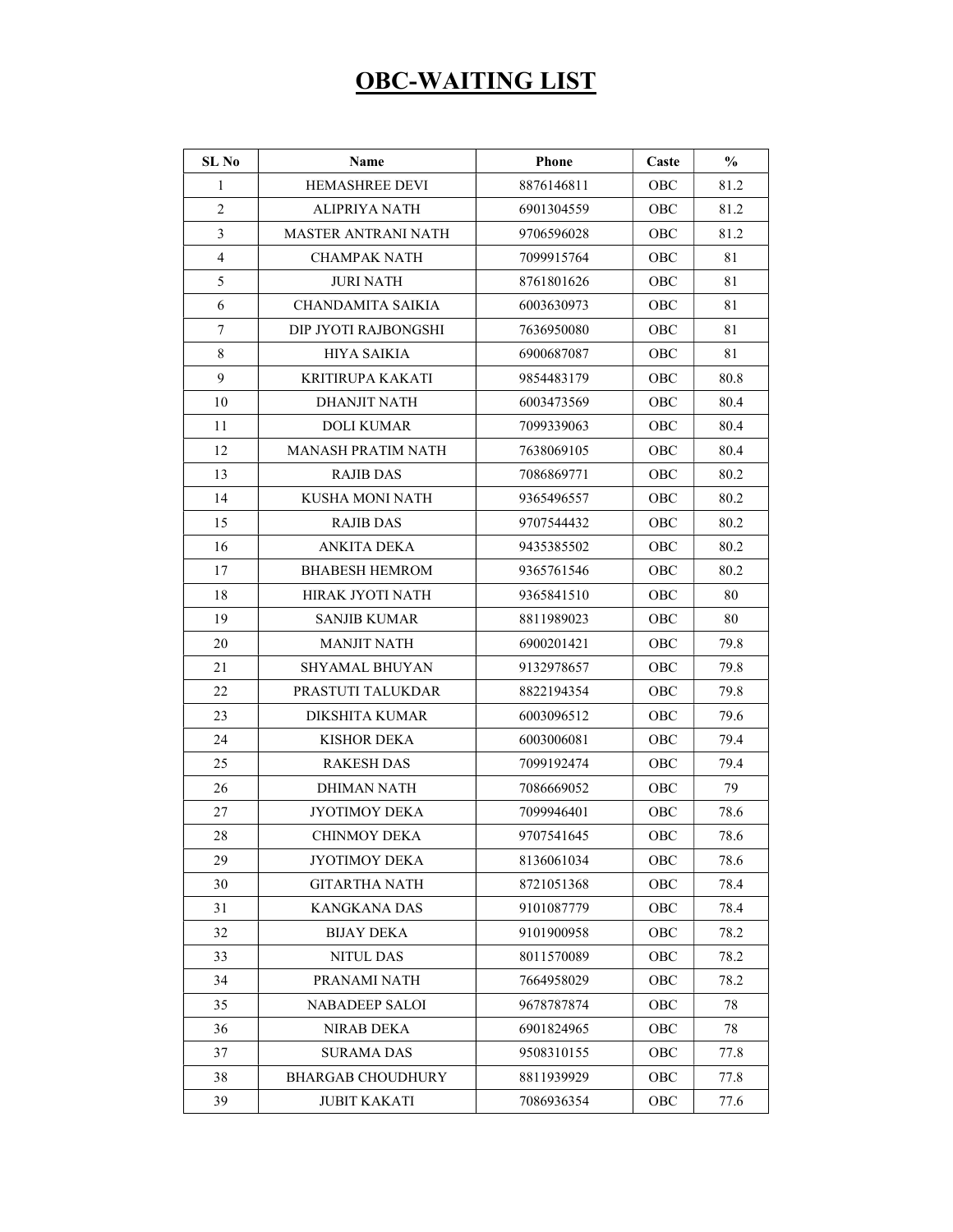### OBC-WAITING LIST

| SL No          | Name                      | <b>Phone</b> | Caste      | $\frac{0}{0}$ |
|----------------|---------------------------|--------------|------------|---------------|
| $\mathbf{1}$   | <b>HEMASHREE DEVI</b>     | 8876146811   | OBC        | 81.2          |
| $\overline{2}$ | ALIPRIYA NATH             | 6901304559   | OBC        | 81.2          |
| 3              | MASTER ANTRANI NATH       | 9706596028   | <b>OBC</b> | 81.2          |
| $\overline{4}$ | CHAMPAK NATH              | 7099915764   | OBC        | 81            |
| 5              | JURI NATH                 | 8761801626   | OBC        | 81            |
| 6              | CHANDAMITA SAIKIA         | 6003630973   | OBC        | 81            |
| $\tau$         | DIP JYOTI RAJBONGSHI      | 7636950080   | OBC        | 81            |
| $\,$ 8 $\,$    | HIYA SAIKIA               | 6900687087   | OBC        | 81            |
| 9              | <b>KRITIRUPA KAKATI</b>   | 9854483179   | OBC        | 80.8          |
| 10             | DHANJIT NATH              | 6003473569   | OBC        | 80.4          |
| 11             | DOLI KUMAR                | 7099339063   | OBC        | 80.4          |
| 12             | <b>MANASH PRATIM NATH</b> | 7638069105   | OBC        | 80.4          |
| 13             | RAJIB DAS                 | 7086869771   | OBC        | 80.2          |
| 14             | KUSHA MONI NATH           | 9365496557   | OBC        | 80.2          |
| 15             | <b>RAJIB DAS</b>          | 9707544432   | <b>OBC</b> | 80.2          |
| 16             | <b>ANKITA DEKA</b>        | 9435385502   | <b>OBC</b> | 80.2          |
| 17             | <b>BHABESH HEMROM</b>     | 9365761546   | OBC        | 80.2          |
| 18             | HIRAK JYOTI NATH          | 9365841510   | OBC        | 80            |
| 19             | SANJIB KUMAR              | 8811989023   | OBC        | 80            |
| 20             | <b>MANJIT NATH</b>        | 6900201421   | OBC        | 79.8          |
| 21             | SHYAMAL BHUYAN            | 9132978657   | OBC        | 79.8          |
| 22             | PRASTUTI TALUKDAR         | 8822194354   | OBC        | 79.8          |
| 23             | DIKSHITA KUMAR            | 6003096512   | OBC        | 79.6          |
| 24             | KISHOR DEKA               | 6003006081   | OBC        | 79.4          |
| 25             | RAKESH DAS                | 7099192474   | <b>OBC</b> | 79.4          |
| 26             | DHIMAN NATH               | 7086669052   | OBC        | 79            |
| 27             | JYOTIMOY DEKA             | 7099946401   | OBC        | 78.6          |
| 28             | <b>CHINMOY DEKA</b>       | 9707541645   | OBC        | 78.6          |
| 29             | <b>JYOTIMOY DEKA</b>      | 8136061034   | OBC        | 78.6          |
| 30             | <b>GITARTHA NATH</b>      | 8721051368   | OBC        | 78.4          |
| 31             | <b>KANGKANA DAS</b>       | 9101087779   | OBC        | 78.4          |
| 32             | <b>BIJAY DEKA</b>         | 9101900958   | OBC        | 78.2          |
| 33             | <b>NITUL DAS</b>          | 8011570089   | OBC        | 78.2          |
| 34             | PRANAMI NATH              | 7664958029   | OBC        | 78.2          |
| 35             | <b>NABADEEP SALOI</b>     | 9678787874   | OBC        | 78            |
| 36             | NIRAB DEKA                | 6901824965   | OBC        | 78            |
| 37             | <b>SURAMA DAS</b>         | 9508310155   | OBC        | 77.8          |
| 38             | <b>BHARGAB CHOUDHURY</b>  | 8811939929   | OBC        | 77.8          |
| 39             | <b>JUBIT KAKATI</b>       | 7086936354   | OBC        | 77.6          |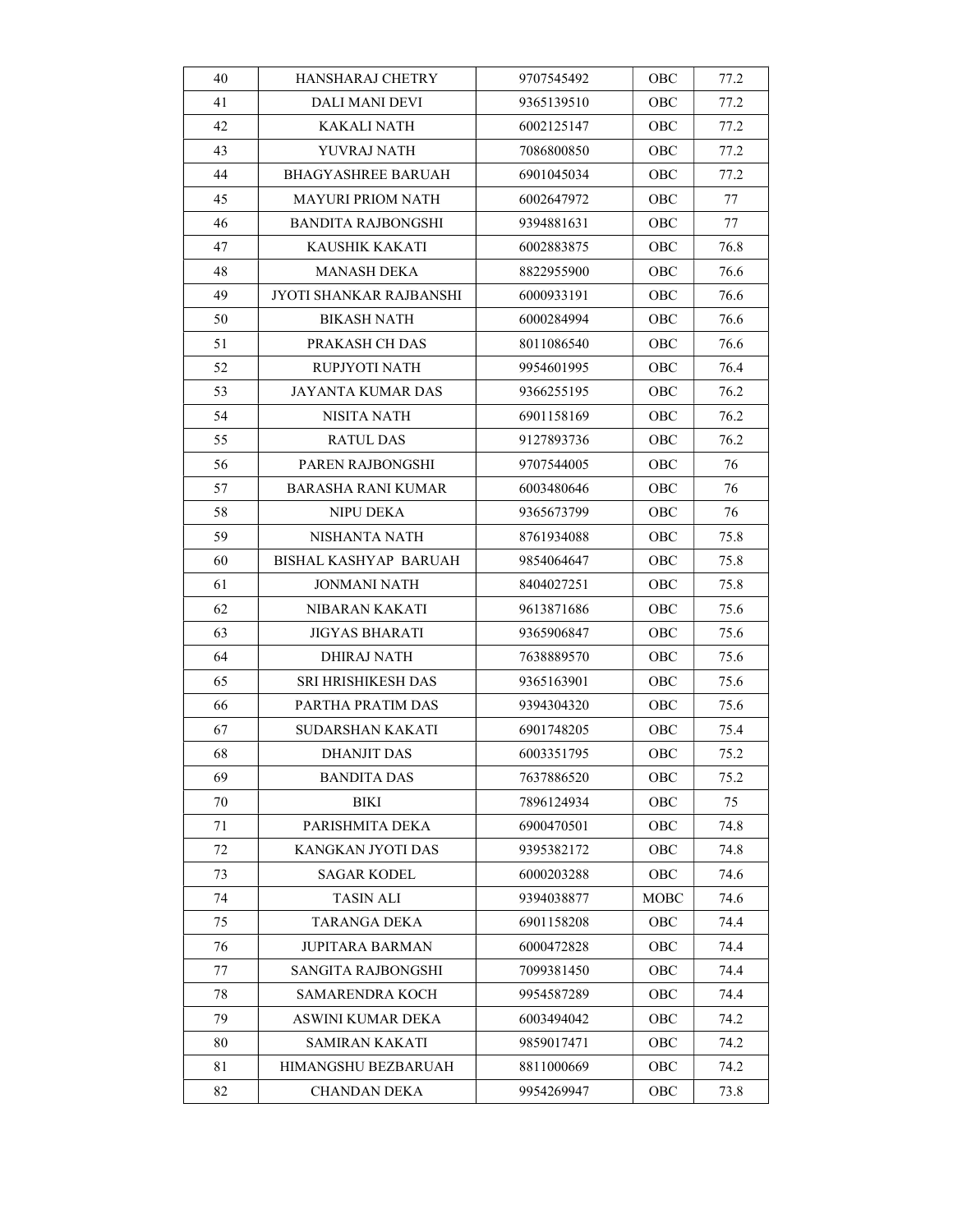| 40 | HANSHARAJ CHETRY         | 9707545492 | OBC  | 77.2 |
|----|--------------------------|------------|------|------|
| 41 | <b>DALI MANI DEVI</b>    | 9365139510 | OBC  | 77.2 |
| 42 | KAKALI NATH              | 6002125147 | OBC  | 77.2 |
| 43 | YUVRAJ NATH              | 7086800850 | OBC  | 77.2 |
| 44 | BHAGYASHREE BARUAH       | 6901045034 | OBC  | 77.2 |
| 45 | MAYURI PRIOM NATH        | 6002647972 | OBC  | 77   |
| 46 | BANDITA RAJBONGSHI       | 9394881631 | OBC  | 77   |
| 47 | <b>KAUSHIK KAKATI</b>    | 6002883875 | OBC  | 76.8 |
| 48 | MANASH DEKA              | 8822955900 | OBC  | 76.6 |
| 49 | JYOTI SHANKAR RAJBANSHI  | 6000933191 | OBC  | 76.6 |
| 50 | <b>BIKASH NATH</b>       | 6000284994 | OBC  | 76.6 |
| 51 | PRAKASH CH DAS           | 8011086540 | OBC  | 76.6 |
| 52 | RUPJYOTI NATH            | 9954601995 | OBC  | 76.4 |
| 53 | <b>JAYANTA KUMAR DAS</b> | 9366255195 | OBC  | 76.2 |
| 54 | NISITA NATH              | 6901158169 | OBC  | 76.2 |
| 55 | RATUL DAS                | 9127893736 | OBC  | 76.2 |
| 56 | PAREN RAJBONGSHI         | 9707544005 | OBC  | 76   |
| 57 | BARASHA RANI KUMAR       | 6003480646 | OBC  | 76   |
| 58 | NIPU DEKA                | 9365673799 | OBC  | 76   |
| 59 | NISHANTA NATH            | 8761934088 | OBC  | 75.8 |
| 60 | BISHAL KASHYAP BARUAH    | 9854064647 | OBC  | 75.8 |
| 61 | JONMANI NATH             | 8404027251 | OBC  | 75.8 |
| 62 | NIBARAN KAKATI           | 9613871686 | OBC  | 75.6 |
| 63 | <b>JIGYAS BHARATI</b>    | 9365906847 | OBC  | 75.6 |
| 64 | <b>DHIRAJ NATH</b>       | 7638889570 | OBC  | 75.6 |
| 65 | SRI HRISHIKESH DAS       | 9365163901 | OBC  | 75.6 |
| 66 | PARTHA PRATIM DAS        | 9394304320 | OBC  | 75.6 |
| 67 | SUDARSHAN KAKATI         | 6901748205 | OBC  | 75.4 |
| 68 | <b>DHANJIT DAS</b>       | 6003351795 | OBC  | 75.2 |
| 69 | <b>BANDITA DAS</b>       | 7637886520 | OBC  | 75.2 |
| 70 | BIKI                     | 7896124934 | OBC  | 75   |
| 71 | PARISHMITA DEKA          | 6900470501 | OBC  | 74.8 |
| 72 | KANGKAN JYOTI DAS        | 9395382172 | OBC  | 74.8 |
| 73 | <b>SAGAR KODEL</b>       | 6000203288 | OBC  | 74.6 |
| 74 | TASIN ALI                | 9394038877 | МОВС | 74.6 |
| 75 | TARANGA DEKA             | 6901158208 | OBC  | 74.4 |
| 76 | <b>JUPITARA BARMAN</b>   | 6000472828 | OBC  | 74.4 |
| 77 | SANGITA RAJBONGSHI       | 7099381450 | OBC  | 74.4 |
| 78 | SAMARENDRA KOCH          | 9954587289 | ОВС  | 74.4 |
| 79 | ASWINI KUMAR DEKA        | 6003494042 | OBC  | 74.2 |
| 80 | <b>SAMIRAN KAKATI</b>    | 9859017471 | OBC  | 74.2 |
| 81 | HIMANGSHU BEZBARUAH      | 8811000669 | OBC  | 74.2 |
| 82 | CHANDAN DEKA             | 9954269947 | OBC  | 73.8 |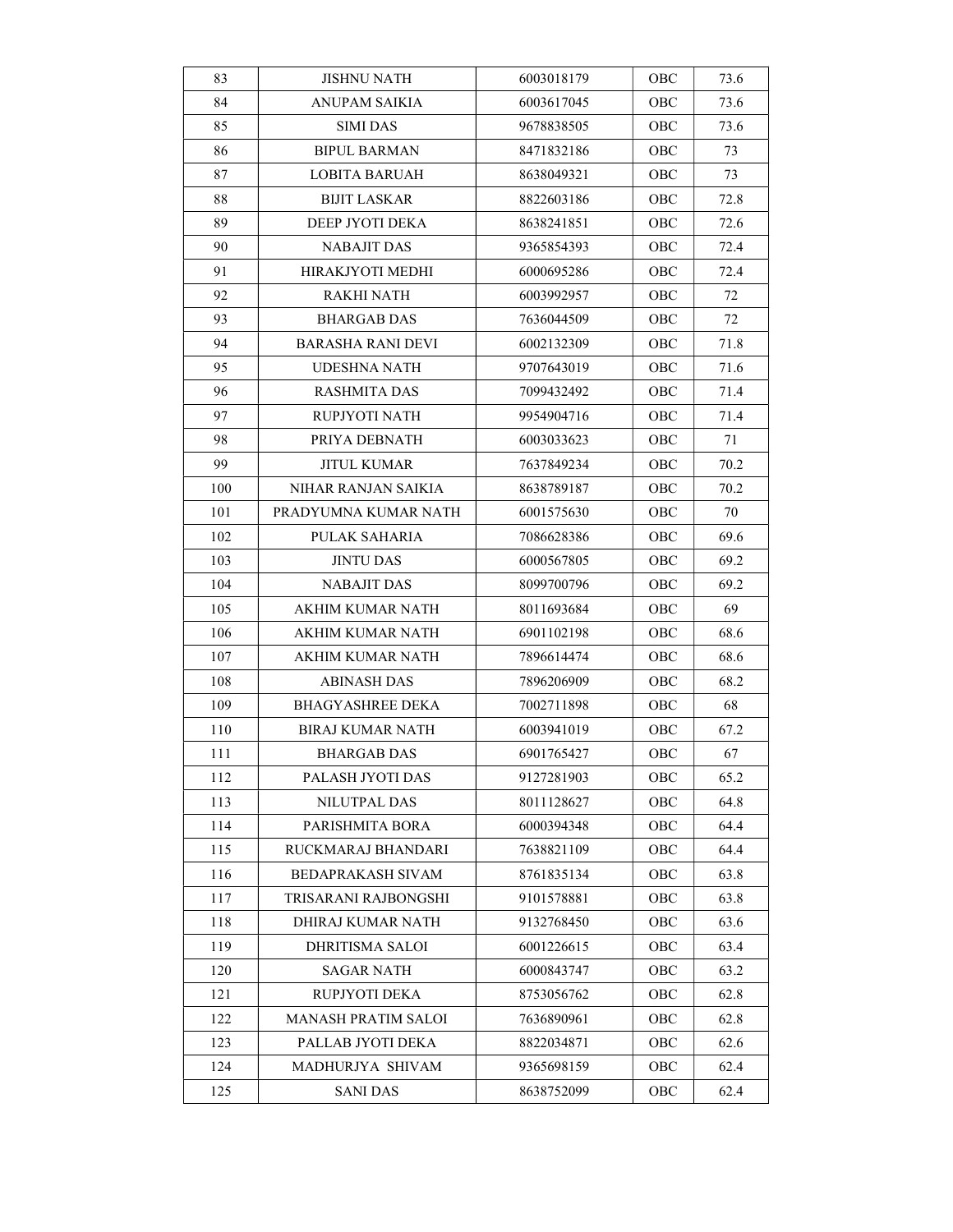| 83  | <b>JISHNU NATH</b>         | 6003018179 | OBC | 73.6 |
|-----|----------------------------|------------|-----|------|
| 84  | ANUPAM SAIKIA              | 6003617045 | OBC | 73.6 |
| 85  | <b>SIMI DAS</b>            | 9678838505 | OBC | 73.6 |
| 86  | <b>BIPUL BARMAN</b>        | 8471832186 | OBC | 73   |
| 87  | <b>LOBITA BARUAH</b>       | 8638049321 | OBC | 73   |
| 88  | <b>BIJIT LASKAR</b>        | 8822603186 | OBC | 72.8 |
| 89  | DEEP JYOTI DEKA            | 8638241851 | OBC | 72.6 |
| 90  | <b>NABAJIT DAS</b>         | 9365854393 | OBC | 72.4 |
| 91  | HIRAKJYOTI MEDHI           | 6000695286 | OBC | 72.4 |
| 92  | RAKHI NATH                 | 6003992957 | OBC | 72   |
| 93  | <b>BHARGAB DAS</b>         | 7636044509 | OBC | 72   |
| 94  | <b>BARASHA RANI DEVI</b>   | 6002132309 | OBC | 71.8 |
| 95  | UDESHNA NATH               | 9707643019 | OBC | 71.6 |
| 96  | RASHMITA DAS               | 7099432492 | OBC | 71.4 |
| 97  | RUPJYOTI NATH              | 9954904716 | OBC | 71.4 |
| 98  | PRIYA DEBNATH              | 6003033623 | ОВС | 71   |
| 99  | JITUL KUMAR                | 7637849234 | OBC | 70.2 |
| 100 | NIHAR RANJAN SAIKIA        | 8638789187 | OBC | 70.2 |
| 101 | PRADYUMNA KUMAR NATH       | 6001575630 | OBC | 70   |
| 102 | PULAK SAHARIA              | 7086628386 | OBC | 69.6 |
| 103 | JINTU DAS                  | 6000567805 | OBC | 69.2 |
| 104 | NABAJIT DAS                | 8099700796 | OBC | 69.2 |
| 105 | AKHIM KUMAR NATH           | 8011693684 | OBC | 69   |
| 106 | AKHIM KUMAR NATH           | 6901102198 | OBC | 68.6 |
| 107 | AKHIM KUMAR NATH           | 7896614474 | OBC | 68.6 |
| 108 | <b>ABINASH DAS</b>         | 7896206909 | OBC | 68.2 |
| 109 | <b>BHAGYASHREE DEKA</b>    | 7002711898 | OBC | 68   |
| 110 | BIRAJ KUMAR NATH           | 6003941019 | OBC | 67.2 |
| 111 | <b>BHARGAB DAS</b>         | 6901765427 | OBC | 67   |
| 112 | PALASH JYOTI DAS           | 9127281903 | OBC | 65.2 |
| 113 | NILUTPAL DAS               | 8011128627 | OBC | 64.8 |
| 114 | PARISHMITA BORA            | 6000394348 | OBC | 64.4 |
| 115 | RUCKMARAJ BHANDARI         | 7638821109 | OBC | 64.4 |
| 116 | BEDAPRAKASH SIVAM          | 8761835134 | OBC | 63.8 |
| 117 | TRISARANI RAJBONGSHI       | 9101578881 | OBC | 63.8 |
| 118 | DHIRAJ KUMAR NATH          | 9132768450 | OBC | 63.6 |
| 119 | DHRITISMA SALOI            | 6001226615 | OBC | 63.4 |
| 120 | <b>SAGAR NATH</b>          | 6000843747 | OBC | 63.2 |
| 121 | RUPJYOTI DEKA              | 8753056762 | OBC | 62.8 |
| 122 | <b>MANASH PRATIM SALOI</b> | 7636890961 | ОВС | 62.8 |
| 123 | PALLAB JYOTI DEKA          | 8822034871 | OBC | 62.6 |
| 124 | MADHURJYA SHIVAM           | 9365698159 | OBC | 62.4 |
| 125 | <b>SANI DAS</b>            | 8638752099 | ОВС | 62.4 |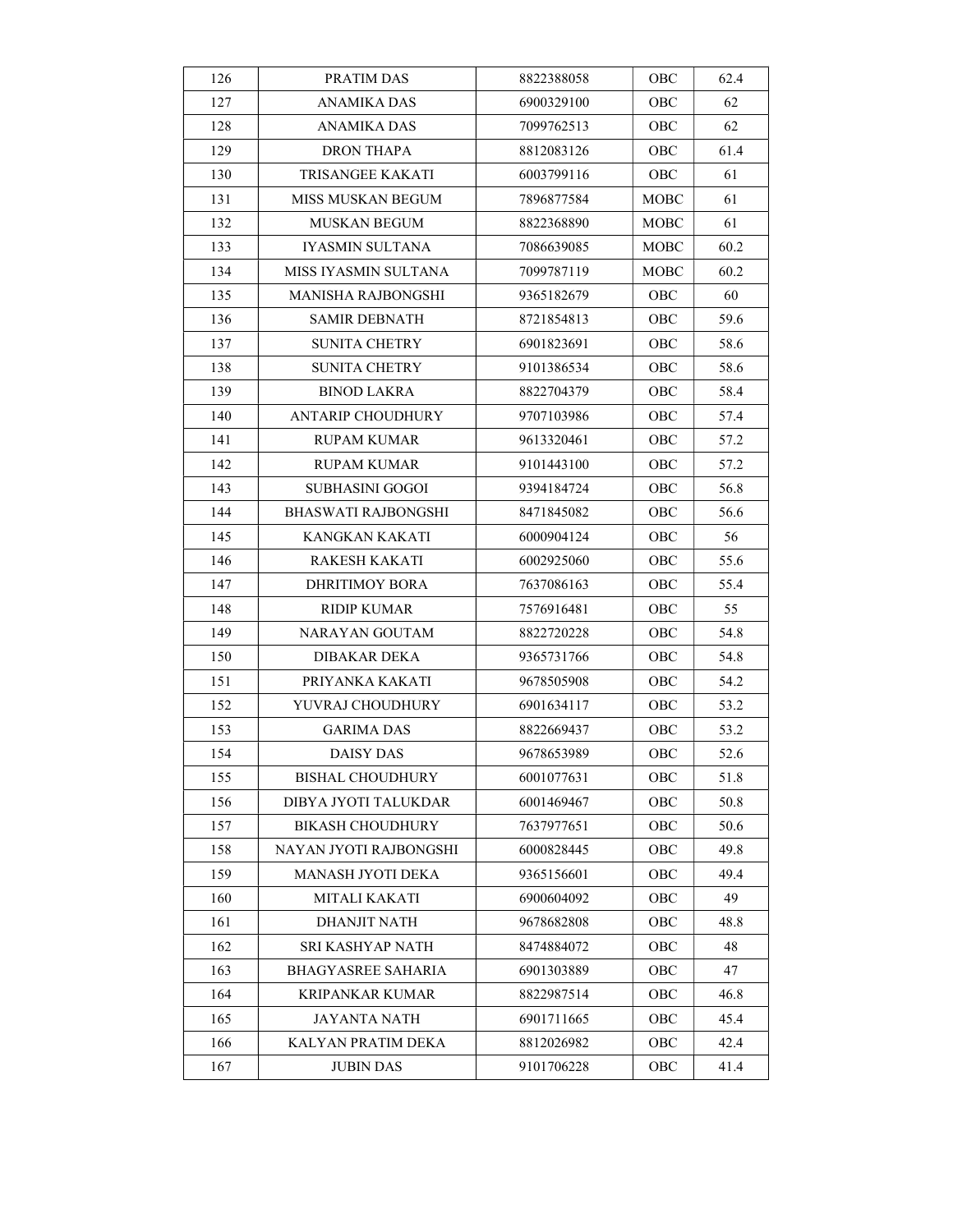| 126 | PRATIM DAS                 | 8822388058 | OBC         | 62.4 |
|-----|----------------------------|------------|-------------|------|
| 127 | <b>ANAMIKA DAS</b>         | 6900329100 | OBC         | 62   |
| 128 | ANAMIKA DAS                | 7099762513 | OBC         | 62   |
| 129 | DRON THAPA                 | 8812083126 | OBC         | 61.4 |
| 130 | <b>TRISANGEE KAKATI</b>    | 6003799116 | OBC         | 61   |
| 131 | MISS MUSKAN BEGUM          | 7896877584 | MOBC        | 61   |
| 132 | <b>MUSKAN BEGUM</b>        | 8822368890 | <b>MOBC</b> | 61   |
| 133 | <b>IYASMIN SULTANA</b>     | 7086639085 | <b>MOBC</b> | 60.2 |
| 134 | MISS IYASMIN SULTANA       | 7099787119 | MOBC        | 60.2 |
| 135 | MANISHA RAJBONGSHI         | 9365182679 | <b>OBC</b>  | 60   |
| 136 | <b>SAMIR DEBNATH</b>       | 8721854813 | OBC         | 59.6 |
| 137 | <b>SUNITA CHETRY</b>       | 6901823691 | OBC         | 58.6 |
| 138 | <b>SUNITA CHETRY</b>       | 9101386534 | OBC         | 58.6 |
| 139 | <b>BINOD LAKRA</b>         | 8822704379 | OBC         | 58.4 |
| 140 | <b>ANTARIP CHOUDHURY</b>   | 9707103986 | OBC         | 57.4 |
| 141 | RUPAM KUMAR                | 9613320461 | OBC         | 57.2 |
| 142 | RUPAM KUMAR                | 9101443100 | OBC         | 57.2 |
| 143 | SUBHASINI GOGOI            | 9394184724 | OBC         | 56.8 |
| 144 | <b>BHASWATI RAJBONGSHI</b> | 8471845082 | OBC         | 56.6 |
| 145 | KANGKAN KAKATI             | 6000904124 | OBC         | 56   |
| 146 | RAKESH KAKATI              | 6002925060 | OBC         | 55.6 |
| 147 | DHRITIMOY BORA             | 7637086163 | OBC         | 55.4 |
| 148 | RIDIP KUMAR                | 7576916481 | OBC         | 55   |
| 149 | NARAYAN GOUTAM             | 8822720228 | OBC         | 54.8 |
| 150 | DIBAKAR DEKA               | 9365731766 | OBC         | 54.8 |
| 151 | PRIYANKA KAKATI            | 9678505908 | OBC         | 54.2 |
| 152 | YUVRAJ CHOUDHURY           | 6901634117 | OBC         | 53.2 |
| 153 | GARIMA DAS                 | 8822669437 | OBC         | 53.2 |
| 154 | <b>DAISY DAS</b>           | 9678653989 | OBC         | 52.6 |
| 155 | <b>BISHAL CHOUDHURY</b>    | 6001077631 | OBC         | 51.8 |
| 156 | DIBYA JYOTI TALUKDAR       | 6001469467 | OBC         | 50.8 |
| 157 | <b>BIKASH CHOUDHURY</b>    | 7637977651 | OBC         | 50.6 |
| 158 | NAYAN JYOTI RAJBONGSHI     | 6000828445 | ОВС         | 49.8 |
| 159 | MANASH JYOTI DEKA          | 9365156601 | OBC         | 49.4 |
| 160 | MITALI KAKATI              | 6900604092 | OBC         | 49   |
| 161 | DHANJIT NATH               | 9678682808 | ОВС         | 48.8 |
| 162 | SRI KASHYAP NATH           | 8474884072 | OBC         | 48   |
| 163 | BHAGYASREE SAHARIA         | 6901303889 | OBC         | 47   |
| 164 | KRIPANKAR KUMAR            | 8822987514 | ОВС         | 46.8 |
| 165 | JAYANTA NATH               | 6901711665 | OBC         | 45.4 |
| 166 | KALYAN PRATIM DEKA         | 8812026982 | OBC         | 42.4 |
| 167 | <b>JUBIN DAS</b>           | 9101706228 | OBC         | 41.4 |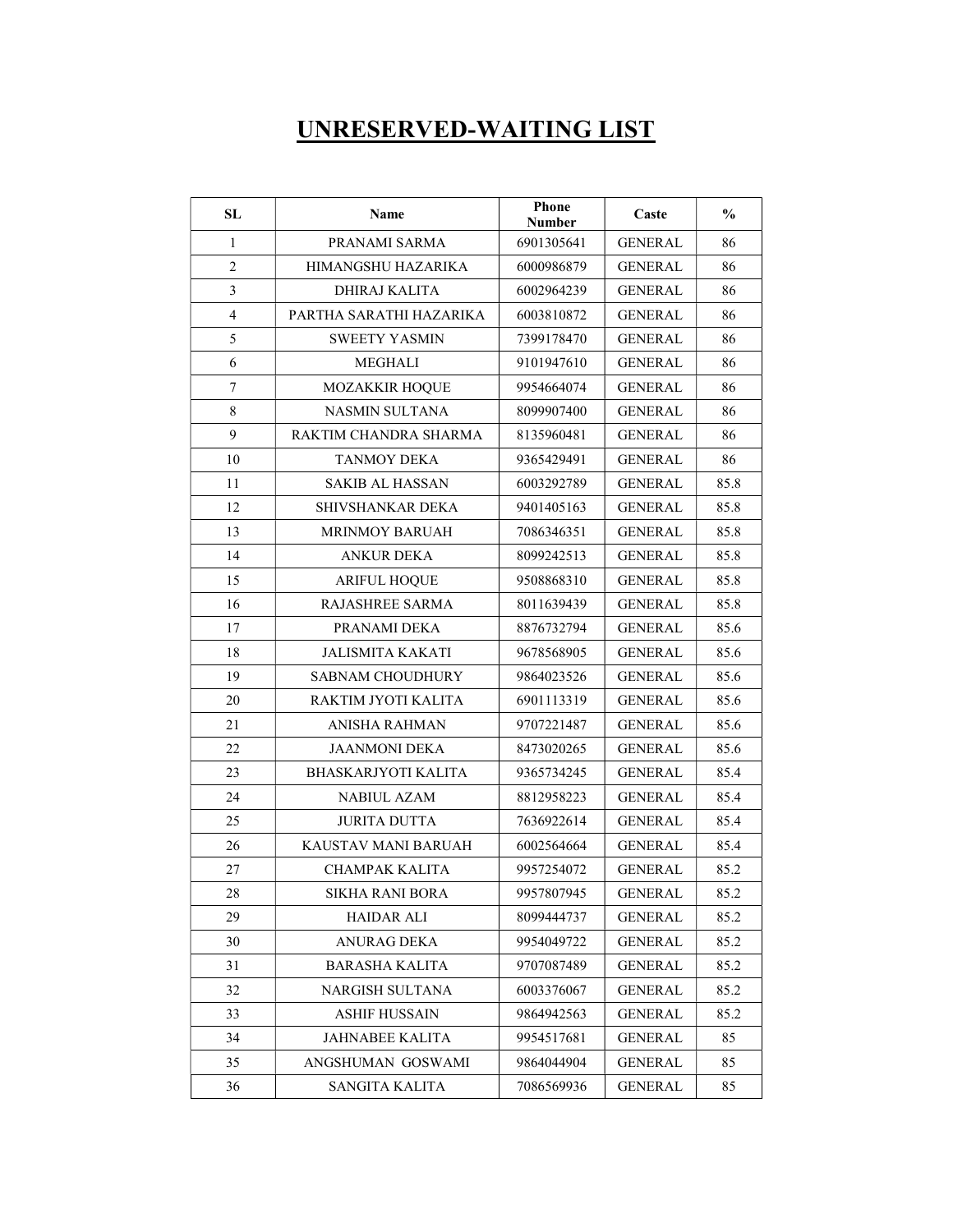## UNRESERVED-WAITING LIST

| SL             | Name                       | Phone<br><b>Number</b> | Caste          | $\frac{0}{0}$ |
|----------------|----------------------------|------------------------|----------------|---------------|
| 1              | PRANAMI SARMA              | 6901305641             | <b>GENERAL</b> | 86            |
| $\overline{2}$ | HIMANGSHU HAZARIKA         | 6000986879             | GENERAL        | 86            |
| 3              | DHIRAJ KALITA              | 6002964239             | <b>GENERAL</b> | 86            |
| $\overline{4}$ | PARTHA SARATHI HAZARIKA    | 6003810872             | <b>GENERAL</b> | 86            |
| 5              | <b>SWEETY YASMIN</b>       | 7399178470             | <b>GENERAL</b> | 86            |
| 6              | <b>MEGHALI</b>             | 9101947610             | <b>GENERAL</b> | 86            |
| $\overline{7}$ | <b>MOZAKKIR HOQUE</b>      | 9954664074             | <b>GENERAL</b> | 86            |
| $\,$ 8 $\,$    | NASMIN SULTANA             | 8099907400             | <b>GENERAL</b> | 86            |
| 9              | RAKTIM CHANDRA SHARMA      | 8135960481             | <b>GENERAL</b> | 86            |
| 10             | <b>TANMOY DEKA</b>         | 9365429491             | <b>GENERAL</b> | 86            |
| 11             | <b>SAKIB AL HASSAN</b>     | 6003292789             | GENERAL        | 85.8          |
| 12             | SHIVSHANKAR DEKA           | 9401405163             | <b>GENERAL</b> | 85.8          |
| 13             | <b>MRINMOY BARUAH</b>      | 7086346351             | <b>GENERAL</b> | 85.8          |
| 14             | <b>ANKUR DEKA</b>          | 8099242513             | <b>GENERAL</b> | 85.8          |
| 15             | <b>ARIFUL HOOUE</b>        | 9508868310             | <b>GENERAL</b> | 85.8          |
| 16             | RAJASHREE SARMA            | 8011639439             | <b>GENERAL</b> | 85.8          |
| 17             | PRANAMI DEKA               | 8876732794             | <b>GENERAL</b> | 85.6          |
| 18             | <b>JALISMITA KAKATI</b>    | 9678568905             | GENERAL        | 85.6          |
| 19             | <b>SABNAM CHOUDHURY</b>    | 9864023526             | <b>GENERAL</b> | 85.6          |
| 20             | RAKTIM JYOTI KALITA        | 6901113319             | <b>GENERAL</b> | 85.6          |
| 21             | ANISHA RAHMAN              | 9707221487             | <b>GENERAL</b> | 85.6          |
| 22             | <b>JAANMONI DEKA</b>       | 8473020265             | <b>GENERAL</b> | 85.6          |
| 23             | <b>BHASKARJYOTI KALITA</b> | 9365734245             | <b>GENERAL</b> | 85.4          |
| 24             | <b>NABIUL AZAM</b>         | 8812958223             | <b>GENERAL</b> | 85.4          |
| 25             | <b>JURITA DUTTA</b>        | 7636922614             | <b>GENERAL</b> | 85.4          |
| 26             | KAUSTAV MANI BARUAH        | 6002564664             | <b>GENERAL</b> | 85.4          |
| 27             | <b>CHAMPAK KALITA</b>      | 9957254072             | <b>GENERAL</b> | 85.2          |
| 28             | SIKHA RANI BORA            | 9957807945             | <b>GENERAL</b> | 85.2          |
| 29             | <b>HAIDAR ALI</b>          | 8099444737             | <b>GENERAL</b> | 85.2          |
| 30             | ANURAG DEKA                | 9954049722             | GENERAL        | 85.2          |
| 31             | <b>BARASHA KALITA</b>      | 9707087489             | <b>GENERAL</b> | 85.2          |
| 32             | NARGISH SULTANA            | 6003376067             | GENERAL        | 85.2          |
| 33             | <b>ASHIF HUSSAIN</b>       | 9864942563             | <b>GENERAL</b> | 85.2          |
| 34             | <b>JAHNABEE KALITA</b>     | 9954517681             | <b>GENERAL</b> | 85            |
| 35             | ANGSHUMAN GOSWAMI          | 9864044904             | <b>GENERAL</b> | 85            |
| 36             | SANGITA KALITA             | 7086569936             | <b>GENERAL</b> | 85            |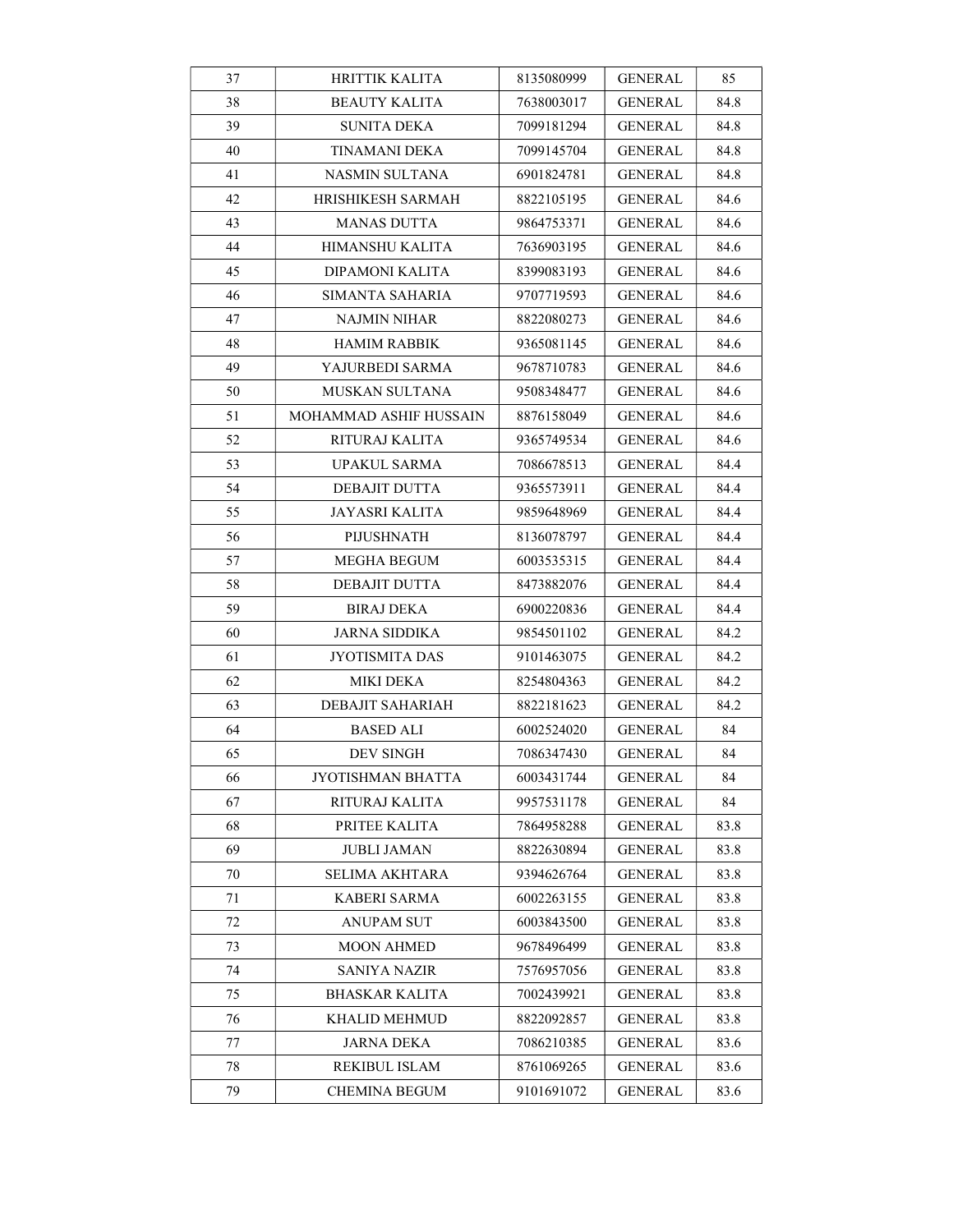| 37 | <b>HRITTIK KALITA</b>  | 8135080999 | GENERAL        | 85   |
|----|------------------------|------------|----------------|------|
| 38 | <b>BEAUTY KALITA</b>   | 7638003017 | GENERAL        | 84.8 |
| 39 | <b>SUNITA DEKA</b>     | 7099181294 | <b>GENERAL</b> | 84.8 |
| 40 | TINAMANI DEKA          | 7099145704 | GENERAL        | 84.8 |
| 41 | NASMIN SULTANA         | 6901824781 | GENERAL        | 84.8 |
| 42 | HRISHIKESH SARMAH      | 8822105195 | GENERAL        | 84.6 |
| 43 | MANAS DUTTA            | 9864753371 | GENERAL        | 84.6 |
| 44 | HIMANSHU KALITA        | 7636903195 | GENERAL        | 84.6 |
| 45 | DIPAMONI KALITA        | 8399083193 | GENERAL        | 84.6 |
| 46 | SIMANTA SAHARIA        | 9707719593 | GENERAL        | 84.6 |
| 47 | NAJMIN NIHAR           | 8822080273 | GENERAL        | 84.6 |
| 48 | <b>HAMIM RABBIK</b>    | 9365081145 | GENERAL        | 84.6 |
| 49 | YAJURBEDI SARMA        | 9678710783 | GENERAL        | 84.6 |
| 50 | MUSKAN SULTANA         | 9508348477 | <b>GENERAL</b> | 84.6 |
| 51 | MOHAMMAD ASHIF HUSSAIN | 8876158049 | GENERAL        | 84.6 |
| 52 | RITURAJ KALITA         | 9365749534 | <b>GENERAL</b> | 84.6 |
| 53 | UPAKUL SARMA           | 7086678513 | GENERAL        | 84.4 |
| 54 | DEBAJIT DUTTA          | 9365573911 | GENERAL        | 84.4 |
| 55 | JAYASRI KALITA         | 9859648969 | GENERAL        | 84.4 |
| 56 | PIJUSHNATH             | 8136078797 | GENERAL        | 84.4 |
| 57 | MEGHA BEGUM            | 6003535315 | GENERAL        | 84.4 |
| 58 | DEBAJIT DUTTA          | 8473882076 | GENERAL        | 84.4 |
| 59 | <b>BIRAJ DEKA</b>      | 6900220836 | GENERAL        | 84.4 |
| 60 | JARNA SIDDIKA          | 9854501102 | GENERAL        | 84.2 |
| 61 | JYOTISMITA DAS         | 9101463075 | GENERAL        | 84.2 |
| 62 | MIKI DEKA              | 8254804363 | <b>GENERAL</b> | 84.2 |
| 63 | DEBAJIT SAHARIAH       | 8822181623 | GENERAL        | 84.2 |
| 64 | BASED ALI              | 6002524020 | GENERAL        | 84   |
| 65 | DEV SINGH              | 7086347430 | GENERAL        | 84   |
| 66 | JYOTISHMAN BHATTA      | 6003431744 | <b>GENERAL</b> | 84   |
| 67 | RITURAJ KALITA         | 9957531178 | <b>GENERAL</b> | 84   |
| 68 | PRITEE KALITA          | 7864958288 | <b>GENERAL</b> | 83.8 |
| 69 | JUBLI JAMAN            | 8822630894 | <b>GENERAL</b> | 83.8 |
| 70 | <b>SELIMA AKHTARA</b>  | 9394626764 | <b>GENERAL</b> | 83.8 |
| 71 | KABERI SARMA           | 6002263155 | <b>GENERAL</b> | 83.8 |
| 72 | <b>ANUPAM SUT</b>      | 6003843500 | <b>GENERAL</b> | 83.8 |
| 73 | <b>MOON AHMED</b>      | 9678496499 | <b>GENERAL</b> | 83.8 |
| 74 | SANIYA NAZIR           | 7576957056 | <b>GENERAL</b> | 83.8 |
| 75 | <b>BHASKAR KALITA</b>  | 7002439921 | <b>GENERAL</b> | 83.8 |
| 76 | KHALID MEHMUD          | 8822092857 | GENERAL        | 83.8 |
| 77 | JARNA DEKA             | 7086210385 | <b>GENERAL</b> | 83.6 |
| 78 | REKIBUL ISLAM          | 8761069265 | <b>GENERAL</b> | 83.6 |
| 79 | <b>CHEMINA BEGUM</b>   | 9101691072 | <b>GENERAL</b> | 83.6 |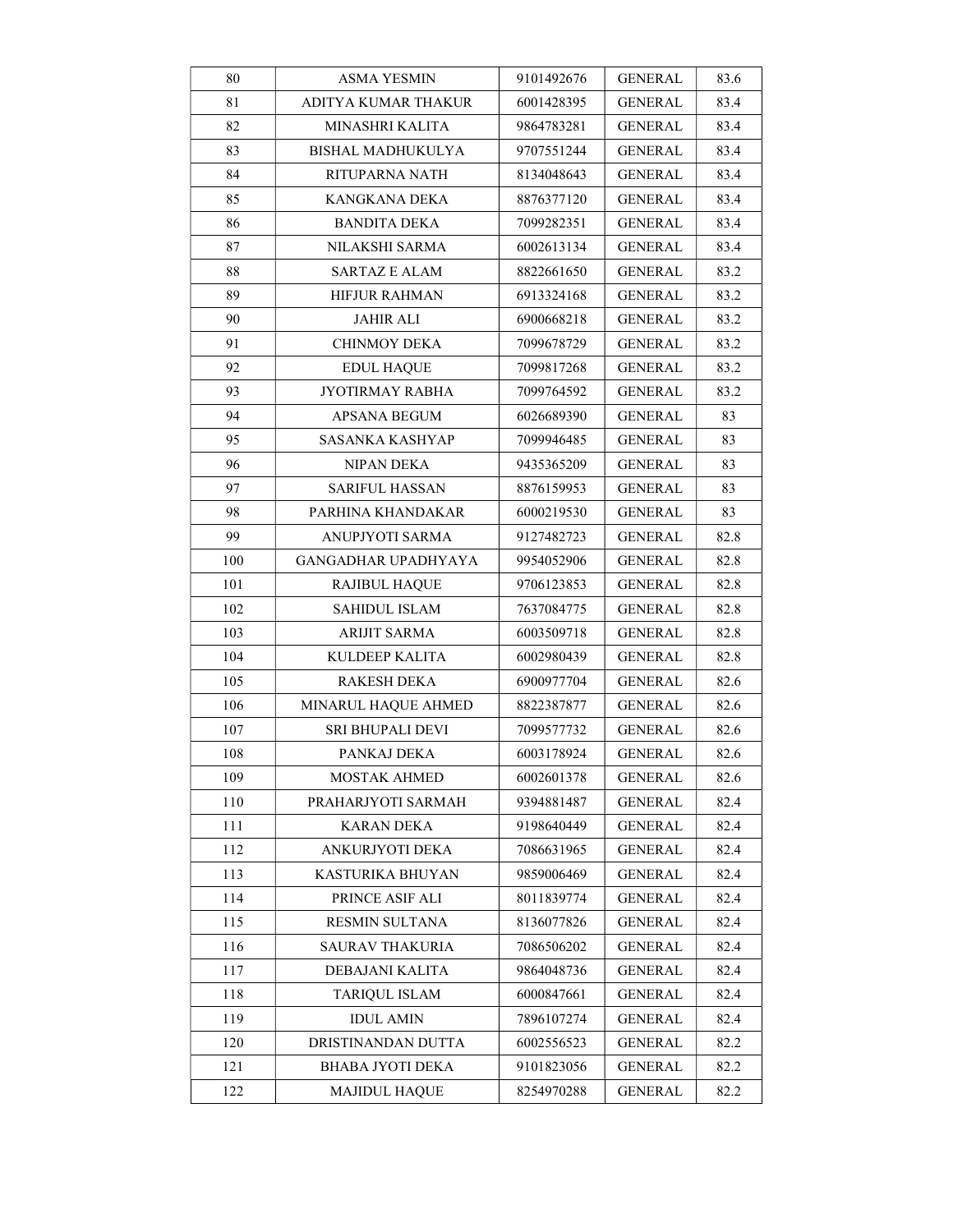| 80  | ASMA YESMIN                | 9101492676 | <b>GENERAL</b> | 83.6 |
|-----|----------------------------|------------|----------------|------|
| 81  | ADITYA KUMAR THAKUR        | 6001428395 | GENERAL        | 83.4 |
| 82  | MINASHRI KALITA            | 9864783281 | <b>GENERAL</b> | 83.4 |
| 83  | BISHAL MADHUKULYA          | 9707551244 | <b>GENERAL</b> | 83.4 |
| 84  | RITUPARNA NATH             | 8134048643 | GENERAL        | 83.4 |
| 85  | KANGKANA DEKA              | 8876377120 | <b>GENERAL</b> | 83.4 |
| 86  | <b>BANDITA DEKA</b>        | 7099282351 | <b>GENERAL</b> | 83.4 |
| 87  | NILAKSHI SARMA             | 6002613134 | <b>GENERAL</b> | 83.4 |
| 88  | <b>SARTAZ E ALAM</b>       | 8822661650 | <b>GENERAL</b> | 83.2 |
| 89  | HIFJUR RAHMAN              | 6913324168 | GENERAL        | 83.2 |
| 90  | JAHIR ALI                  | 6900668218 | GENERAL        | 83.2 |
| 91  | <b>CHINMOY DEKA</b>        | 7099678729 | <b>GENERAL</b> | 83.2 |
| 92  | <b>EDUL HAQUE</b>          | 7099817268 | <b>GENERAL</b> | 83.2 |
| 93  | JYOTIRMAY RABHA            | 7099764592 | GENERAL        | 83.2 |
| 94  | APSANA BEGUM               | 6026689390 | <b>GENERAL</b> | 83   |
| 95  | SASANKA KASHYAP            | 7099946485 | <b>GENERAL</b> | 83   |
| 96  | NIPAN DEKA                 | 9435365209 | GENERAL        | 83   |
| 97  | <b>SARIFUL HASSAN</b>      | 8876159953 | <b>GENERAL</b> | 83   |
| 98  | PARHINA KHANDAKAR          | 6000219530 | <b>GENERAL</b> | 83   |
| 99  | ANUPJYOTI SARMA            | 9127482723 | <b>GENERAL</b> | 82.8 |
| 100 | <b>GANGADHAR UPADHYAYA</b> | 9954052906 | GENERAL        | 82.8 |
| 101 | <b>RAJIBUL HAQUE</b>       | 9706123853 | GENERAL        | 82.8 |
| 102 | SAHIDUL ISLAM              | 7637084775 | GENERAL        | 82.8 |
| 103 | <b>ARIJIT SARMA</b>        | 6003509718 | GENERAL        | 82.8 |
| 104 | KULDEEP KALITA             | 6002980439 | GENERAL        | 82.8 |
| 105 | <b>RAKESH DEKA</b>         | 6900977704 | <b>GENERAL</b> | 82.6 |
| 106 | MINARUL HAQUE AHMED        | 8822387877 | <b>GENERAL</b> | 82.6 |
| 107 | SRI BHUPALI DEVI           | 7099577732 | GENERAL        | 82.6 |
| 108 | PANKAJ DEKA                | 6003178924 | <b>GENERAL</b> | 82.6 |
| 109 | MOSTAK AHMED               | 6002601378 | <b>GENERAL</b> | 82.6 |
| 110 | PRAHARJYOTI SARMAH         | 9394881487 | <b>GENERAL</b> | 82.4 |
| 111 | <b>KARAN DEKA</b>          | 9198640449 | <b>GENERAL</b> | 82.4 |
| 112 | ANKURJYOTI DEKA            | 7086631965 | <b>GENERAL</b> | 82.4 |
| 113 | KASTURIKA BHUYAN           | 9859006469 | <b>GENERAL</b> | 82.4 |
| 114 | PRINCE ASIF ALI            | 8011839774 | <b>GENERAL</b> | 82.4 |
| 115 | RESMIN SULTANA             | 8136077826 | <b>GENERAL</b> | 82.4 |
| 116 | <b>SAURAV THAKURIA</b>     | 7086506202 | <b>GENERAL</b> | 82.4 |
| 117 | DEBAJANI KALITA            | 9864048736 | <b>GENERAL</b> | 82.4 |
| 118 | <b>TARIQUL ISLAM</b>       | 6000847661 | <b>GENERAL</b> | 82.4 |
| 119 | IDUL AMIN                  | 7896107274 | <b>GENERAL</b> | 82.4 |
| 120 | DRISTINANDAN DUTTA         | 6002556523 | <b>GENERAL</b> | 82.2 |
| 121 | BHABA JYOTI DEKA           | 9101823056 | <b>GENERAL</b> | 82.2 |
| 122 | <b>MAJIDUL HAQUE</b>       | 8254970288 | <b>GENERAL</b> | 82.2 |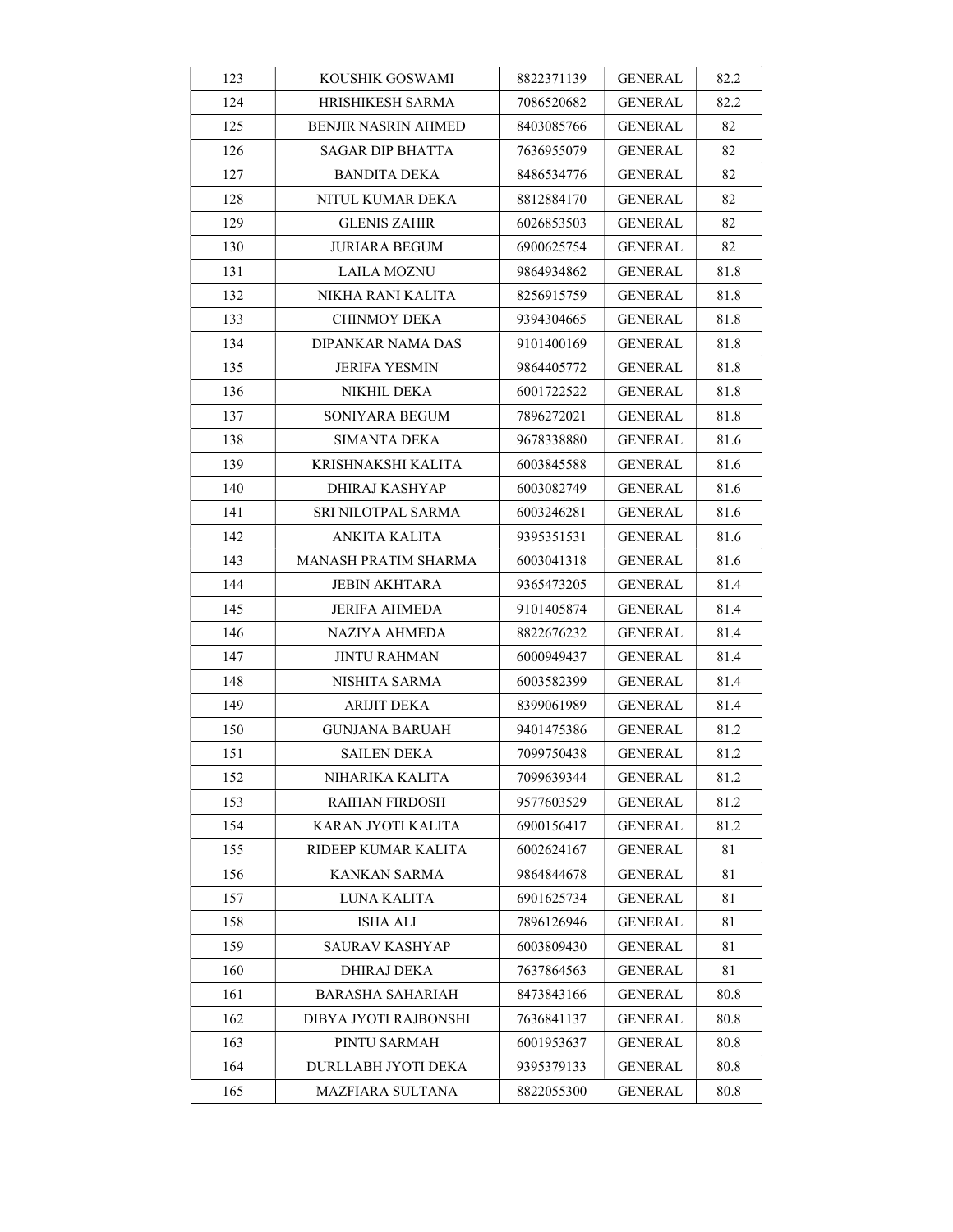| 123 | KOUSHIK GOSWAMI            | 8822371139 | <b>GENERAL</b> | 82.2 |
|-----|----------------------------|------------|----------------|------|
| 124 | HRISHIKESH SARMA           | 7086520682 | <b>GENERAL</b> | 82.2 |
| 125 | <b>BENJIR NASRIN AHMED</b> | 8403085766 | <b>GENERAL</b> | 82   |
| 126 | SAGAR DIP BHATTA           | 7636955079 | <b>GENERAL</b> | 82   |
| 127 | <b>BANDITA DEKA</b>        | 8486534776 | <b>GENERAL</b> | 82   |
| 128 | NITUL KUMAR DEKA           | 8812884170 | GENERAL        | 82   |
| 129 | <b>GLENIS ZAHIR</b>        | 6026853503 | <b>GENERAL</b> | 82   |
| 130 | JURIARA BEGUM              | 6900625754 | <b>GENERAL</b> | 82   |
| 131 | <b>LAILA MOZNU</b>         | 9864934862 | <b>GENERAL</b> | 81.8 |
| 132 | NIKHA RANI KALITA          | 8256915759 | GENERAL        | 81.8 |
| 133 | CHINMOY DEKA               | 9394304665 | GENERAL        | 81.8 |
| 134 | DIPANKAR NAMA DAS          | 9101400169 | GENERAL        | 81.8 |
| 135 | <b>JERIFA YESMIN</b>       | 9864405772 | <b>GENERAL</b> | 81.8 |
| 136 | NIKHIL DEKA                | 6001722522 | <b>GENERAL</b> | 81.8 |
| 137 | SONIYARA BEGUM             | 7896272021 | GENERAL        | 81.8 |
| 138 | SIMANTA DEKA               | 9678338880 | <b>GENERAL</b> | 81.6 |
| 139 | KRISHNAKSHI KALITA         | 6003845588 | GENERAL        | 81.6 |
| 140 | DHIRAJ KASHYAP             | 6003082749 | <b>GENERAL</b> | 81.6 |
| 141 | SRI NILOTPAL SARMA         | 6003246281 | <b>GENERAL</b> | 81.6 |
| 142 | ANKITA KALITA              | 9395351531 | <b>GENERAL</b> | 81.6 |
| 143 | MANASH PRATIM SHARMA       | 6003041318 | GENERAL        | 81.6 |
| 144 | JEBIN AKHTARA              | 9365473205 | GENERAL        | 81.4 |
| 145 | JERIFA AHMEDA              | 9101405874 | <b>GENERAL</b> | 81.4 |
| 146 | NAZIYA AHMEDA              | 8822676232 | GENERAL        | 81.4 |
| 147 | <b>JINTU RAHMAN</b>        | 6000949437 | <b>GENERAL</b> | 81.4 |
| 148 | NISHITA SARMA              | 6003582399 | <b>GENERAL</b> | 81.4 |
| 149 | <b>ARIJIT DEKA</b>         | 8399061989 | <b>GENERAL</b> | 81.4 |
| 150 | GUNJANA BARUAH             | 9401475386 | GENERAL        | 81.2 |
| 151 | <b>SAILEN DEKA</b>         | 7099750438 | <b>GENERAL</b> | 81.2 |
| 152 | NIHARIKA KALITA            | 7099639344 | <b>GENERAL</b> | 81.2 |
| 153 | <b>RAIHAN FIRDOSH</b>      | 9577603529 | <b>GENERAL</b> | 81.2 |
| 154 | KARAN JYOTI KALITA         | 6900156417 | <b>GENERAL</b> | 81.2 |
| 155 | RIDEEP KUMAR KALITA        | 6002624167 | GENERAL        | 81   |
| 156 | KANKAN SARMA               | 9864844678 | <b>GENERAL</b> | 81   |
| 157 | LUNA KALITA                | 6901625734 | GENERAL        | 81   |
| 158 | <b>ISHA ALI</b>            | 7896126946 | GENERAL        | 81   |
| 159 | SAURAV KASHYAP             | 6003809430 | <b>GENERAL</b> | 81   |
| 160 | DHIRAJ DEKA                | 7637864563 | <b>GENERAL</b> | 81   |
| 161 | <b>BARASHA SAHARIAH</b>    | 8473843166 | <b>GENERAL</b> | 80.8 |
| 162 | DIBYA JYOTI RAJBONSHI      | 7636841137 | <b>GENERAL</b> | 80.8 |
| 163 | PINTU SARMAH               | 6001953637 | <b>GENERAL</b> | 80.8 |
| 164 | DURLLABH JYOTI DEKA        | 9395379133 | GENERAL        | 80.8 |
| 165 | <b>MAZFIARA SULTANA</b>    | 8822055300 | <b>GENERAL</b> | 80.8 |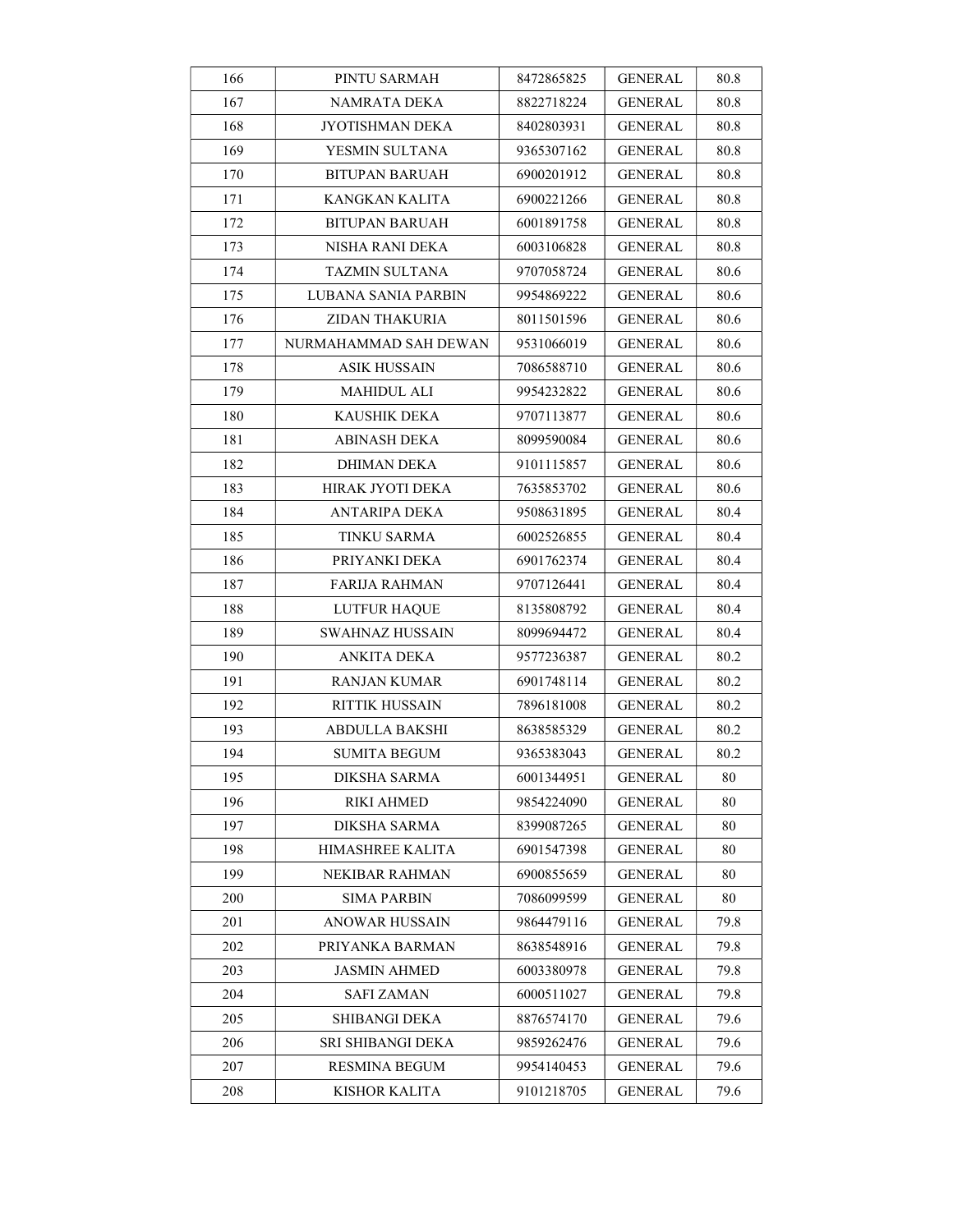| 166 | PINTU SARMAH           | 8472865825 | GENERAL        | 80.8 |
|-----|------------------------|------------|----------------|------|
| 167 | NAMRATA DEKA           | 8822718224 | GENERAL        | 80.8 |
| 168 | JYOTISHMAN DEKA        | 8402803931 | <b>GENERAL</b> | 80.8 |
| 169 | YESMIN SULTANA         | 9365307162 | GENERAL        | 80.8 |
| 170 | <b>BITUPAN BARUAH</b>  | 6900201912 | GENERAL        | 80.8 |
| 171 | KANGKAN KALITA         | 6900221266 | <b>GENERAL</b> | 80.8 |
| 172 | BITUPAN BARUAH         | 6001891758 | <b>GENERAL</b> | 80.8 |
| 173 | NISHA RANI DEKA        | 6003106828 | <b>GENERAL</b> | 80.8 |
| 174 | TAZMIN SULTANA         | 9707058724 | <b>GENERAL</b> | 80.6 |
| 175 | LUBANA SANIA PARBIN    | 9954869222 | <b>GENERAL</b> | 80.6 |
| 176 | ZIDAN THAKURIA         | 8011501596 | GENERAL        | 80.6 |
| 177 | NURMAHAMMAD SAH DEWAN  | 9531066019 | <b>GENERAL</b> | 80.6 |
| 178 | <b>ASIK HUSSAIN</b>    | 7086588710 | <b>GENERAL</b> | 80.6 |
| 179 | MAHIDUL ALI            | 9954232822 | GENERAL        | 80.6 |
| 180 | <b>KAUSHIK DEKA</b>    | 9707113877 | <b>GENERAL</b> | 80.6 |
| 181 | ABINASH DEKA           | 8099590084 | GENERAL        | 80.6 |
| 182 | <b>DHIMAN DEKA</b>     | 9101115857 | GENERAL        | 80.6 |
| 183 | HIRAK JYOTI DEKA       | 7635853702 | <b>GENERAL</b> | 80.6 |
| 184 | ANTARIPA DEKA          | 9508631895 | <b>GENERAL</b> | 80.4 |
| 185 | <b>TINKU SARMA</b>     | 6002526855 | <b>GENERAL</b> | 80.4 |
| 186 | PRIYANKI DEKA          | 6901762374 | <b>GENERAL</b> | 80.4 |
| 187 | FARIJA RAHMAN          | 9707126441 | <b>GENERAL</b> | 80.4 |
| 188 | <b>LUTFUR HAQUE</b>    | 8135808792 | GENERAL        | 80.4 |
| 189 | <b>SWAHNAZ HUSSAIN</b> | 8099694472 | <b>GENERAL</b> | 80.4 |
| 190 | ANKITA DEKA            | 9577236387 | <b>GENERAL</b> | 80.2 |
| 191 | RANJAN KUMAR           | 6901748114 | <b>GENERAL</b> | 80.2 |
| 192 | <b>RITTIK HUSSAIN</b>  | 7896181008 | <b>GENERAL</b> | 80.2 |
| 193 | ABDULLA BAKSHI         | 8638585329 | GENERAL        | 80.2 |
| 194 | <b>SUMITA BEGUM</b>    | 9365383043 | <b>GENERAL</b> | 80.2 |
| 195 | DIKSHA SARMA           | 6001344951 | <b>GENERAL</b> | 80   |
| 196 | RIKI AHMED             | 9854224090 | <b>GENERAL</b> | 80   |
| 197 | DIKSHA SARMA           | 8399087265 | <b>GENERAL</b> | 80   |
| 198 | HIMASHREE KALITA       | 6901547398 | <b>GENERAL</b> | 80   |
| 199 | NEKIBAR RAHMAN         | 6900855659 | <b>GENERAL</b> | 80   |
| 200 | <b>SIMA PARBIN</b>     | 7086099599 | GENERAL        | 80   |
| 201 | ANOWAR HUSSAIN         | 9864479116 | <b>GENERAL</b> | 79.8 |
| 202 | PRIYANKA BARMAN        | 8638548916 | <b>GENERAL</b> | 79.8 |
| 203 | JASMIN AHMED           | 6003380978 | <b>GENERAL</b> | 79.8 |
| 204 | <b>SAFI ZAMAN</b>      | 6000511027 | GENERAL        | 79.8 |
| 205 | SHIBANGI DEKA          | 8876574170 | GENERAL        | 79.6 |
| 206 | SRI SHIBANGI DEKA      | 9859262476 | <b>GENERAL</b> | 79.6 |
| 207 | <b>RESMINA BEGUM</b>   | 9954140453 | <b>GENERAL</b> | 79.6 |
| 208 | KISHOR KALITA          | 9101218705 | <b>GENERAL</b> | 79.6 |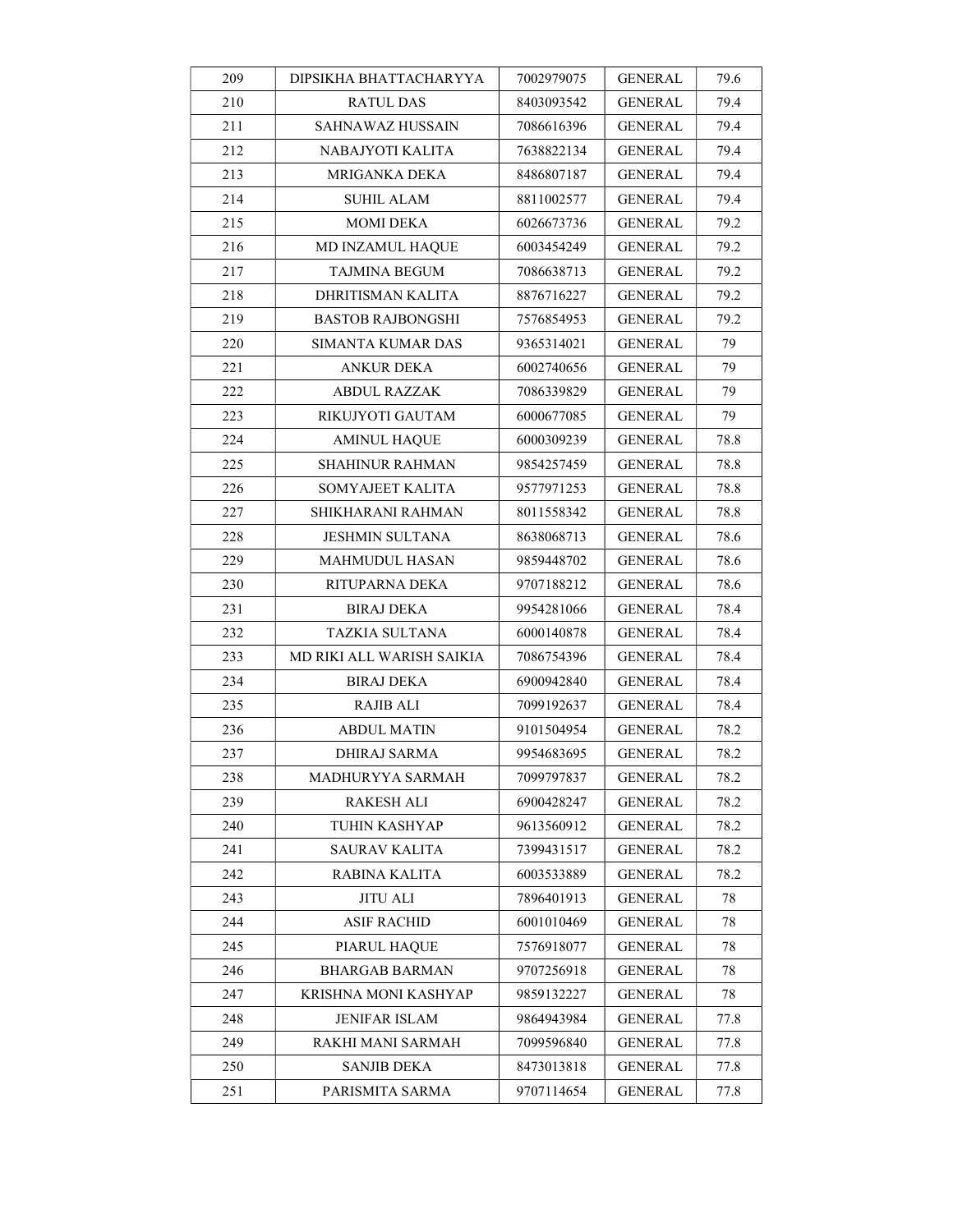| 209 | DIPSIKHA BHATTACHARYYA    | 7002979075 | <b>GENERAL</b> | 79.6 |
|-----|---------------------------|------------|----------------|------|
| 210 | <b>RATUL DAS</b>          | 8403093542 | <b>GENERAL</b> | 79.4 |
| 211 | SAHNAWAZ HUSSAIN          | 7086616396 | <b>GENERAL</b> | 79.4 |
| 212 | NABAJYOTI KALITA          | 7638822134 | <b>GENERAL</b> | 79.4 |
| 213 | MRIGANKA DEKA             | 8486807187 | <b>GENERAL</b> | 79.4 |
| 214 | SUHIL ALAM                | 8811002577 | <b>GENERAL</b> | 79.4 |
| 215 | MOMI DEKA                 | 6026673736 | GENERAL        | 79.2 |
| 216 | MD INZAMUL HAQUE          | 6003454249 | <b>GENERAL</b> | 79.2 |
| 217 | <b>TAJMINA BEGUM</b>      | 7086638713 | GENERAL        | 79.2 |
| 218 | DHRITISMAN KALITA         | 8876716227 | GENERAL        | 79.2 |
| 219 | <b>BASTOB RAJBONGSHI</b>  | 7576854953 | GENERAL        | 79.2 |
| 220 | SIMANTA KUMAR DAS         | 9365314021 | GENERAL        | 79   |
| 221 | <b>ANKUR DEKA</b>         | 6002740656 | <b>GENERAL</b> | 79   |
| 222 | ABDUL RAZZAK              | 7086339829 | GENERAL        | 79   |
| 223 | RIKUJYOTI GAUTAM          | 6000677085 | <b>GENERAL</b> | 79   |
| 224 | <b>AMINUL HAQUE</b>       | 6000309239 | GENERAL        | 78.8 |
| 225 | SHAHINUR RAHMAN           | 9854257459 | <b>GENERAL</b> | 78.8 |
| 226 | SOMYAJEET KALITA          | 9577971253 | GENERAL        | 78.8 |
| 227 | SHIKHARANI RAHMAN         | 8011558342 | <b>GENERAL</b> | 78.8 |
| 228 | <b>JESHMIN SULTANA</b>    | 8638068713 | <b>GENERAL</b> | 78.6 |
| 229 | MAHMUDUL HASAN            | 9859448702 | GENERAL        | 78.6 |
| 230 | RITUPARNA DEKA            | 9707188212 | <b>GENERAL</b> | 78.6 |
| 231 | <b>BIRAJ DEKA</b>         | 9954281066 | <b>GENERAL</b> | 78.4 |
| 232 | <b>TAZKIA SULTANA</b>     | 6000140878 | GENERAL        | 78.4 |
| 233 | MD RIKI ALL WARISH SAIKIA | 7086754396 | <b>GENERAL</b> | 78.4 |
| 234 | <b>BIRAJ DEKA</b>         | 6900942840 | <b>GENERAL</b> | 78.4 |
| 235 | <b>RAJIB ALI</b>          | 7099192637 | GENERAL        | 78.4 |
| 236 | <b>ABDUL MATIN</b>        | 9101504954 | GENERAL        | 78.2 |
| 237 | <b>DHIRAJ SARMA</b>       | 9954683695 | <b>GENERAL</b> | 78.2 |
| 238 | MADHURYYA SARMAH          | 7099797837 | <b>GENERAL</b> | 78.2 |
| 239 | RAKESH ALI                | 6900428247 | <b>GENERAL</b> | 78.2 |
| 240 | TUHIN KASHYAP             | 9613560912 | <b>GENERAL</b> | 78.2 |
| 241 | SAURAV KALITA             | 7399431517 | GENERAL        | 78.2 |
| 242 | RABINA KALITA             | 6003533889 | <b>GENERAL</b> | 78.2 |
| 243 | <b>JITU ALI</b>           | 7896401913 | <b>GENERAL</b> | 78   |
| 244 | <b>ASIF RACHID</b>        | 6001010469 | <b>GENERAL</b> | 78   |
| 245 | PIARUL HAQUE              | 7576918077 | <b>GENERAL</b> | 78   |
| 246 | <b>BHARGAB BARMAN</b>     | 9707256918 | <b>GENERAL</b> | 78   |
| 247 | KRISHNA MONI KASHYAP      | 9859132227 | <b>GENERAL</b> | 78   |
| 248 | JENIFAR ISLAM             | 9864943984 | GENERAL        | 77.8 |
| 249 | RAKHI MANI SARMAH         | 7099596840 | <b>GENERAL</b> | 77.8 |
| 250 | <b>SANJIB DEKA</b>        | 8473013818 | <b>GENERAL</b> | 77.8 |
| 251 | PARISMITA SARMA           | 9707114654 | <b>GENERAL</b> | 77.8 |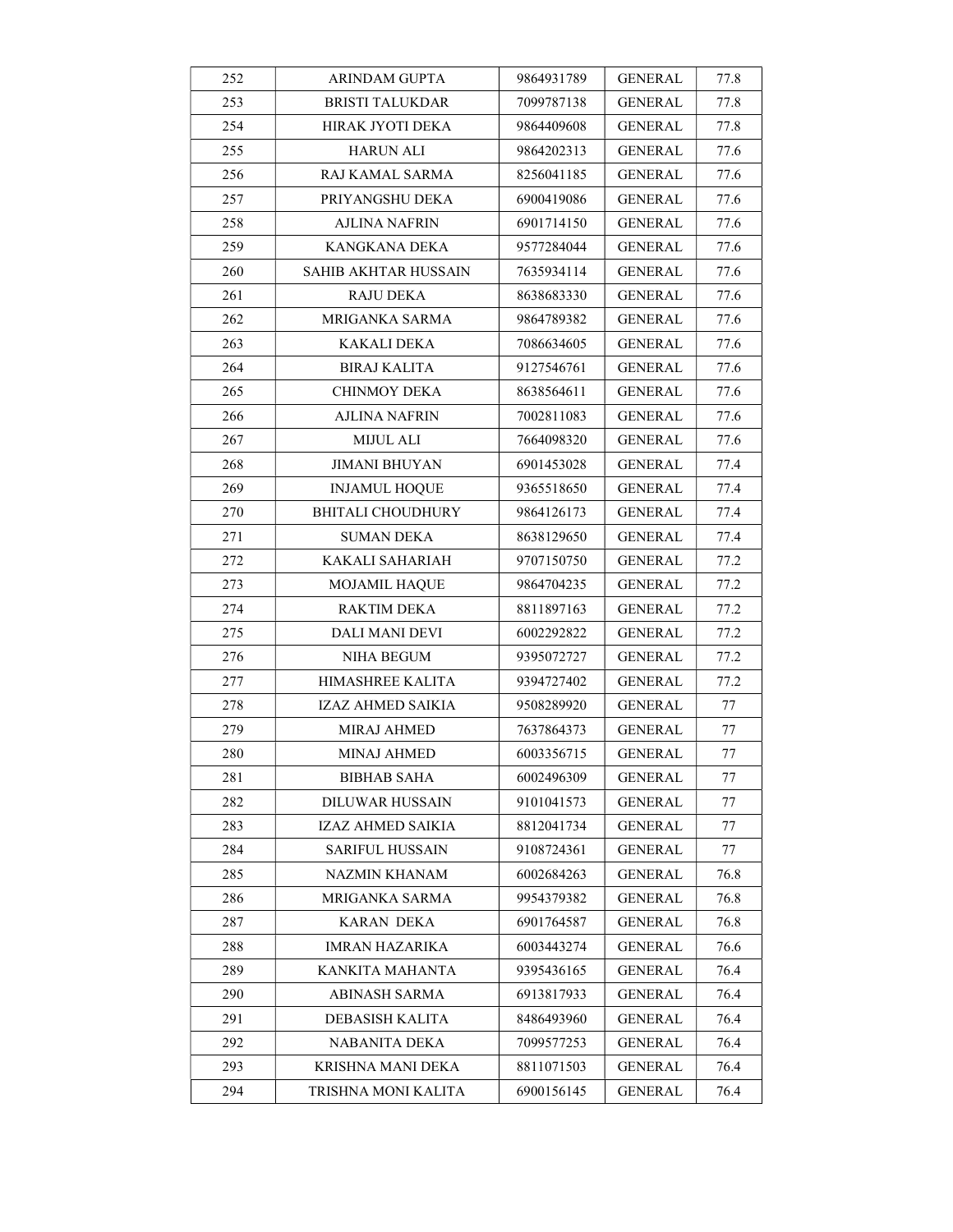| 252 | <b>ARINDAM GUPTA</b>        | 9864931789 | <b>GENERAL</b> | 77.8 |
|-----|-----------------------------|------------|----------------|------|
| 253 | <b>BRISTI TALUKDAR</b>      | 7099787138 | <b>GENERAL</b> | 77.8 |
| 254 | HIRAK JYOTI DEKA            | 9864409608 | <b>GENERAL</b> | 77.8 |
| 255 | <b>HARUN ALI</b>            | 9864202313 | GENERAL        | 77.6 |
| 256 | RAJ KAMAL SARMA             | 8256041185 | <b>GENERAL</b> | 77.6 |
| 257 | PRIYANGSHU DEKA             | 6900419086 | <b>GENERAL</b> | 77.6 |
| 258 | <b>AJLINA NAFRIN</b>        | 6901714150 | <b>GENERAL</b> | 77.6 |
| 259 | KANGKANA DEKA               | 9577284044 | <b>GENERAL</b> | 77.6 |
| 260 | <b>SAHIB AKHTAR HUSSAIN</b> | 7635934114 | <b>GENERAL</b> | 77.6 |
| 261 | <b>RAJU DEKA</b>            | 8638683330 | <b>GENERAL</b> | 77.6 |
| 262 | MRIGANKA SARMA              | 9864789382 | GENERAL        | 77.6 |
| 263 | KAKALI DEKA                 | 7086634605 | <b>GENERAL</b> | 77.6 |
| 264 | <b>BIRAJ KALITA</b>         | 9127546761 | <b>GENERAL</b> | 77.6 |
| 265 | CHINMOY DEKA                | 8638564611 | <b>GENERAL</b> | 77.6 |
| 266 | <b>AJLINA NAFRIN</b>        | 7002811083 | <b>GENERAL</b> | 77.6 |
| 267 | <b>MIJUL ALI</b>            | 7664098320 | <b>GENERAL</b> | 77.6 |
| 268 | <b>JIMANI BHUYAN</b>        | 6901453028 | GENERAL        | 77.4 |
| 269 | <b>INJAMUL HOQUE</b>        | 9365518650 | GENERAL        | 77.4 |
| 270 | <b>BHITALI CHOUDHURY</b>    | 9864126173 | <b>GENERAL</b> | 77.4 |
| 271 | SUMAN DEKA                  | 8638129650 | <b>GENERAL</b> | 77.4 |
| 272 | KAKALI SAHARIAH             | 9707150750 | GENERAL        | 77.2 |
| 273 | <b>MOJAMIL HAQUE</b>        | 9864704235 | <b>GENERAL</b> | 77.2 |
| 274 | RAKTIM DEKA                 | 8811897163 | GENERAL        | 77.2 |
| 275 | DALI MANI DEVI              | 6002292822 | GENERAL        | 77.2 |
| 276 | NIHA BEGUM                  | 9395072727 | <b>GENERAL</b> | 77.2 |
| 277 | HIMASHREE KALITA            | 9394727402 | <b>GENERAL</b> | 77.2 |
| 278 | IZAZ AHMED SAIKIA           | 9508289920 | <b>GENERAL</b> | 77   |
| 279 | <b>MIRAJ AHMED</b>          | 7637864373 | <b>GENERAL</b> | 77   |
| 280 | <b>MINAJ AHMED</b>          | 6003356715 | <b>GENERAL</b> | 77   |
| 281 | <b>BIBHAB SAHA</b>          | 6002496309 | <b>GENERAL</b> | 77   |
| 282 | DILUWAR HUSSAIN             | 9101041573 | <b>GENERAL</b> | 77   |
| 283 | IZAZ AHMED SAIKIA           | 8812041734 | GENERAL        | 77   |
| 284 | SARIFUL HUSSAIN             | 9108724361 | GENERAL        | 77   |
| 285 | NAZMIN KHANAM               | 6002684263 | <b>GENERAL</b> | 76.8 |
| 286 | MRIGANKA SARMA              | 9954379382 | <b>GENERAL</b> | 76.8 |
| 287 | KARAN DEKA                  | 6901764587 | GENERAL        | 76.8 |
| 288 | IMRAN HAZARIKA              | 6003443274 | <b>GENERAL</b> | 76.6 |
| 289 | KANKITA MAHANTA             | 9395436165 | <b>GENERAL</b> | 76.4 |
| 290 | <b>ABINASH SARMA</b>        | 6913817933 | GENERAL        | 76.4 |
| 291 | DEBASISH KALITA             | 8486493960 | <b>GENERAL</b> | 76.4 |
| 292 | NABANITA DEKA               | 7099577253 | <b>GENERAL</b> | 76.4 |
| 293 | KRISHNA MANI DEKA           | 8811071503 | GENERAL        | 76.4 |
| 294 | TRISHNA MONI KALITA         | 6900156145 | <b>GENERAL</b> | 76.4 |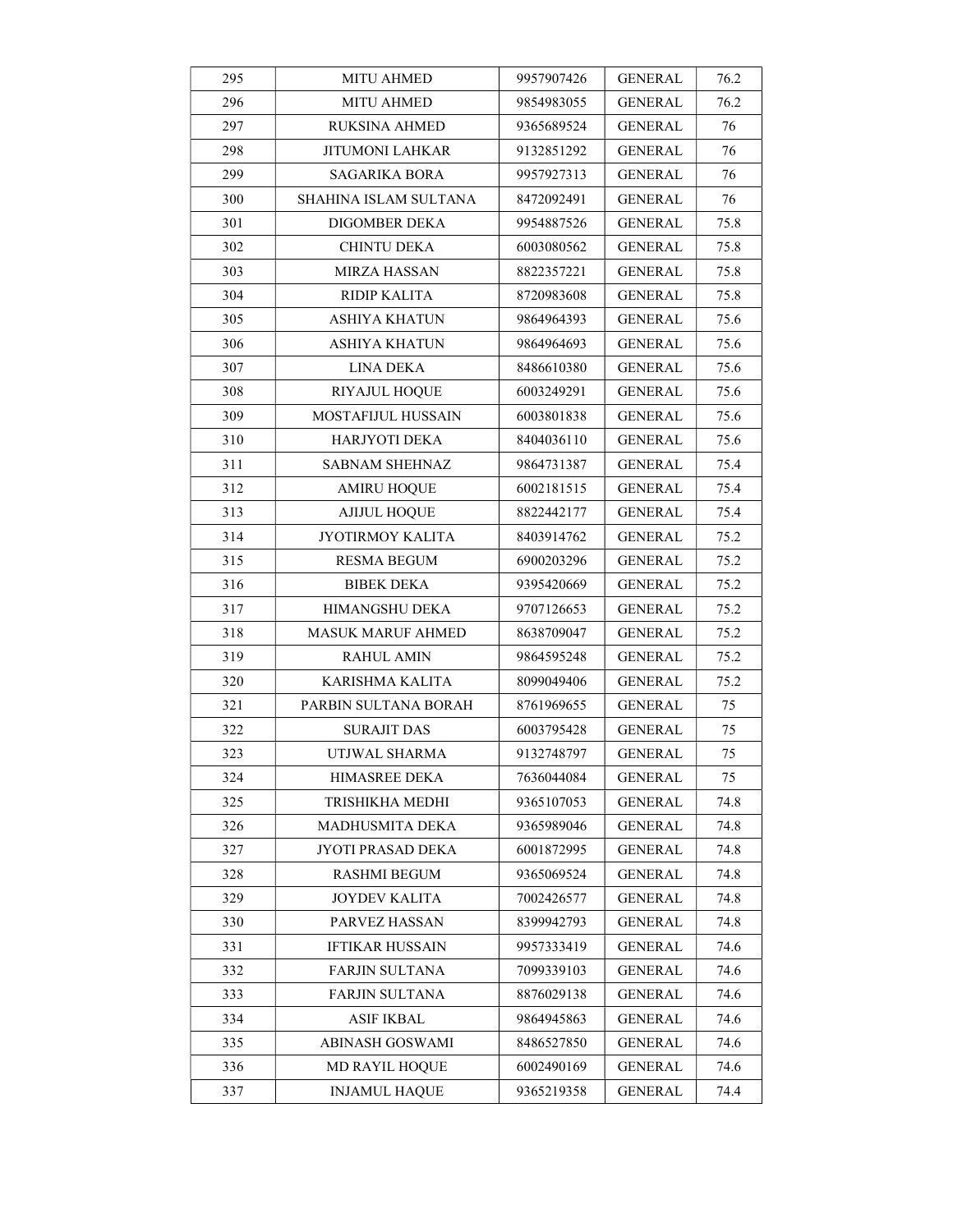| 295 | <b>MITU AHMED</b>      | 9957907426 | <b>GENERAL</b> | 76.2 |
|-----|------------------------|------------|----------------|------|
| 296 | <b>MITU AHMED</b>      | 9854983055 | GENERAL        | 76.2 |
| 297 | <b>RUKSINA AHMED</b>   | 9365689524 | <b>GENERAL</b> | 76   |
| 298 | JITUMONI LAHKAR        | 9132851292 | <b>GENERAL</b> | 76   |
| 299 | SAGARIKA BORA          | 9957927313 | GENERAL        | 76   |
| 300 | SHAHINA ISLAM SULTANA  | 8472092491 | <b>GENERAL</b> | 76   |
| 301 | DIGOMBER DEKA          | 9954887526 | GENERAL        | 75.8 |
| 302 | <b>CHINTU DEKA</b>     | 6003080562 | <b>GENERAL</b> | 75.8 |
| 303 | <b>MIRZA HASSAN</b>    | 8822357221 | <b>GENERAL</b> | 75.8 |
| 304 | RIDIP KALITA           | 8720983608 | <b>GENERAL</b> | 75.8 |
| 305 | ASHIYA KHATUN          | 9864964393 | GENERAL        | 75.6 |
| 306 | ASHIYA KHATUN          | 9864964693 | <b>GENERAL</b> | 75.6 |
| 307 | LINA DEKA              | 8486610380 | GENERAL        | 75.6 |
| 308 | <b>RIYAJUL HOQUE</b>   | 6003249291 | GENERAL        | 75.6 |
| 309 | MOSTAFIJUL HUSSAIN     | 6003801838 | <b>GENERAL</b> | 75.6 |
| 310 | HARJYOTI DEKA          | 8404036110 | <b>GENERAL</b> | 75.6 |
| 311 | <b>SABNAM SHEHNAZ</b>  | 9864731387 | GENERAL        | 75.4 |
| 312 | <b>AMIRU HOQUE</b>     | 6002181515 | <b>GENERAL</b> | 75.4 |
| 313 | <b>AJIJUL HOQUE</b>    | 8822442177 | <b>GENERAL</b> | 75.4 |
| 314 | JYOTIRMOY KALITA       | 8403914762 | <b>GENERAL</b> | 75.2 |
| 315 | RESMA BEGUM            | 6900203296 | GENERAL        | 75.2 |
| 316 | <b>BIBEK DEKA</b>      | 9395420669 | <b>GENERAL</b> | 75.2 |
| 317 | HIMANGSHU DEKA         | 9707126653 | GENERAL        | 75.2 |
| 318 | MASUK MARUF AHMED      | 8638709047 | <b>GENERAL</b> | 75.2 |
| 319 | RAHUL AMIN             | 9864595248 | GENERAL        | 75.2 |
| 320 | KARISHMA KALITA        | 8099049406 | GENERAL        | 75.2 |
| 321 | PARBIN SULTANA BORAH   | 8761969655 | <b>GENERAL</b> | 75   |
| 322 | SURAJIT DAS            | 6003795428 | <b>GENERAL</b> | 75   |
| 323 | UTJWAL SHARMA          | 9132748797 | <b>GENERAL</b> | 75   |
| 324 | HIMASREE DEKA          | 7636044084 | <b>GENERAL</b> | 75   |
| 325 | TRISHIKHA MEDHI        | 9365107053 | <b>GENERAL</b> | 74.8 |
| 326 | MADHUSMITA DEKA        | 9365989046 | <b>GENERAL</b> | 74.8 |
| 327 | JYOTI PRASAD DEKA      | 6001872995 | <b>GENERAL</b> | 74.8 |
| 328 | <b>RASHMI BEGUM</b>    | 9365069524 | <b>GENERAL</b> | 74.8 |
| 329 | JOYDEV KALITA          | 7002426577 | <b>GENERAL</b> | 74.8 |
| 330 | PARVEZ HASSAN          | 8399942793 | <b>GENERAL</b> | 74.8 |
| 331 | <b>IFTIKAR HUSSAIN</b> | 9957333419 | <b>GENERAL</b> | 74.6 |
| 332 | <b>FARJIN SULTANA</b>  | 7099339103 | <b>GENERAL</b> | 74.6 |
| 333 | <b>FARJIN SULTANA</b>  | 8876029138 | <b>GENERAL</b> | 74.6 |
| 334 | ASIF IKBAL             | 9864945863 | <b>GENERAL</b> | 74.6 |
| 335 | ABINASH GOSWAMI        | 8486527850 | <b>GENERAL</b> | 74.6 |
| 336 | <b>MD RAYIL HOQUE</b>  | 6002490169 | <b>GENERAL</b> | 74.6 |
| 337 | <b>INJAMUL HAQUE</b>   | 9365219358 | <b>GENERAL</b> | 74.4 |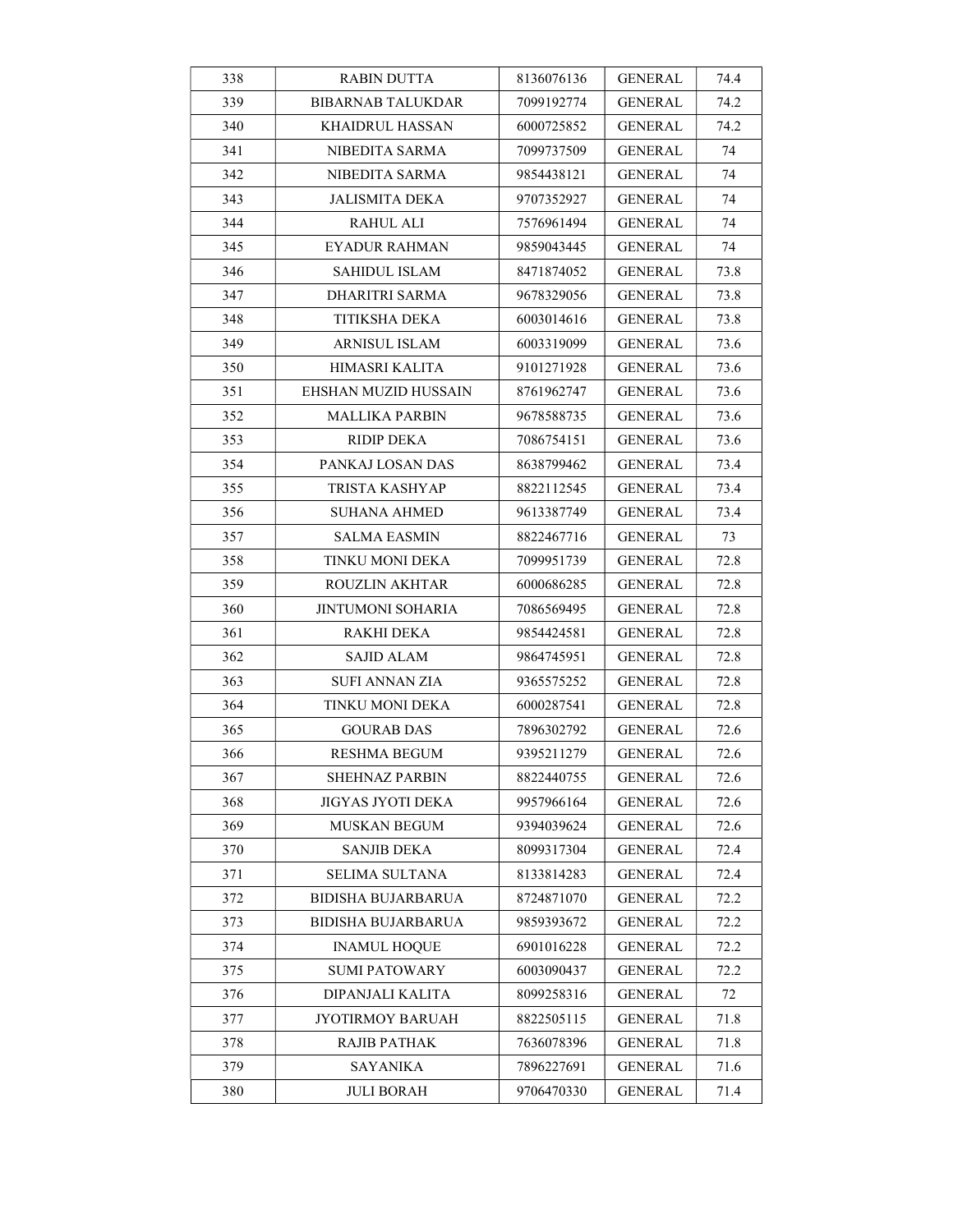| 338 | <b>RABIN DUTTA</b>        | 8136076136 | GENERAL        | 74.4 |
|-----|---------------------------|------------|----------------|------|
| 339 | <b>BIBARNAB TALUKDAR</b>  | 7099192774 | GENERAL        | 74.2 |
| 340 | <b>KHAIDRUL HASSAN</b>    | 6000725852 | GENERAL        | 74.2 |
| 341 | NIBEDITA SARMA            | 7099737509 | GENERAL        | 74   |
| 342 | NIBEDITA SARMA            | 9854438121 | GENERAL        | 74   |
| 343 | JALISMITA DEKA            | 9707352927 | GENERAL        | 74   |
| 344 | <b>RAHUL ALI</b>          | 7576961494 | <b>GENERAL</b> | 74   |
| 345 | <b>EYADUR RAHMAN</b>      | 9859043445 | <b>GENERAL</b> | 74   |
| 346 | <b>SAHIDUL ISLAM</b>      | 8471874052 | <b>GENERAL</b> | 73.8 |
| 347 | DHARITRI SARMA            | 9678329056 | GENERAL        | 73.8 |
| 348 | TITIKSHA DEKA             | 6003014616 | GENERAL        | 73.8 |
| 349 | ARNISUL ISLAM             | 6003319099 | <b>GENERAL</b> | 73.6 |
| 350 | HIMASRI KALITA            | 9101271928 | GENERAL        | 73.6 |
| 351 | EHSHAN MUZID HUSSAIN      | 8761962747 | GENERAL        | 73.6 |
| 352 | MALLIKA PARBIN            | 9678588735 | GENERAL        | 73.6 |
| 353 | RIDIP DEKA                | 7086754151 | GENERAL        | 73.6 |
| 354 | PANKAJ LOSAN DAS          | 8638799462 | GENERAL        | 73.4 |
| 355 | TRISTA KASHYAP            | 8822112545 | GENERAL        | 73.4 |
| 356 | SUHANA AHMED              | 9613387749 | <b>GENERAL</b> | 73.4 |
| 357 | <b>SALMA EASMIN</b>       | 8822467716 | GENERAL        | 73   |
| 358 | TINKU MONI DEKA           | 7099951739 | GENERAL        | 72.8 |
| 359 | ROUZLIN AKHTAR            | 6000686285 | GENERAL        | 72.8 |
| 360 | JINTUMONI SOHARIA         | 7086569495 | GENERAL        | 72.8 |
| 361 | RAKHI DEKA                | 9854424581 | GENERAL        | 72.8 |
| 362 | SAJID ALAM                | 9864745951 | GENERAL        | 72.8 |
| 363 | SUFI ANNAN ZIA            | 9365575252 | <b>GENERAL</b> | 72.8 |
| 364 | <b>TINKU MONI DEKA</b>    | 6000287541 | GENERAL        | 72.8 |
| 365 | <b>GOURAB DAS</b>         | 7896302792 | GENERAL        | 72.6 |
| 366 | <b>RESHMA BEGUM</b>       | 9395211279 | GENERAL        | 72.6 |
| 367 | <b>SHEHNAZ PARBIN</b>     | 8822440755 | <b>GENERAL</b> | 72.6 |
| 368 | JIGYAS JYOTI DEKA         | 9957966164 | <b>GENERAL</b> | 72.6 |
| 369 | <b>MUSKAN BEGUM</b>       | 9394039624 | <b>GENERAL</b> | 72.6 |
| 370 | <b>SANJIB DEKA</b>        | 8099317304 | <b>GENERAL</b> | 72.4 |
| 371 | SELIMA SULTANA            | 8133814283 | GENERAL        | 72.4 |
| 372 | BIDISHA BUJARBARUA        | 8724871070 | GENERAL        | 72.2 |
| 373 | <b>BIDISHA BUJARBARUA</b> | 9859393672 | <b>GENERAL</b> | 72.2 |
| 374 | <b>INAMUL HOQUE</b>       | 6901016228 | <b>GENERAL</b> | 72.2 |
| 375 | SUMI PATOWARY             | 6003090437 | <b>GENERAL</b> | 72.2 |
| 376 | DIPANJALI KALITA          | 8099258316 | <b>GENERAL</b> | 72   |
| 377 | JYOTIRMOY BARUAH          | 8822505115 | GENERAL        | 71.8 |
| 378 | RAJIB PATHAK              | 7636078396 | <b>GENERAL</b> | 71.8 |
| 379 | <b>SAYANIKA</b>           | 7896227691 | <b>GENERAL</b> | 71.6 |
| 380 | <b>JULI BORAH</b>         | 9706470330 | <b>GENERAL</b> | 71.4 |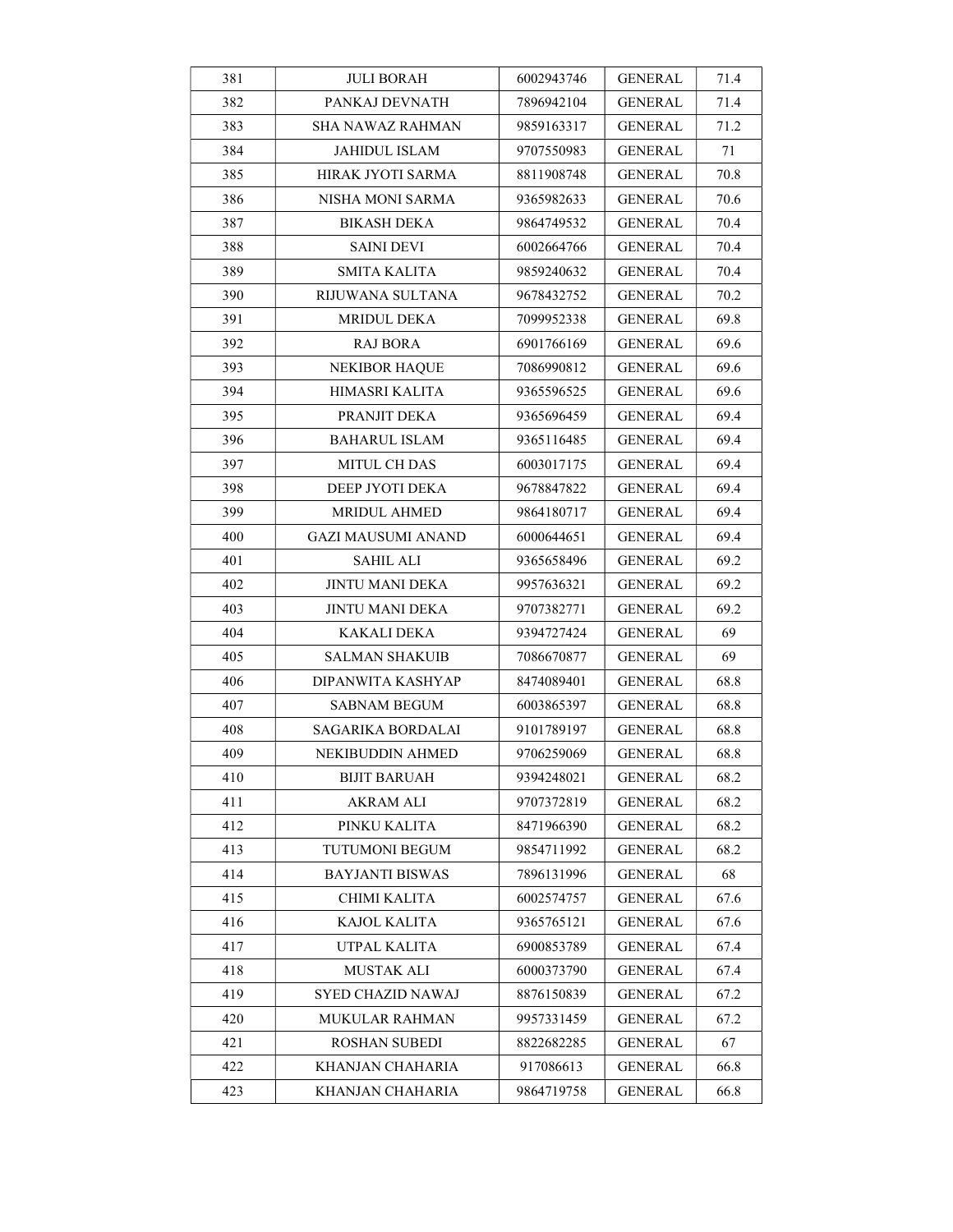| 381 | <b>JULI BORAH</b>         | 6002943746 | <b>GENERAL</b> | 71.4 |
|-----|---------------------------|------------|----------------|------|
| 382 | PANKAJ DEVNATH            | 7896942104 | <b>GENERAL</b> | 71.4 |
| 383 | <b>SHA NAWAZ RAHMAN</b>   | 9859163317 | <b>GENERAL</b> | 71.2 |
| 384 | JAHIDUL ISLAM             | 9707550983 | GENERAL        | 71   |
| 385 | HIRAK JYOTI SARMA         | 8811908748 | <b>GENERAL</b> | 70.8 |
| 386 | NISHA MONI SARMA          | 9365982633 | GENERAL        | 70.6 |
| 387 | <b>BIKASH DEKA</b>        | 9864749532 | <b>GENERAL</b> | 70.4 |
| 388 | <b>SAINI DEVI</b>         | 6002664766 | <b>GENERAL</b> | 70.4 |
| 389 | <b>SMITA KALITA</b>       | 9859240632 | <b>GENERAL</b> | 70.4 |
| 390 | RIJUWANA SULTANA          | 9678432752 | <b>GENERAL</b> | 70.2 |
| 391 | <b>MRIDUL DEKA</b>        | 7099952338 | GENERAL        | 69.8 |
| 392 | RAJ BORA                  | 6901766169 | <b>GENERAL</b> | 69.6 |
| 393 | <b>NEKIBOR HAQUE</b>      | 7086990812 | <b>GENERAL</b> | 69.6 |
| 394 | HIMASRI KALITA            | 9365596525 | <b>GENERAL</b> | 69.6 |
| 395 | PRANJIT DEKA              | 9365696459 | <b>GENERAL</b> | 69.4 |
| 396 | <b>BAHARUL ISLAM</b>      | 9365116485 | <b>GENERAL</b> | 69.4 |
| 397 | MITUL CH DAS              | 6003017175 | <b>GENERAL</b> | 69.4 |
| 398 | DEEP JYOTI DEKA           | 9678847822 | <b>GENERAL</b> | 69.4 |
| 399 | MRIDUL AHMED              | 9864180717 | <b>GENERAL</b> | 69.4 |
| 400 | <b>GAZI MAUSUMI ANAND</b> | 6000644651 | <b>GENERAL</b> | 69.4 |
| 401 | <b>SAHIL ALI</b>          | 9365658496 | GENERAL        | 69.2 |
| 402 | <b>JINTU MANI DEKA</b>    | 9957636321 | <b>GENERAL</b> | 69.2 |
| 403 | JINTU MANI DEKA           | 9707382771 | GENERAL        | 69.2 |
| 404 | KAKALI DEKA               | 9394727424 | <b>GENERAL</b> | 69   |
| 405 | <b>SALMAN SHAKUIB</b>     | 7086670877 | <b>GENERAL</b> | 69   |
| 406 | DIPANWITA KASHYAP         | 8474089401 | <b>GENERAL</b> | 68.8 |
| 407 | <b>SABNAM BEGUM</b>       | 6003865397 | GENERAL        | 68.8 |
| 408 | SAGARIKA BORDALAI         | 9101789197 | <b>GENERAL</b> | 68.8 |
| 409 | NEKIBUDDIN AHMED          | 9706259069 | <b>GENERAL</b> | 68.8 |
| 410 | <b>BIJIT BARUAH</b>       | 9394248021 | <b>GENERAL</b> | 68.2 |
| 411 | <b>AKRAM ALI</b>          | 9707372819 | <b>GENERAL</b> | 68.2 |
| 412 | PINKU KALITA              | 8471966390 | <b>GENERAL</b> | 68.2 |
| 413 | TUTUMONI BEGUM            | 9854711992 | GENERAL        | 68.2 |
| 414 | <b>BAYJANTI BISWAS</b>    | 7896131996 | <b>GENERAL</b> | 68   |
| 415 | CHIMI KALITA              | 6002574757 | <b>GENERAL</b> | 67.6 |
| 416 | KAJOL KALITA              | 9365765121 | GENERAL        | 67.6 |
| 417 | UTPAL KALITA              | 6900853789 | <b>GENERAL</b> | 67.4 |
| 418 | MUSTAK ALI                | 6000373790 | <b>GENERAL</b> | 67.4 |
| 419 | SYED CHAZID NAWAJ         | 8876150839 | <b>GENERAL</b> | 67.2 |
| 420 | MUKULAR RAHMAN            | 9957331459 | <b>GENERAL</b> | 67.2 |
| 421 | <b>ROSHAN SUBEDI</b>      | 8822682285 | <b>GENERAL</b> | 67   |
| 422 | KHANJAN CHAHARIA          | 917086613  | <b>GENERAL</b> | 66.8 |
| 423 | KHANJAN CHAHARIA          | 9864719758 | <b>GENERAL</b> | 66.8 |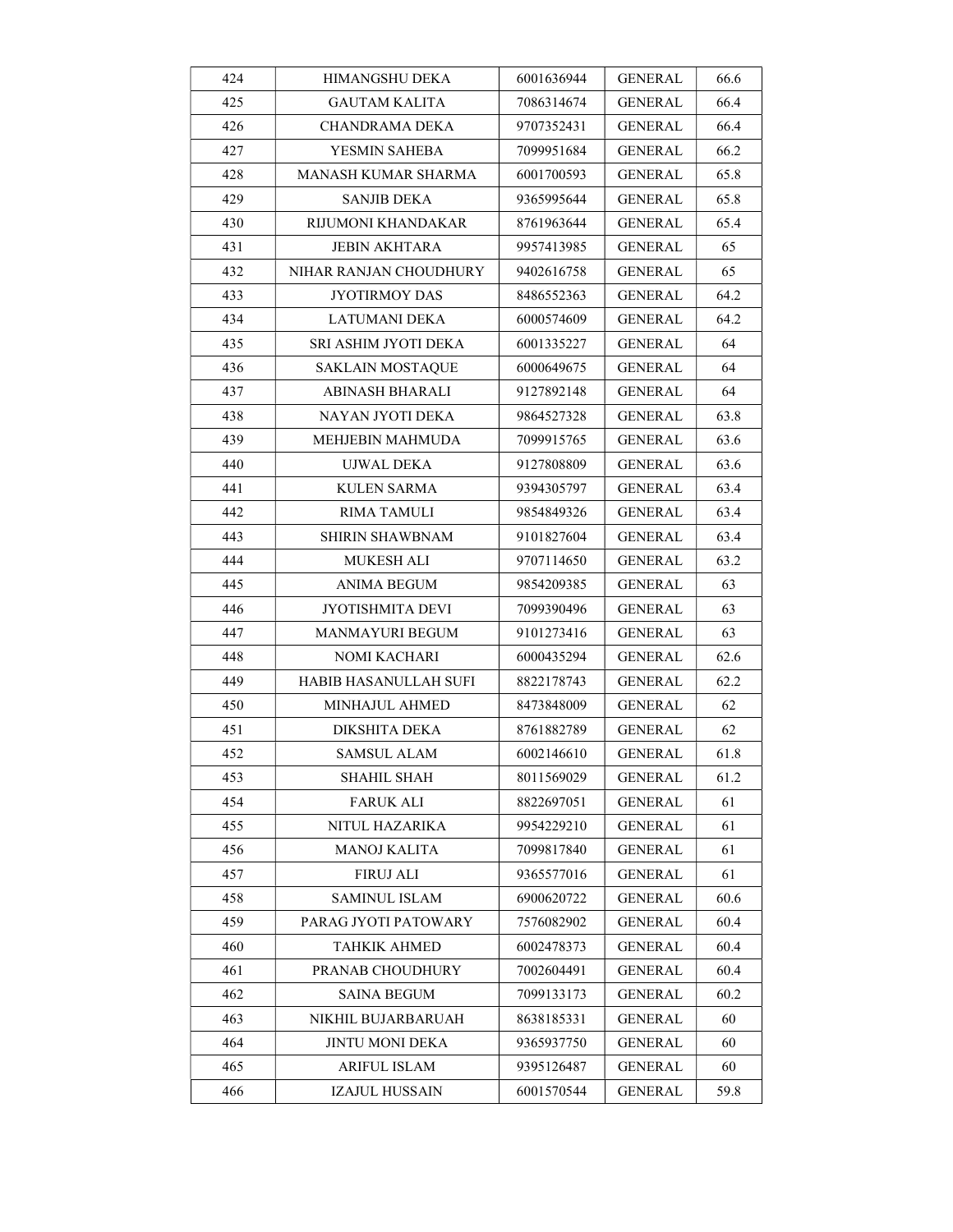| 424 | HIMANGSHU DEKA          | 6001636944 | GENERAL        | 66.6 |
|-----|-------------------------|------------|----------------|------|
| 425 | <b>GAUTAM KALITA</b>    | 7086314674 | <b>GENERAL</b> | 66.4 |
| 426 | CHANDRAMA DEKA          | 9707352431 | <b>GENERAL</b> | 66.4 |
| 427 | YESMIN SAHEBA           | 7099951684 | GENERAL        | 66.2 |
| 428 | MANASH KUMAR SHARMA     | 6001700593 | GENERAL        | 65.8 |
| 429 | SANJIB DEKA             | 9365995644 | GENERAL        | 65.8 |
| 430 | RIJUMONI KHANDAKAR      | 8761963644 | <b>GENERAL</b> | 65.4 |
| 431 | <b>JEBIN AKHTARA</b>    | 9957413985 | <b>GENERAL</b> | 65   |
| 432 | NIHAR RANJAN CHOUDHURY  | 9402616758 | <b>GENERAL</b> | 65   |
| 433 | <b>JYOTIRMOY DAS</b>    | 8486552363 | GENERAL        | 64.2 |
| 434 | LATUMANI DEKA           | 6000574609 | GENERAL        | 64.2 |
| 435 | SRI ASHIM JYOTI DEKA    | 6001335227 | <b>GENERAL</b> | 64   |
| 436 | <b>SAKLAIN MOSTAQUE</b> | 6000649675 | GENERAL        | 64   |
| 437 | ABINASH BHARALI         | 9127892148 | GENERAL        | 64   |
| 438 | NAYAN JYOTI DEKA        | 9864527328 | GENERAL        | 63.8 |
| 439 | MEHJEBIN MAHMUDA        | 7099915765 | GENERAL        | 63.6 |
| 440 | UJWAL DEKA              | 9127808809 | <b>GENERAL</b> | 63.6 |
| 441 | KULEN SARMA             | 9394305797 | <b>GENERAL</b> | 63.4 |
| 442 | RIMA TAMULI             | 9854849326 | <b>GENERAL</b> | 63.4 |
| 443 | <b>SHIRIN SHAWBNAM</b>  | 9101827604 | <b>GENERAL</b> | 63.4 |
| 444 | MUKESH ALI              | 9707114650 | GENERAL        | 63.2 |
| 445 | ANIMA BEGUM             | 9854209385 | <b>GENERAL</b> | 63   |
| 446 | <b>JYOTISHMITA DEVI</b> | 7099390496 | GENERAL        | 63   |
| 447 | MANMAYURI BEGUM         | 9101273416 | <b>GENERAL</b> | 63   |
| 448 | NOMI KACHARI            | 6000435294 | <b>GENERAL</b> | 62.6 |
| 449 | HABIB HASANULLAH SUFI   | 8822178743 | <b>GENERAL</b> | 62.2 |
| 450 | MINHAJUL AHMED          | 8473848009 | <b>GENERAL</b> | 62   |
| 451 | DIKSHITA DEKA           | 8761882789 | <b>GENERAL</b> | 62   |
| 452 | SAMSUL ALAM             | 6002146610 | GENERAL        | 61.8 |
| 453 | SHAHIL SHAH             | 8011569029 | <b>GENERAL</b> | 61.2 |
| 454 | <b>FARUK ALI</b>        | 8822697051 | <b>GENERAL</b> | 61   |
| 455 | NITUL HAZARIKA          | 9954229210 | <b>GENERAL</b> | 61   |
| 456 | MANOJ KALITA            | 7099817840 | GENERAL        | 61   |
| 457 | <b>FIRUJ ALI</b>        | 9365577016 | <b>GENERAL</b> | 61   |
| 458 | SAMINUL ISLAM           | 6900620722 | GENERAL        | 60.6 |
| 459 | PARAG JYOTI PATOWARY    | 7576082902 | <b>GENERAL</b> | 60.4 |
| 460 | TAHKIK AHMED            | 6002478373 | <b>GENERAL</b> | 60.4 |
| 461 | PRANAB CHOUDHURY        | 7002604491 | <b>GENERAL</b> | 60.4 |
| 462 | SAINA BEGUM             | 7099133173 | <b>GENERAL</b> | 60.2 |
| 463 | NIKHIL BUJARBARUAH      | 8638185331 | GENERAL        | 60   |
| 464 | JINTU MONI DEKA         | 9365937750 | <b>GENERAL</b> | 60   |
| 465 | ARIFUL ISLAM            | 9395126487 | <b>GENERAL</b> | 60   |
| 466 | <b>IZAJUL HUSSAIN</b>   | 6001570544 | <b>GENERAL</b> | 59.8 |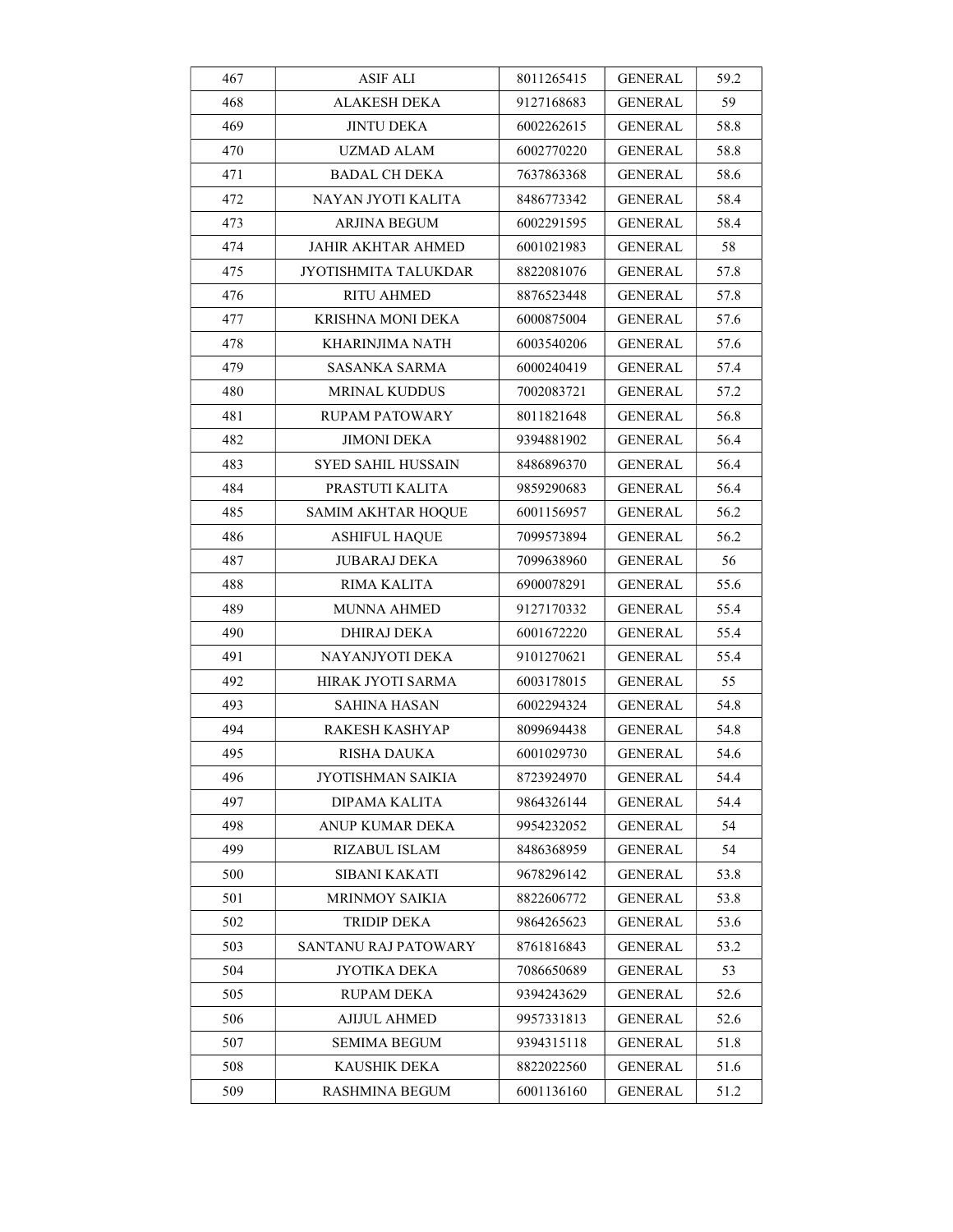| 467 | <b>ASIF ALI</b>           | 8011265415 | <b>GENERAL</b> | 59.2 |
|-----|---------------------------|------------|----------------|------|
| 468 | <b>ALAKESH DEKA</b>       | 9127168683 | <b>GENERAL</b> | 59   |
| 469 | <b>JINTU DEKA</b>         | 6002262615 | <b>GENERAL</b> | 58.8 |
| 470 | <b>UZMAD ALAM</b>         | 6002770220 | <b>GENERAL</b> | 58.8 |
| 471 | <b>BADAL CH DEKA</b>      | 7637863368 | GENERAL        | 58.6 |
| 472 | NAYAN JYOTI KALITA        | 8486773342 | GENERAL        | 58.4 |
| 473 | ARJINA BEGUM              | 6002291595 | <b>GENERAL</b> | 58.4 |
| 474 | <b>JAHIR AKHTAR AHMED</b> | 6001021983 | <b>GENERAL</b> | 58   |
| 475 | JYOTISHMITA TALUKDAR      | 8822081076 | <b>GENERAL</b> | 57.8 |
| 476 | <b>RITU AHMED</b>         | 8876523448 | <b>GENERAL</b> | 57.8 |
| 477 | KRISHNA MONI DEKA         | 6000875004 | GENERAL        | 57.6 |
| 478 | KHARINJIMA NATH           | 6003540206 | <b>GENERAL</b> | 57.6 |
| 479 | SASANKA SARMA             | 6000240419 | <b>GENERAL</b> | 57.4 |
| 480 | <b>MRINAL KUDDUS</b>      | 7002083721 | <b>GENERAL</b> | 57.2 |
| 481 | <b>RUPAM PATOWARY</b>     | 8011821648 | GENERAL        | 56.8 |
| 482 | JIMONI DEKA               | 9394881902 | <b>GENERAL</b> | 56.4 |
| 483 | <b>SYED SAHIL HUSSAIN</b> | 8486896370 | <b>GENERAL</b> | 56.4 |
| 484 | PRASTUTI KALITA           | 9859290683 | <b>GENERAL</b> | 56.4 |
| 485 | <b>SAMIM AKHTAR HOQUE</b> | 6001156957 | <b>GENERAL</b> | 56.2 |
| 486 | <b>ASHIFUL HAQUE</b>      | 7099573894 | <b>GENERAL</b> | 56.2 |
| 487 | JUBARAJ DEKA              | 7099638960 | GENERAL        | 56   |
| 488 | <b>RIMA KALITA</b>        | 6900078291 | <b>GENERAL</b> | 55.6 |
| 489 | <b>MUNNA AHMED</b>        | 9127170332 | GENERAL        | 55.4 |
| 490 | DHIRAJ DEKA               | 6001672220 | <b>GENERAL</b> | 55.4 |
| 491 | NAYANJYOTI DEKA           | 9101270621 | <b>GENERAL</b> | 55.4 |
| 492 | HIRAK JYOTI SARMA         | 6003178015 | <b>GENERAL</b> | 55   |
| 493 | <b>SAHINA HASAN</b>       | 6002294324 | <b>GENERAL</b> | 54.8 |
| 494 | <b>RAKESH KASHYAP</b>     | 8099694438 | <b>GENERAL</b> | 54.8 |
| 495 | <b>RISHA DAUKA</b>        | 6001029730 | <b>GENERAL</b> | 54.6 |
| 496 | JYOTISHMAN SAIKIA         | 8723924970 | <b>GENERAL</b> | 54.4 |
| 497 | DIPAMA KALITA             | 9864326144 | <b>GENERAL</b> | 54.4 |
| 498 | ANUP KUMAR DEKA           | 9954232052 | <b>GENERAL</b> | 54   |
| 499 | RIZABUL ISLAM             | 8486368959 | GENERAL        | 54   |
| 500 | <b>SIBANI KAKATI</b>      | 9678296142 | <b>GENERAL</b> | 53.8 |
| 501 | MRINMOY SAIKIA            | 8822606772 | GENERAL        | 53.8 |
| 502 | TRIDIP DEKA               | 9864265623 | <b>GENERAL</b> | 53.6 |
| 503 | SANTANU RAJ PATOWARY      | 8761816843 | <b>GENERAL</b> | 53.2 |
| 504 | JYOTIKA DEKA              | 7086650689 | <b>GENERAL</b> | 53   |
| 505 | RUPAM DEKA                | 9394243629 | <b>GENERAL</b> | 52.6 |
| 506 | <b>AJIJUL AHMED</b>       | 9957331813 | <b>GENERAL</b> | 52.6 |
| 507 | <b>SEMIMA BEGUM</b>       | 9394315118 | <b>GENERAL</b> | 51.8 |
| 508 | KAUSHIK DEKA              | 8822022560 | GENERAL        | 51.6 |
| 509 | <b>RASHMINA BEGUM</b>     | 6001136160 | <b>GENERAL</b> | 51.2 |